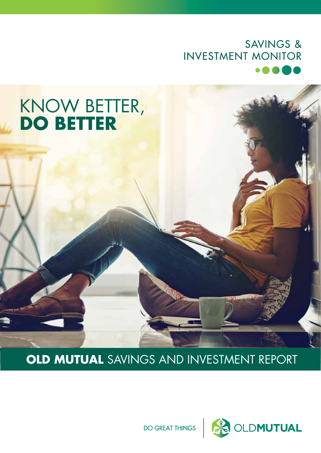### **SAVINGS & INVESTMENT MONITOR**

## KNOW BETTER, **DO BETTER**

**OLD MUTUAL** SAVINGS AND INVESTMENT REPORT

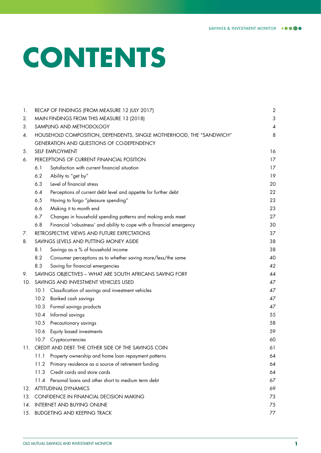# **CONTENTS**

| 1.  |      | RECAP OF FINDINGS (FROM MEASURE 12 JULY 2017)                         | $\sqrt{2}$ |
|-----|------|-----------------------------------------------------------------------|------------|
| 2.  |      | MAIN FINDINGS FROM THIS MEASURE 13 (2018)                             | 3          |
| 3.  |      | SAMPLING AND METHODOLOGY                                              | 4          |
| 4.  |      | HOUSEHOLD COMPOSITION, DEPENDENTS, SINGLE MOTHERHOOD, THE "SANDWICH"  | 8          |
|     |      | GENERATION AND QUESTIONS OF CO-DEPENDENCY                             |            |
| 5.  |      | SELF EMPLOYMENT                                                       | 16         |
| 6.  |      | PERCEPTIONS OF CURRENT FINANCIAL POSITION                             | 17         |
|     | 6.1  | Satisfaction with current financial situation                         | 17         |
|     | 6.2  | Ability to "get by"                                                   | 19         |
|     | 6.3  | Level of financial stress                                             | 20         |
|     | 6.4  | Perceptions of current debt level and appetite for further debt       | 22         |
|     | 6.5  | Having to forgo "pleasure spending"                                   | 23         |
|     | 6.6  | Making it to month end                                                | 23         |
|     | 6.7  | Changes in household spending patterns and making ends meet           | 27         |
|     | 6.8  | Financial 'robustness' and ability to cope with a financial emergency | 30         |
| 7.  |      | RETROSPECTIVE VIEWS AND FUTURE EXPECTATIONS                           | 37         |
| 8.  |      | SAVINGS LEVELS AND PUTTING MONEY ASIDE                                | 38         |
|     | 8.1  | Savings as a % of household income                                    | 38         |
|     | 8.2  | Consumer perceptions as to whether saving more/less/the same          | 40         |
|     | 8.3  | Saving for financial emergencies                                      | 42         |
| 9.  |      | SAVINGS OBJECTIVES - WHAT ARE SOUTH AFRICANS SAVING FOR?              | 44         |
| 10. |      | SAVINGS AND INVESTMENT VEHICLES USED                                  | 47         |
|     | 10.1 | Classification of savings and investment vehicles                     | 47         |
|     | 10.2 | Banked cash savings                                                   | 47         |
|     | 10.3 | Formal savings products                                               | 47         |
|     | 10.4 | Informal savings                                                      | 55         |
|     | 10.5 | Precautionary savings                                                 | 58         |
|     | 10.6 | Equity based investments                                              | 59         |
|     |      | 10.7 Cryptocurrencies                                                 | 60         |
| 11. |      | CREDIT AND DEBT: THE OTHER SIDE OF THE SAVINGS COIN                   | 61         |
|     | 11.1 | Property ownership and home loan repayment patterns                   | 64         |
|     | 11.2 | Primary residence as a source of retirement funding                   | 64         |
|     | 11.3 | Credit cards and store cards                                          | 64         |
|     | 11.4 | Personal loans and other short to medium term debt                    | 67         |
| 12. |      | <b>ATTITUDINAL DYNAMICS</b>                                           | 69         |
| 13. |      | CONFIDENCE IN FINANCIAL DECISION MAKING                               | 73         |
| 14. |      | <b>INTERNET AND BUYING ONLINE</b>                                     | 75         |
| 15. |      | <b>BUDGETING AND KEEPING TRACK</b>                                    | 77         |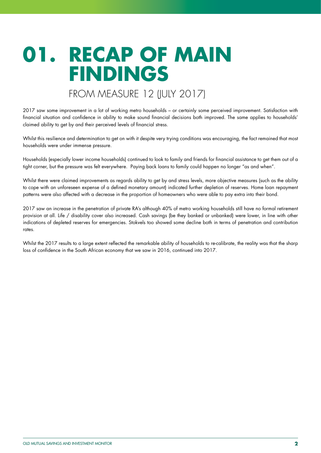## **01. RECAP OF MAIN FINDINGS**

### FROM MEASURE 12 (JULY 2017)

2017 saw some improvement in a lot of working metro households – or certainly some perceived improvement. Satisfaction with financial situation and confidence in ability to make sound financial decisions both improved. The same applies to households' claimed ability to get by and their perceived levels of financial stress.

Whilst this resilience and determination to get on with it despite very trying conditions was encouraging, the fact remained that most households were under immense pressure.

Households (especially lower income households) continued to look to family and friends for financial assistance to get them out of a tight corner, but the pressure was felt everywhere. Paying back loans to family could happen no longer "as and when".

Whilst there were claimed improvements as regards ability to get by and stress levels, more objective measures (such as the ability to cope with an unforeseen expense of a defined monetary amount) indicated further depletion of reserves. Home loan repayment patterns were also affected with a decrease in the proportion of homeowners who were able to pay extra into their bond.

2017 saw an increase in the penetration of private RA's although 40% of metro working households still have no formal retirement provision at all. Life / disability cover also increased. Cash savings (be they banked or unbanked) were lower, in line with other indications of depleted reserves for emergencies. Stokvels too showed some decline both in terms of penetration and contribution rates.

Whilst the 2017 results to a large extent reflected the remarkable ability of households to re-calibrate, the reality was that the sharp loss of confidence in the South African economy that we saw in 2016, continued into 2017.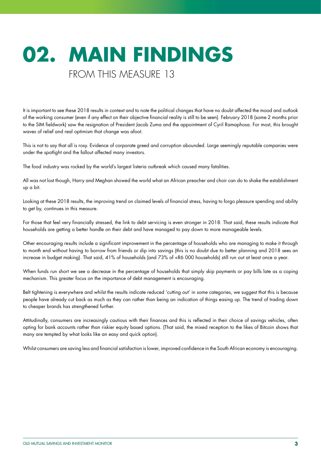## **02. MAIN FINDINGS** FROM THIS MEASURE 13

It is important to see these 2018 results in context and to note the political changes that have no doubt affected the mood and outlook of the working consumer (even if any effect on their objective financial reality is still to be seen). February 2018 (some 2 months prior to the SIM fieldwork) saw the resignation of President Jacob Zuma and the appointment of Cyril Ramaphosa. For most, this brought waves of relief and real optimism that change was afoot.

This is not to say that all is rosy. Evidence of corporate greed and corruption abounded. Large seemingly reputable companies were under the spotlight and the fallout affected many investors.

The food industry was rocked by the world's largest listeria outbreak which caused many fatalities.

All was not lost though, Harry and Meghan showed the world what an African preacher and choir can do to shake the establishment up a bit.

Looking at these 2018 results, the improving trend on claimed levels of financial stress, having to forgo pleasure spending and ability to get by, continues in this measure.

For those that feel very financially stressed, the link to debt servicing is even stronger in 2018. That said, these results indicate that households are getting a better handle on their debt and have managed to pay down to more manageable levels.

Other encouraging results include a significant improvement in the percentage of households who are managing to make it through to month end without having to borrow from friends or dip into savings (this is no doubt due to better planning and 2018 sees an increase in budget making). That said, 41% of households (and 73% of <R6 000 households) still run out at least once a year.

When funds run short we see a decrease in the percentage of households that simply skip payments or pay bills late as a coping mechanism. This greater focus on the importance of debt management is encouraging.

Belt tightening is everywhere and whilst the results indicate reduced 'cutting out' in some categories, we suggest that this is because people have already cut back as much as they can rather than being an indication of things easing up. The trend of trading down to cheaper brands has strengthened further.

Attitudinally, consumers are increasingly cautious with their finances and this is reflected in their choice of savings vehicles, often opting for bank accounts rather than riskier equity based options. (That said, the mixed reception to the likes of Bitcoin shows that many are tempted by what looks like an easy and quick option).

Whilst consumers are saving less and financial satisfaction is lower, improved confidence in the South African economy is encouraging.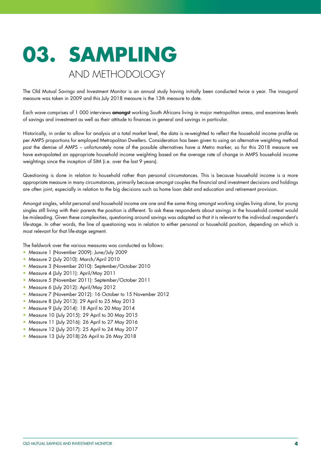## **03. SAMPLING** AND METHODOLOGY

The Old Mutual Savings and Investment Monitor is an annual study having initially been conducted twice a year. The inaugural measure was taken in 2009 and this July 2018 measure is the 13th measure to date.

Each wave comprises of 1 000 interviews amongst working South Africans living in major metropolitan areas, and examines levels of savings and investment as well as their attitude to finances in general and savings in particular.

Historically, in order to allow for analysis at a total market level, the data is re-weighted to reflect the household income profile as per AMPS proportions for employed Metropolitan Dwellers. Consideration has been given to using an alternative weighting method post the demise of AMPS – unfortunately none of the possible alternatives have a Metro marker, so for this 2018 measure we have extrapolated an appropriate household income weighting based on the average rate of change in AMPS household income weightings since the inception of SIM (i.e. over the last 9 years).

Questioning is done in relation to household rather than personal circumstances. This is because household income is a more appropriate measure in many circumstances, primarily because amongst couples the financial and investment decisions and holdings are often joint, especially in relation to the big decisions such as home loan debt and education and retirement provision.

Amongst singles, whilst personal and household income are one and the same thing amongst working singles living alone, for young singles still living with their parents the position is different. To ask these respondents about savings in the household context would be misleading. Given these complexities, questioning around savings was adapted so that it is relevant to the individual respondent's life-stage. In other words, the line of questioning was in relation to either personal or household position, depending on which is most relevant for that life-stage segment.

The fieldwork over the various measures was conducted as follows:

- Measure 1 (November 2009): June/July 2009
- Measure 2 (July 2010): March/April 2010
- Measure 3 (November 2010): September/October 2010
- Measure 4 (July 2011): April/May 2011
- Measure 5 (November 2011): September/October 2011
- Measure 6 (July 2012): April/May 2012
- Measure 7 (November 2012): 16 October to 15 November 2012
- Measure 8 (July 2013): 29 April to 25 May 2013
- Measure 9 (July 2014): 18 April to 20 May 2014
- Measure 10 (July 2015): 29 April to 30 May 2015
- Measure 11 (July 2016): 26 April to 27 May 2016
- Measure 12 (July 2017): 25 April to 24 May 2017
- Measure 13 (July 2018):26 April to 26 May 2018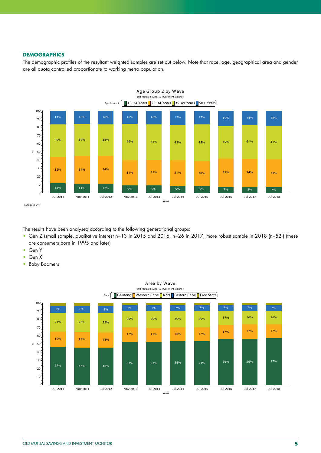#### **DEMOGRAPHICS**

The demographic profiles of the resultant weighted samples are set out below. Note that race, age, geographical area and gender are all quota controlled proportionate to working metro population.



The results have been analysed according to the following generational groups:

- Gen Z (small sample, qualitative interest n=13 in 2015 and 2016, n=26 in 2017, more robust sample in 2018 (n=52)) (these are consumers born in 1995 and later)
- Gen Y
- Gen X
- Baby Boomers

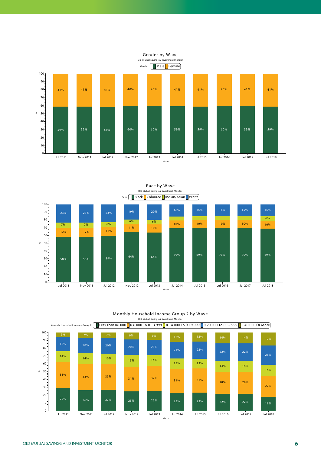



M onthly Household Income Group 2 by W ave Old Mutual Savings & Investment Monitor

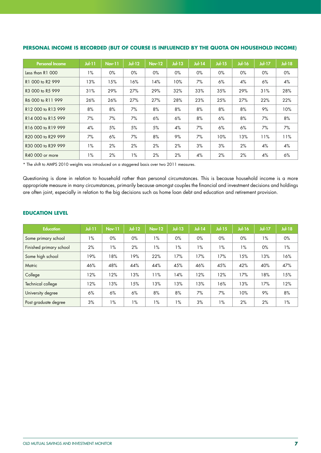| <b>Personal Income</b>                     | $J$ ul-11 | <b>Nov-11</b> | $Jul-12$ | <b>Nov-12</b> | $Jul-13$ | $Jul-14$ | $Jul-15$ | <b>Jul-16</b> | <b>Jul-17</b> | <b>Jul-18</b> |
|--------------------------------------------|-----------|---------------|----------|---------------|----------|----------|----------|---------------|---------------|---------------|
| Less than R1 000                           | $1\%$     | $0\%$         | $0\%$    | $0\%$         | $0\%$    | $0\%$    | $0\%$    | $0\%$         | $0\%$         | 0%            |
| R1 000 to R2 999                           | 13%       | 15%           | 16%      | 14%           | 10%      | 7%       | 6%       | 4%            | 6%            | 4%            |
| R3 000 to R5 999                           | 31%       | 29%           | 27%      | 29%           | 32%      | 33%      | 35%      | 29%           | 31%           | 28%           |
| R6 000 to R11 999                          | 26%       | 26%           | 27%      | 27%           | 28%      | 23%      | 25%      | 27%           | 22%           | 22%           |
| R12 000 to R13 999                         | 8%        | 8%            | 7%       | 8%            | 8%       | 8%       | 8%       | 8%            | 9%            | 10%           |
| R14 000 to R15 999                         | 7%        | 7%            | 7%       | 6%            | 6%       | 8%       | 6%       | 8%            | 7%            | 8%            |
| R <sub>16</sub> 000 to R <sub>19</sub> 999 | 4%        | 5%            | 5%       | 5%            | 4%       | 7%       | 6%       | 6%            | 7%            | $7\%$         |
| R20 000 to R29 999                         | 7%        | 6%            | 7%       | 8%            | 9%       | 7%       | 10%      | 13%           | 11%           | 11%           |
| R30 000 to R39 999                         | $1\%$     | 2%            | 2%       | 2%            | 2%       | 3%       | 3%       | 2%            | 4%            | 4%            |
| R40 000 or more                            | $1\%$     | 2%            | 1%       | 2%            | 2%       | 4%       | 2%       | 2%            | 4%            | 6%            |

### **PERSONAL INCOME IS RECORDED (BUT OF COURSE IS INFLUENCED BY THE QUOTA ON HOUSEHOLD INCOME)**

\* The shift to AMPS 2010 weights was introduced on a staggered basis over two 2011 measures.

Questioning is done in relation to household rather than personal circumstances. This is because household income is a more appropriate measure in many circumstances, primarily because amongst couples the financial and investment decisions and holdings are often joint, especially in relation to the big decisions such as home loan debt and education and retirement provision.

### **EDUCATION LEVEL**

| <b>Education</b>        | $Jul-11$ | <b>Nov-11</b> | $Jul-12$ | <b>Nov-12</b> | $Jul-13$ | $Jul-14$ | $Jul-15$ | <b>Jul-16</b> | $Jul-17$ | <b>Jul-18</b> |
|-------------------------|----------|---------------|----------|---------------|----------|----------|----------|---------------|----------|---------------|
| Some primary school     | $1\%$    | $0\%$         | $0\%$    | $1\%$         | $0\%$    | $0\%$    | $0\%$    | $0\%$         | $1\%$    | 0%            |
| Finished primary school | 2%       | $1\%$         | 2%       | $1\%$         | $1\%$    | 1%       | $1\%$    | $1\%$         | $0\%$    | $1\%$         |
| Some high school        | 19%      | 18%           | 19%      | 22%           | 17%      | 17%      | 17%      | 15%           | 13%      | 16%           |
| Matric                  | 46%      | 48%           | 44%      | 44%           | 45%      | 46%      | 45%      | 42%           | 40%      | 47%           |
| College                 | 12%      | 12%           | 13%      | 11%           | 14%      | 12%      | 12%      | 17%           | 18%      | 15%           |
| Technical college       | 12%      | 13%           | 15%      | 13%           | 13%      | 13%      | 16%      | 13%           | 17%      | 12%           |
| University degree       | 6%       | 6%            | 6%       | 8%            | 8%       | 7%       | 7%       | 10%           | 9%       | 8%            |
| Post graduate degree    | 3%       | $1\%$         | 1%       | $1\%$         | $1\%$    | 3%       | 1%       | 2%            | 2%       | $1\%$         |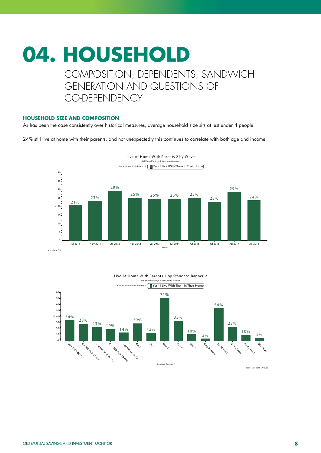### **04. HOUSEHOLD** COMPOSITION, DEPENDENTS, SANDWICH GENERATION AND QUESTIONS OF CO-DEPENDENCY

### **HOUSEHOLD SIZE AND COMPOSITION**

As has been the case consistently over historical measures, average household size sits at just under 4 people.

24% still live at home with their parents, and not unexpectedly this continues to correlate with both age and income.





#### Live At Home W ith Parents 2 by Standard Banner 2 Old Mutual Savings & Investment Monito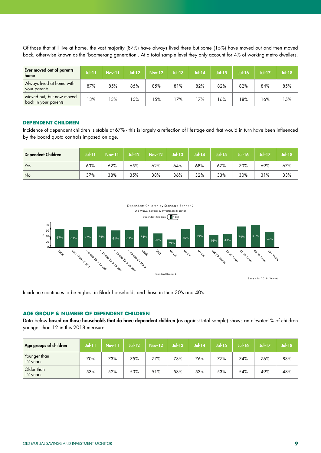Of those that still live at home, the vast majority (87%) have always lived there but some (15%) have moved out and then moved back, otherwise known as the 'boomerang generation'. At a total sample level they only account for 4% of working metro dwellers.

| <b>Ever moved out of parents</b><br>home         | $Jul-11$ | Nov-11 | $Jul-12$ | <b>Nov-12</b> | $Jul-13$ | $Jul-14$ | $Jul-15$ | $Jul-16$ | <b>Jul-17</b> | Jul-18 |
|--------------------------------------------------|----------|--------|----------|---------------|----------|----------|----------|----------|---------------|--------|
| Always lived at home with<br>your parents        | 87%      | 85%    | 85%      | 85%           | 81%      | 82%      | 82%      | 82%      | 84%           | 85%    |
| Moved out, but now moved<br>back in your parents | 13%      | 13%    | 5%       | 5%            | 7%،      | 7%       | 16%      | 18%      | 16%           | 15%    |

### **DEPENDENT CHILDREN**

Incidence of dependent children is stable at 67% - this is largely a reflection of lifestage and that would in turn have been influenced by the board quota controls imposed on age.

| Dependent Children | <b>Jul-11</b> | $\mathsf{Nov}\text{-}\mathsf{11}$ | $Jul-12$ | $Nov-12$ | $Ju$ -13 | $Jul-14$ | <b>Jul-15</b> | <b>Jul-16</b> | Jul-17 | Jul-18 |
|--------------------|---------------|-----------------------------------|----------|----------|----------|----------|---------------|---------------|--------|--------|
| Yes                | 63%           | 62%                               | 65%      | 62%      | 64%      | 68%      | 67%           | 70%           | 69%    | 67%    |
| No                 | 37%           | 38%                               | 35%      | 38%      | 36%      | 32%      | 33%           | 30%           | 31%    | 33%    |



Incidence continues to be highest in Black households and those in their 30's and 40's.

### **AGE GROUP & NUMBER OF DEPENDENT CHILDREN**

Data below based on those households that do have dependent children (as against total sample) shows an elevated % of children younger than 12 in this 2018 measure.

| Age groups of children   | <b>Jul-11</b> | <b>Nov-11</b> | $Jul-12$ | <b>Nov-12</b> | $Jul-13$ | $Jul-14$ | $Jul-15$ | Jul-16 | <b>Jul-17</b> | <b>Jul-18</b> |
|--------------------------|---------------|---------------|----------|---------------|----------|----------|----------|--------|---------------|---------------|
| Younger than<br>12 years | 70%           | 73%           | 75%      | 77%           | 73%      | 76%      | 77%      | 74%    | 76%           | 83%           |
| Older than<br>12 years   | 53%           | 52%           | 53%      | 51%           | 53%      | 53%      | 53%      | 54%    | 49%           | 48%           |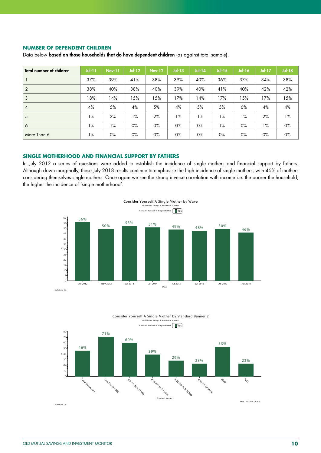### **NUMBER OF DEPENDENT CHILDREN**

Data below based on those households that do have dependent children (as against total sample).

| <b>Total number of children</b> | $J$ ul-11 | <b>Nov-11</b> | <b>Jul-12</b> | <b>Nov-12</b> | $Jul-13$ | <b>Jul-14</b> | $Jul-15$ | <b>Jul-16</b> | $Jul-17$ | <b>Jul-18</b> |
|---------------------------------|-----------|---------------|---------------|---------------|----------|---------------|----------|---------------|----------|---------------|
|                                 | 37%       | 39%           | 41%           | 38%           | 39%      | 40%           | 36%      | 37%           | 34%      | 38%           |
| $\sqrt{2}$                      | 38%       | 40%           | 38%           | 40%           | 39%      | 40%           | 41%      | 40%           | 42%      | 42%           |
| $\mathbf{3}$                    | 18%       | 14%           | 15%           | 15%           | 17%      | 14%           | 17%      | 15%           | 17%      | 15%           |
| $\overline{4}$                  | 4%        | 5%            | 4%            | 5%            | 4%       | 5%            | 5%       | 6%            | 4%       | 4%            |
| 5 <sup>5</sup>                  | $1\%$     | 2%            | $1\%$         | 2%            | 1%       | $1\%$         | $1\%$    | 1%            | 2%       | 1%            |
| 6                               | $1\%$     | $1\%$         | $0\%$         | $0\%$         | $0\%$    | $0\%$         | $1\%$    | $0\%$         | $1\%$    | 0%            |
| More Than 6                     | $1\%$     | $0\%$         | $0\%$         | 0%            | $0\%$    | 0%            | $0\%$    | 0%            | 0%       | $0\%$         |

### **SINGLE MOTHERHOOD AND FINANCIAL SUPPORT BY FATHERS**

In July 2012 a series of questions were added to establish the incidence of single mothers and financial support by fathers. Although down marginally, these July 2018 results continue to emphasise the high incidence of single mothers, with 46% of mothers considering themselves single mothers. Once again we see the strong inverse correlation with income i.e. the poorer the household, the higher the incidence of 'single motherhood'.





Consider Yourself A Single M other by Standard Banner 2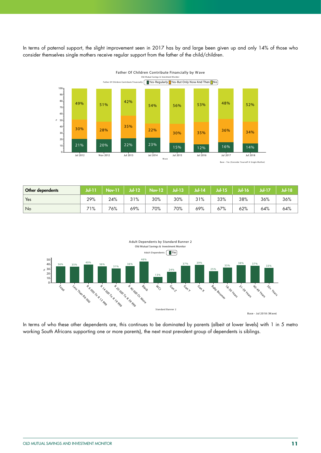In terms of paternal support, the slight improvement seen in 2017 has by and large been given up and only 14% of those who consider themselves single mothers receive regular support from the father of the child/children.



| Other dependents | Jul-17 | <b>Nov-11</b> | Jul-12 | <b>Nov-12</b> | Jul-13 | <b>Jul-14</b> | Jul-15 | $J$ ul-16 $J$ |     | Jul-18 |
|------------------|--------|---------------|--------|---------------|--------|---------------|--------|---------------|-----|--------|
| Yes              | 29%    | 24%           | 31%    | 30%           | 30%    | 31%           | 33%    | 38%           | 36% | 36%    |
| No               | 71%    | 76%           | 69%    | 70%           | 70%    | 69%           | 67%    | 62%           | 64% | 64%    |



In terms of who these other dependents are, this continues to be dominated by parents (albeit at lower levels) with 1 in 5 metro working South Africans supporting one or more parents), the next most prevalent group of dependents is siblings.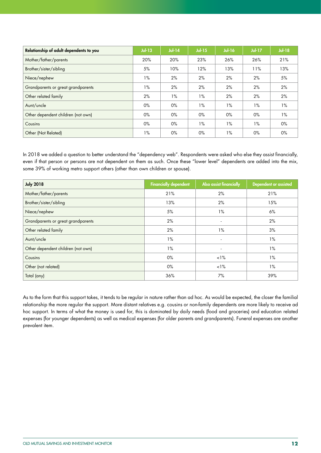| Relationship of adult dependents to you | $Jul-13$ | $Jul-14$ | $Jul-15$ | <b>Jul-16</b> | $Jul-17$ | $Jul-18$ |
|-----------------------------------------|----------|----------|----------|---------------|----------|----------|
| Mother/father/parents                   | 20%      | 20%      | 23%      | 26%           | 26%      | 21%      |
| Brother/sister/sibling                  | 5%       | 10%      | 12%      | 13%           | 11%      | 13%      |
| Niece/nephew                            | $1\%$    | 2%       | 2%       | 2%            | 2%       | 5%       |
| Grandparents or great grandparents      | $1\%$    | 2%       | 2%       | 2%            | 2%       | 2%       |
| Other related family                    | 2%       | $1\%$    | $1\%$    | 2%            | 2%       | 2%       |
| Aunt/uncle                              | $0\%$    | $0\%$    | $1\%$    | $1\%$         | $1\%$    | $1\%$    |
| Other dependent children (not own)      | $0\%$    | $0\%$    | $0\%$    | $0\%$         | $0\%$    | $1\%$    |
| Cousins                                 | $0\%$    | $0\%$    | $1\%$    | $1\%$         | $1\%$    | $0\%$    |
| Other (Not Related)                     | $1\%$    | $0\%$    | $0\%$    | $1\%$         | $0\%$    | 0%       |

In 2018 we added a question to better understand the "dependency web". Respondents were asked who else they assist financially, even if that person or persons are not dependent on them as such. Once these "lower level" dependents are added into the mix, some 39% of working metro support others (other than own children or spouse).

| <b>July 2018</b>                   | <b>Financially dependent</b> | Also assist financially  | <b>Dependent or assisted</b> |
|------------------------------------|------------------------------|--------------------------|------------------------------|
| Mother/father/parents              | 21%                          | 2%                       | 21%                          |
| Brother/sister/sibling             | 13%                          | 2%                       | 15%                          |
| Niece/nephew                       | 5%                           | $1\%$                    | 6%                           |
| Grandparents or great grandparents | 2%                           | $\overline{\phantom{a}}$ | 2%                           |
| Other related family               | 2%                           | $1\%$                    | 3%                           |
| Aunt/uncle                         | $1\%$                        |                          | $1\%$                        |
| Other dependent children (not own) | $1\%$                        | ۰                        | $1\%$                        |
| Cousins                            | $0\%$                        | $1\%$                    | $1\%$                        |
| Other (not related)                | $0\%$                        | $1\%$                    | $1\%$                        |
| Total (any)                        | 36%                          | 7%                       | 39%                          |

As to the form that this support takes, it tends to be regular in nature rather than ad hoc. As would be expected, the closer the familial relationship the more regular the support. More distant relatives e.g. cousins or non-family dependents are more likely to receive ad hoc support. In terms of what the money is used for, this is dominated by daily needs (food and groceries) and education related expenses (for younger dependents) as well as medical expenses (for older parents and grandparents). Funeral expenses are another prevalent item.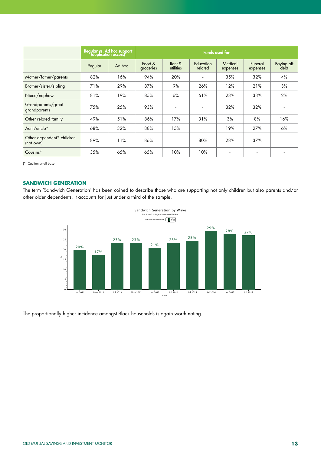|                                        |         | Regular ys. Ad hoc support<br>(duplication occurs) |                     |                     | <b>Funds used for</b>       |                     |                          |                    |
|----------------------------------------|---------|----------------------------------------------------|---------------------|---------------------|-----------------------------|---------------------|--------------------------|--------------------|
|                                        | Regular | Ad hoc                                             | Food &<br>groceries | Rent &<br>utilities | <b>Education</b><br>related | Medical<br>expenses | Funeral<br>expenses      | Paying off<br>debt |
| Mother/father/parents                  | 82%     | 16%                                                | 94%                 | 20%                 |                             | 35%                 | 32%                      | 4%                 |
| Brother/sister/sibling                 | 71%     | 29%                                                | 87%                 | 9%                  | 26%                         | 12%                 | 21%                      | 3%                 |
| Niece/nephew                           | 81%     | 19%                                                | 85%                 | 6%                  | 61%                         | 23%                 | 33%                      | 2%                 |
| Grandparents/great<br>grandparents     | 75%     | 25%                                                | 93%                 | $\blacksquare$      | $\overline{a}$              | 32%                 | 32%                      |                    |
| Other related family                   | 49%     | 51%                                                | 86%                 | 17%                 | 31%                         | 3%                  | 8%                       | 16%                |
| Aunt/uncle*                            | 68%     | 32%                                                | 88%                 | 15%                 |                             | 19%                 | 27%                      | 6%                 |
| Other dependent* children<br>(not own) | 89%     | 11%                                                | 86%                 | $\blacksquare$      | 80%                         | 28%                 | 37%                      |                    |
| Cousins*                               | 35%     | 65%                                                | 65%                 | 10%                 | 10%                         |                     | $\overline{\phantom{a}}$ |                    |

(\*) Caution small base

### **SANDWICH GENERATION**

The term 'Sandwich Generation' has been coined to describe those who are supporting not only children but also parents and/or other older dependents. It accounts for just under a third of the sample.



The proportionally higher incidence amongst Black households is again worth noting.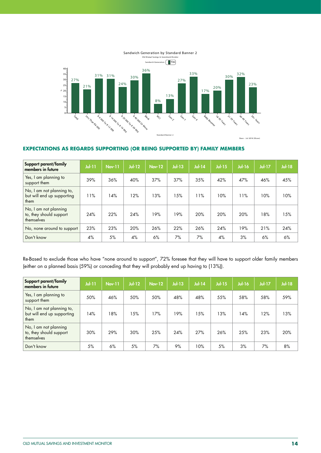

### **EXPECTATIONS AS REGARDS SUPPORTING (OR BEING SUPPORTED BY) FAMILY MEMBERS**

| Support parent/family<br>members in future                      | $J0$ $-11$ | <b>Nov-11</b> | $Jul-12$ | <b>Nov-12</b> | <b>Jul-13</b> | $Jul-14$ | $Jul-15$ | <b>Jul-16</b> | $Jul-17$ | $Jul-18$ |
|-----------------------------------------------------------------|------------|---------------|----------|---------------|---------------|----------|----------|---------------|----------|----------|
| Yes, I am planning to<br>support them                           | 39%        | 36%           | 40%      | 37%           | 37%           | 35%      | 42%      | 47%           | 46%      | 45%      |
| No, I am not planning to,<br>but will end up supporting<br>them | 11%        | 14%           | 12%      | 13%           | 15%           | 11%      | 10%      | 11%           | 10%      | 10%      |
| No, I am not planning<br>to, they should support<br>themselves  | 24%        | 22%           | 24%      | 19%           | 19%           | 20%      | 20%      | 20%           | 18%      | 15%      |
| No, none around to support                                      | 23%        | 23%           | 20%      | 26%           | 22%           | 26%      | 24%      | 19%           | 21%      | 24%      |
| Don't know                                                      | 4%         | 5%            | 4%       | 6%            | 7%            | 7%       | 4%       | 3%            | 6%       | 6%       |

Re-Based to exclude those who have "none around to support", 72% foresee that they will have to support older family members (either on a planned basis (59%) or conceding that they will probably end up having to (13%)).

| Support parent/family<br>members in future                      | $J0$ $-11$ | <b>Nov-11</b> | $Jul-12$ | <b>Nov-12</b> | $Jul-13$ | <b>Jul-14</b> | $Jul-15$ | $Jul-16$ | $Jul-17$ | $Jul-18$ |
|-----------------------------------------------------------------|------------|---------------|----------|---------------|----------|---------------|----------|----------|----------|----------|
| Yes, I am planning to<br>support them                           | 50%        | 46%           | 50%      | 50%           | 48%      | 48%           | 55%      | 58%      | 58%      | 59%      |
| No, I am not planning to,<br>but will end up supporting<br>them | 14%        | 18%           | 15%      | 17%           | 19%      | 15%           | 13%      | 14%      | 12%      | 13%      |
| No, I am not planning<br>to, they should support<br>themselves  | 30%        | 29%           | 30%      | 25%           | 24%      | 27%           | 26%      | 25%      | 23%      | 20%      |
| Don't know                                                      | 5%         | 6%            | 5%       | 7%            | 9%       | 10%           | 5%       | 3%       | 7%       | 8%       |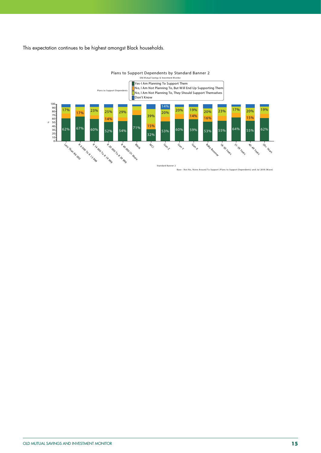This expectation continues to be highest amongst Black households.



Plans to Support Dependents by Standard Banner 2

Base - Not No, None Around To Support (Plans to Support Dependents) and Jul 2018 (W ave) Standard Banner 2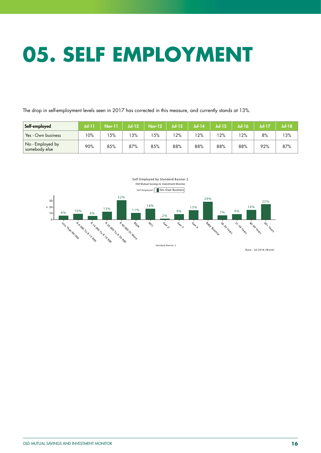## **05. SELF EMPLOYMENT**

The drop in self-employment levels seen in 2017 has corrected in this measure, and currently stands at 13%.

| Self-employed                     | Jul-11 | <b>Nov-11</b> | $Jul-12$ | <b>Nov-12</b> | Jul-13 | <b>Jul-14</b> | Jul-15 | Jul-16 | $Jul-17$ | Jul-18 |
|-----------------------------------|--------|---------------|----------|---------------|--------|---------------|--------|--------|----------|--------|
| Yes - Own business                | 10%    | 5%            | 3%       | 5%            | 12%    | 12%           | 2%     | 12%    | 8%       | 13%    |
| No - Employed by<br>somebody else | 90%    | 85%           | 87%      | 85%           | 88%    | 88%           | 88%    | 88%    | 92%      | 87%    |

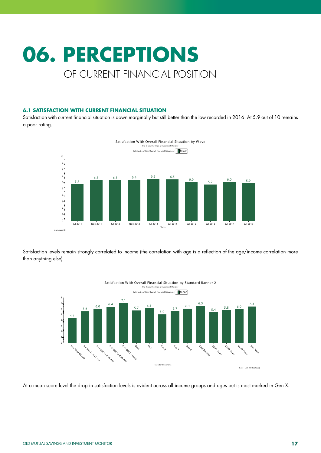## **06. PERCEPTIONS** OF CURRENT FINANCIAL POSITION

### **6.1 SATISFACTION WITH CURRENT FINANCIAL SITUATION**

Satisfaction with current financial situation is down marginally but still better than the low recorded in 2016. At 5.9 out of 10 remains a poor rating.



Satisfaction levels remain strongly correlated to income (the correlation with age is a reflection of the age/income correlation more than anything else)



At a mean score level the drop in satisfaction levels is evident across all income groups and ages but is most marked in Gen X.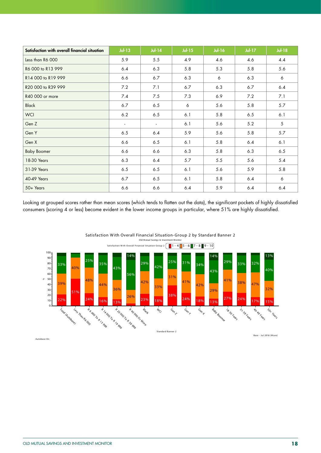| Satisfaction with overall financial situation | $Jul-13$ | $Jul-14$ | $Jul-15$ | <b>Jul-16</b> | <b>Jul-17</b> | <b>Jul-18</b>  |
|-----------------------------------------------|----------|----------|----------|---------------|---------------|----------------|
| Less than R6 000                              | 5.9      | $5.5$    | 4.9      | 4.6           | 4.6           | 4.4            |
| R6 000 to R13 999                             | 6.4      | 6.3      | 5.8      | 5.3           | 5.8           | 5.6            |
| R14 000 to R19 999                            | 6.6      | 6.7      | 6.3      | 6             | 6.3           | 6              |
| R20 000 to R39 999                            | 7.2      | 7.1      | 6.7      | 6.3           | 6.7           | 6.4            |
| R40 000 or more                               | 7.4      | 7.5      | 7.3      | 6.9           | 7.2           | 7.1            |
| <b>Black</b>                                  | 6.7      | 6.5      | 6        | 5.6           | 5.8           | 5.7            |
| <b>WCI</b>                                    | 6.2      | 6.5      | 6.1      | 5.8           | 6.5           | 6.1            |
| Gen Z                                         | $\sim$   | $\sim$   | 6.1      | 5.6           | 5.2           | $\mathfrak{S}$ |
| Gen Y                                         | 6.5      | 6.4      | 5.9      | 5.6           | 5.8           | 5.7            |
| Gen X                                         | 6.6      | 6.5      | 6.1      | 5.8           | $6.4$         | 6.1            |
| <b>Baby Boomer</b>                            | 6.6      | 6.6      | 6.3      | 5.8           | 6.3           | 6.5            |
| 18-30 Years                                   | 6.3      | 6.4      | 5.7      | $5.5$         | 5.6           | 5.4            |
| 31-39 Years                                   | 6.5      | 6.5      | 6.1      | 5.6           | 5.9           | 5.8            |
| 40-49 Years                                   | 6.7      | 6.5      | 6.1      | 5.8           | 6.4           | 6              |
| 50+ Years                                     | 6.6      | 6.6      | 6.4      | 5.9           | $6.4$         | $6.4$          |

Looking at grouped scores rather than mean scores (which tends to flatten out the data), the significant pockets of highly dissatisfied consumers (scoring 4 or less) become evident in the lower income groups in particular, where 51% are highly dissatisfied.



Satisfaction W ith Overall Financial Situation-Group 2 by Standard Banner 2

Autobase On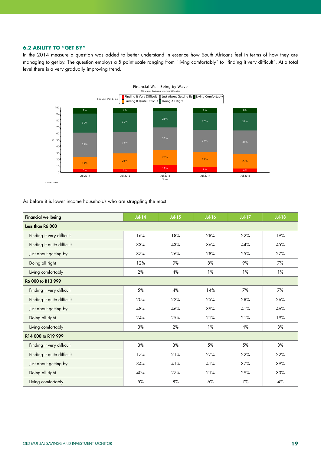### **6.2 ABILITY TO "GET BY"**

In the 2014 measure a question was added to better understand in essence how South Africans feel in terms of how they are managing to get by. The question employs a 5 point scale ranging from "living comfortably" to "finding it very difficult". At a total level there is a very gradually improving trend.



As before it is lower income households who are struggling the most.

| <b>Financial wellbeing</b> | $Jul-14$ | $Jul-15$ | <b>Jul-16</b> | <b>Jul-17</b> | $Jul-18$ |
|----------------------------|----------|----------|---------------|---------------|----------|
| Less than R6 000           |          |          |               |               |          |
| Finding it very difficult  | 16%      | 18%      | 28%           | 22%           | 19%      |
| Finding it quite difficult | 33%      | 43%      | 36%           | 44%           | 45%      |
| Just about getting by      | 37%      | 26%      | 28%           | 25%           | 27%      |
| Doing all right            | 12%      | 9%       | 8%            | 9%            | 7%       |
| Living comfortably         | 2%       | 4%       | 1%            | 1%            | $1\%$    |
| R6 000 to R13 999          |          |          |               |               |          |
| Finding it very difficult  | 5%       | 4%       | 14%           | 7%            | 7%       |
| Finding it quite difficult | 20%      | 22%      | 25%           | 28%           | 26%      |
| Just about getting by      | 48%      | 46%      | 39%           | 41%           | 46%      |
| Doing all right            | 24%      | 25%      | 21%           | 21%           | 19%      |
| Living comfortably         | 3%       | 2%       | $1\%$         | 4%            | $3%$     |
| R14 000 to R19 999         |          |          |               |               |          |
| Finding it very difficult  | 3%       | 3%       | 5%            | 5%            | 3%       |
| Finding it quite difficult | 17%      | 21%      | 27%           | 22%           | 22%      |
| Just about getting by      | 34%      | 41%      | 41%           | 37%           | 39%      |
| Doing all right            | 40%      | 27%      | 21%           | 29%           | 33%      |
| Living comfortably         | $5\%$    | $8\%$    | $6\%$         | 7%            | $4\%$    |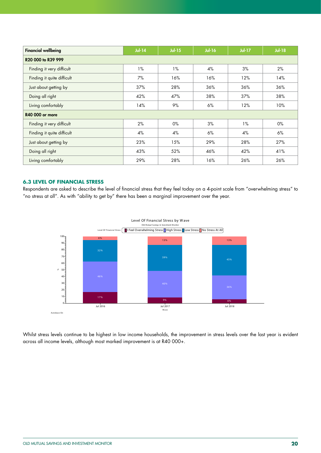| <b>Financial wellbeing</b> | $Jul-14$ | $Jul-15$ | <b>Jul-16</b> | $Jul-17$ | <b>Jul-18</b> |  |  |  |
|----------------------------|----------|----------|---------------|----------|---------------|--|--|--|
| R20 000 to R39 999         |          |          |               |          |               |  |  |  |
| Finding it very difficult  | 1%       | $1\%$    | 4%            | 3%       | 2%            |  |  |  |
| Finding it quite difficult | 7%       | 16%      | 16%           | 12%      | 14%           |  |  |  |
| Just about getting by      | 37%      | 28%      | 36%           | 36%      | 36%           |  |  |  |
| Doing all right            | 42%      | 47%      | 38%           | 37%      | 38%           |  |  |  |
| Living comfortably         | 14%      | 9%       | 6%            | 12%      | 10%           |  |  |  |
| <b>R40 000 or more</b>     |          |          |               |          |               |  |  |  |
| Finding it very difficult  | 2%       | $0\%$    | 3%            | $1\%$    | 0%            |  |  |  |
| Finding it quite difficult | 4%       | 4%       | 6%            | 4%       | 6%            |  |  |  |
| Just about getting by      | 23%      | 15%      | 29%           | 28%      | 27%           |  |  |  |
| Doing all right            | 43%      | 52%      | 46%           | 42%      | 41%           |  |  |  |
| Living comfortably         | 29%      | 28%      | 16%           | 26%      | 26%           |  |  |  |

### **6.3 LEVEL OF FINANCIAL STRESS**

Respondents are asked to describe the level of financial stress that they feel today on a 4-point scale from "overwhelming stress" to "no stress at all". As with "ability to get by" there has been a marginal improvement over the year.



Whilst stress levels continue to be highest in low income households, the improvement in stress levels over the last year is evident across all income levels, although most marked improvement is at R40 000+.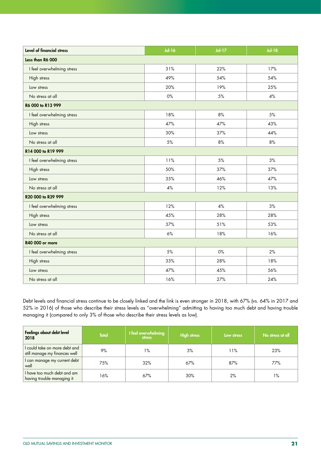| Level of financial stress  | <b>Jul-16</b> | $Jul-17$ | $Jul-18$ |
|----------------------------|---------------|----------|----------|
| Less than R6 000           |               |          |          |
| I feel overwhelming stress | 31%           | 22%      | 17%      |
| High stress                | 49%           | 54%      | 54%      |
| Low stress                 | 20%           | 19%      | 25%      |
| No stress at all           | 0%            | 5%       | $4\%$    |
| R6 000 to R13 999          |               |          |          |
| I feel overwhelming stress | 18%           | 8%       | 5%       |
| High stress                | 47%           | 47%      | 43%      |
| Low stress                 | 30%           | 37%      | 44%      |
| No stress at all           | 5%            | 8%       | 8%       |
| R14 000 to R19 999         |               |          |          |
| I feel overwhelming stress | 11%           | 5%       | 3%       |
| High stress                | 50%           | 37%      | 37%      |
| Low stress                 | 35%           | 46%      | 47%      |
| No stress at all           | 4%            | 12%      | 13%      |
| R20 000 to R39 999         |               |          |          |
| I feel overwhelming stress | 12%           | 4%       | 3%       |
| High stress                | 45%           | 28%      | 28%      |
| Low stress                 | 37%           | 51%      | 53%      |
| No stress at all           | 6%            | 18%      | 16%      |
| R40 000 or more            |               |          |          |
| I feel overwhelming stress | 5%            | 0%       | 2%       |
| High stress                | 33%           | 28%      | 18%      |
| Low stress                 | 47%           | 45%      | 56%      |
| No stress at all           | 16%           | 27%      | 24%      |

Debt levels and financial stress continue to be closely linked and the link is even stronger in 2018, with 67% (vs. 64% in 2017 and 52% in 2016) of those who describe their stress levels as "overwhelming" admitting to having too much debt and having trouble managing it (compared to only 3% of those who describe their stress levels as low).

| Feelings about debt level<br>2018                              | <b>Total</b> | I feel overwhelming<br><b>stress</b> | <b>High stress</b> | Low stress | No stress at all |
|----------------------------------------------------------------|--------------|--------------------------------------|--------------------|------------|------------------|
| I could take on more debt and<br>still manage my finances well | 9%           | 1%                                   | 3%                 | 11%        | 23%              |
| I can manage my current debt<br>well                           | 75%          | 32%                                  | 67%                | 87%        | 77%              |
| I have too much debt and am<br>having trouble managing it      | 16%          | 67%                                  | 30%                | 2%         | 1%               |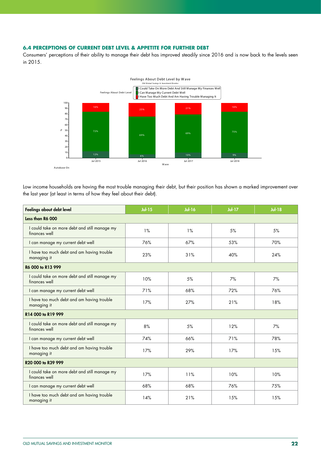### **6.4 PERCEPTIONS OF CURRENT DEBT LEVEL & APPETITE FOR FURTHER DEBT**

Consumers' perceptions of their ability to manage their debt has improved steadily since 2016 and is now back to the levels seen in 2015.



Low income households are having the most trouble managing their debt, but their position has shown a marked improvement over the last year (at least in terms of how they feel about their debt).

| Feelings about debt level                                      | $Jul-15$ | <b>Jul-16</b> | <b>Jul-17</b> | <b>Jul-18</b> |  |  |  |  |
|----------------------------------------------------------------|----------|---------------|---------------|---------------|--|--|--|--|
| Less than R6 000                                               |          |               |               |               |  |  |  |  |
| I could take on more debt and still manage my<br>finances well | 1%       | $1\%$         | 5%            | 5%            |  |  |  |  |
| I can manage my current debt well                              | 76%      | 67%           | 53%           | 70%           |  |  |  |  |
| I have too much debt and am having trouble<br>managing it      | 23%      | 31%           | 40%           | 24%           |  |  |  |  |
| R6 000 to R13 999                                              |          |               |               |               |  |  |  |  |
| I could take on more debt and still manage my<br>finances well | 10%      | 5%            | 7%            | 7%            |  |  |  |  |
| I can manage my current debt well                              | 71%      | 68%           | 72%           | 76%           |  |  |  |  |
| I have too much debt and am having trouble<br>managing it      | 17%      | 27%           | 21%           | 18%           |  |  |  |  |
| R14 000 to R19 999                                             |          |               |               |               |  |  |  |  |
| I could take on more debt and still manage my<br>finances well | 8%       | 5%            | 12%           | 7%            |  |  |  |  |
| I can manage my current debt well                              | 74%      | 66%           | 71%           | 78%           |  |  |  |  |
| I have too much debt and am having trouble<br>managing it      | 17%      | 29%           | 17%           | 15%           |  |  |  |  |
| R20 000 to R39 999                                             |          |               |               |               |  |  |  |  |
| I could take on more debt and still manage my<br>finances well | 17%      | 11%           | 10%           | 10%           |  |  |  |  |
| I can manage my current debt well                              | 68%      | 68%           | 76%           | 75%           |  |  |  |  |
| I have too much debt and am having trouble<br>managing it      | 14%      | 21%           | 15%           | 15%           |  |  |  |  |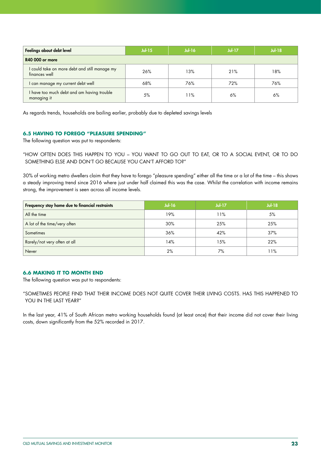| Feelings about debt level                                      | $Jul-15$ | $Jul-16$ | $Jul-17$ | $Jul-18$ |  |  |  |  |
|----------------------------------------------------------------|----------|----------|----------|----------|--|--|--|--|
| <b>R40 000 or more</b>                                         |          |          |          |          |  |  |  |  |
| I could take on more debt and still manage my<br>finances well | 26%      | 13%      | 21%      | 18%      |  |  |  |  |
| I can manage my current debt well                              | 68%      | 76%      | 72%      | 76%      |  |  |  |  |
| I have too much debt and am having trouble<br>managing it      | 5%       | 1%       | 6%       | 6%       |  |  |  |  |

As regards trends, households are bailing earlier, probably due to depleted savings levels

### **6.5 HAVING TO FOREGO "PLEASURE SPENDING"**

The following question was put to respondents:

"HOW OFTEN DOES THIS HAPPEN TO YOU – YOU WANT TO GO OUT TO EAT, OR TO A SOCIAL EVENT, OR TO DO SOMETHING ELSE AND DON'T GO BECAUSE YOU CAN'T AFFORD TO?"

30% of working metro dwellers claim that they have to forego "pleasure spending" either all the time or a lot of the time – this shows a steady improving trend since 2016 where just under half claimed this was the case. Whilst the correlation with income remains strong, the improvement is seen across all income levels.

| Frequency stay home due to financial restraints | <b>Jul-16</b> | $Jul-17$ | <b>Jul-18</b> |
|-------------------------------------------------|---------------|----------|---------------|
| All the time                                    | 19%           | 11%      | 5%            |
| A lot of the time/very often                    | 30%           | 25%      | 25%           |
| Sometimes                                       | 36%           | 42%      | 37%           |
| Rarely/not very often at all                    | 14%           | 15%      | 22%           |
| Never                                           | 2%            | 7%       | l 1%          |

### **6.6 MAKING IT TO MONTH END**

The following question was put to respondents:

"SOMETIMES PEOPLE FIND THAT THEIR INCOME DOES NOT QUITE COVER THEIR LIVING COSTS. HAS THIS HAPPENED TO YOU IN THE LAST YEAR?"

In the last year, 41% of South African metro working households found (at least once) that their income did not cover their living costs, down significantly from the 52% recorded in 2017.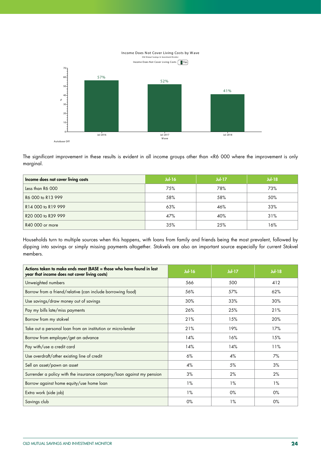

The significant improvement in these results is evident in all income groups other than <R6 000 where the improvement is only marginal.

| Income does not cover living costs | $Jul-16$ | <b>Jul-17</b> | $Jul-18$ |
|------------------------------------|----------|---------------|----------|
| Less than R6 000                   | 75%      | 78%           | 73%      |
| R6 000 to R13 999                  | 58%      | 58%           | 50%      |
| R14 000 to R19 999                 | 63%      | 46%           | 33%      |
| R20 000 to R39 999                 | 47%      | 40%           | 31%      |
| R40 000 or more                    | 35%      | 25%           | 16%      |

Households turn to multiple sources when this happens, with loans from family and friends being the most prevalent, followed by dipping into savings or simply missing payments altogether. Stokvels are also an important source especially for current Stokvel members.

| Actions taken to make ends meet ( $\text{BASE} = \text{those}$ who have found in last<br>year that income does not cover living costs) | <b>Jul-16</b> | <b>Jul-17</b> | $Jul-18$ |
|----------------------------------------------------------------------------------------------------------------------------------------|---------------|---------------|----------|
| Unweighted numbers                                                                                                                     | 566           | 500           | 412      |
| Borrow from a friend/relative (can include borrowing food)                                                                             | 56%           | 57%           | 62%      |
| Use savings/draw money out of savings                                                                                                  | 30%           | 33%           | 30%      |
| Pay my bills late/miss payments                                                                                                        | 26%           | 25%           | 21%      |
| Borrow from my stokvel                                                                                                                 | 21%           | 15%           | 20%      |
| Take out a personal loan from an institution or micro-lender                                                                           | 21%           | 19%           | 17%      |
| Borrow from employer/get an advance                                                                                                    | 14%           | 16%           | 15%      |
| Pay with/use a credit card                                                                                                             | 14%           | 14%           | 11%      |
| Use overdraft/other existing line of credit                                                                                            | 6%            | 4%            | 7%       |
| Sell an asset/pawn an asset                                                                                                            | 4%            | 5%            | 3%       |
| Surrender a policy with the insurance company/loan against my pension                                                                  | 3%            | 2%            | 2%       |
| Borrow against home equity/use home loan                                                                                               | $1\%$         | $1\%$         | 1%       |
| Extra work (side job)                                                                                                                  | 1%            | $0\%$         | $0\%$    |
| Savings club                                                                                                                           | $0\%$         | $1\%$         | $0\%$    |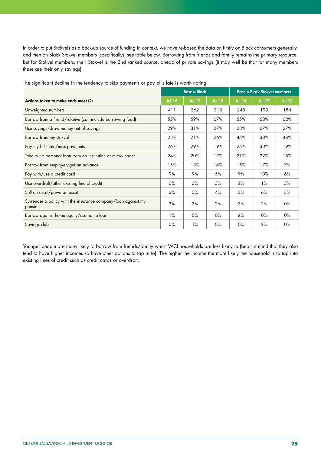In order to put Stokvels as a back-up source of funding in context, we have re-based the data on firstly on Black consumers generally, and then on Black Stokvel members (specifically), see table below. Borrowing from friends and family remains the primary resource, but for Stokvel members, their Stokvel is the 2nd ranked source, ahead of private savings (it may well be that for many members these are their only savings).

|                                                                          |               | $Base = Black$ |               |               | <b>Base = Black Stokvel members</b> |               |
|--------------------------------------------------------------------------|---------------|----------------|---------------|---------------|-------------------------------------|---------------|
| Actions taken to make ends meet (2)                                      | <b>Jul-16</b> | <b>Jul-17</b>  | <b>Jul-18</b> | <b>Jul-16</b> | <b>Jul-17</b>                       | <b>Jul-18</b> |
| Unweighted numbers                                                       | 411           | 362            | 318           | 248           | 193                                 | 184           |
| Borrow from a friend/relative (can include borrowing food)               | 55%           | 59%            | 67%           | 55%           | 58%                                 | 62%           |
| Use savings/draw money out of savings                                    | 29%           | 31%            | 27%           | 28%           | 27%                                 | 27%           |
| Borrow from my stokvel                                                   | 28%           | 21%            | 26%           | 45%           | 38%                                 | 44%           |
| Pay my bills late/miss payments                                          | 26%           | 29%            | 19%           | 25%           | 30%                                 | 19%           |
| Take out a personal loan from an institution or micro-lender             | 24%           | 20%            | 17%           | 21%           | 22%                                 | 15%           |
| Borrow from employer/get an advance                                      | 15%           | 18%            | 14%           | 15%           | 17%                                 | 7%            |
| Pay with/use a credit card                                               | 9%            | 9%             | 5%            | 9%            | 10%                                 | 6%            |
| Use overdraft/other existing line of credit                              | 6%            | 3%             | 5%            | 2%            | $1\%$                               | 5%            |
| Sell an asset/pawn an asset                                              | 3%            | 5%             | 4%            | 3%            | 6%                                  | 3%            |
| Surrender a policy with the insurance company/loan against my<br>pension | 3%            | 3%             | 2%            | 3%            | 2%                                  | $0\%$         |
| Borrow against home equity/use home loan                                 | $1\%$         | $0\%$          | $0\%$         | 2%            | $0\%$                               | $0\%$         |
| Savings club                                                             | $0\%$         | $1\%$          | $0\%$         | $0\%$         | 2%                                  | 0%            |

The significant decline in the tendency to skip payments or pay bills late is worth noting.

Younger people are more likely to borrow from friends/family whilst WCI households are less likely to (bear in mind that they also tend to have higher incomes so have other options to tap in to). The higher the income the more likely the household is to tap into existing lines of credit such as credit cards or overdraft.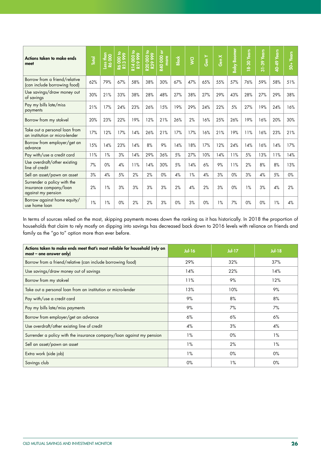| Actions taken to make ends<br>meet                                          | Total | $rac{1}{200}$<br>Less<br>R6 ( | 000 to<br>28 | ₽<br>6666<br>8<br>R14 | 000 to<br><b>666 628</b><br>$\overline{20}$ | <b>R40 000 or</b><br>more | <b>Black</b> | $\overline{S}$ | Gen Y | Gen X | <b>Baby Boomer</b> | 18-30 Years | <b>Years</b><br>$31 - 39$ | Years<br>40-49 | <b>Years</b><br>$\dot{5}$ |
|-----------------------------------------------------------------------------|-------|-------------------------------|--------------|-----------------------|---------------------------------------------|---------------------------|--------------|----------------|-------|-------|--------------------|-------------|---------------------------|----------------|---------------------------|
| Borrow from a friend/relative<br>(can include borrowing food)               | 62%   | 79%                           | 67%          | 58%                   | 38%                                         | 30%                       | 67%          | 47%            | 65%   | 55%   | 57%                | 76%         | 59%                       | 58%            | 51%                       |
| Use savings/draw money out<br>of savings                                    | 30%   | 21%                           | 33%          | 38%                   | 28%                                         | 48%                       | 27%          | 38%            | 27%   | 29%   | 43%                | 28%         | 27%                       | 29%            | 38%                       |
| Pay my bills late/miss<br>payments                                          | 21%   | 17%                           | 24%          | 23%                   | 26%                                         | 15%                       | 19%          | 29%            | 24%   | 22%   | 5%                 | 27%         | 19%                       | 24%            | 16%                       |
| Borrow from my stokvel                                                      | 20%   | 23%                           | 22%          | 19%                   | 12%                                         | 21%                       | 26%          | 2%             | 16%   | 25%   | 26%                | 19%         | 16%                       | 20%            | 30%                       |
| Take out a personal loan from<br>an institution or micro-lender             | 17%   | 12%                           | 17%          | 14%                   | 26%                                         | 21%                       | 17%          | 17%            | 16%   | 21%   | 19%                | 11%         | 16%                       | 23%            | 21%                       |
| Borrow from employer/get an<br>advance                                      | 15%   | 14%                           | 23%          | 14%                   | 8%                                          | 9%                        | 14%          | 18%            | 17%   | 12%   | 24%                | 14%         | 16%                       | 14%            | 17%                       |
| Pay with/use a credit card                                                  | 11%   | $1\%$                         | 3%           | 14%                   | 29%                                         | 36%                       | 5%           | 27%            | 10%   | 14%   | 11%                | 5%          | 13%                       | 11%            | 14%                       |
| Use overdraft/other existing<br>line of credit                              | 7%    | 0%                            | 4%           | 11%                   | 14%                                         | 30%                       | 5%           | 14%            | 6%    | 9%    | 11%                | 2%          | 8%                        | 8%             | 13%                       |
| Sell an asset/pawn an asset                                                 | 3%    | 4%                            | 5%           | 2%                    | 2%                                          | 0%                        | 4%           | 1%             | 4%    | 3%    | $0\%$              | 3%          | 4%                        | 5%             | $0\%$                     |
| Surrender a policy with the<br>insurance company/loan<br>against my pension | 2%    | 1%                            | 3%           | 3%                    | 3%                                          | 3%                        | 2%           | 4%             | 2%    | 3%    | $0\%$              | 1%          | 3%                        | 4%             | 2%                        |
| Borrow against home equity/<br>use home loan                                | 1%    | 1%                            | $0\%$        | 2%                    | 2%                                          | 3%                        | 0%           | 3%             | 0%    | 1%    | 7%                 | 0%          | 0%                        | 1%             | 4%                        |

In terms of sources relied on the most, skipping payments moves down the ranking as it has historically. In 2018 the proportion of households that claim to rely mostly on dipping into savings has decreased back down to 2016 levels with reliance on friends and family as the "go to" option more than ever before.

| Actions taken to make ends meet that's most reliable for household (rely on<br>$most - one answer only)$ | <b>Jul-16</b> | $Jul-17$ | $Jul-18$ |
|----------------------------------------------------------------------------------------------------------|---------------|----------|----------|
| Borrow from a friend/relative (can include borrowing food)                                               | 29%           | 32%      | 37%      |
| Use savings/draw money out of savings                                                                    | 14%           | 22%      | 14%      |
| Borrow from my stokvel                                                                                   | 11%           | 9%       | 12%      |
| Take out a personal loan from an institution or micro-lender                                             | 13%           | 10%      | 9%       |
| Pay with/use a credit card                                                                               | 9%            | 8%       | 8%       |
| Pay my bills late/miss payments                                                                          | 9%            | 7%       | 7%       |
| Borrow from employer/get an advance                                                                      | 6%            | 6%       | 6%       |
| Use overdraft/other existing line of credit                                                              | 4%            | 3%       | 4%       |
| Surrender a policy with the insurance company/loan against my pension                                    | $1\%$         | $0\%$    | $1\%$    |
| Sell an asset/pawn an asset                                                                              | $1\%$         | 2%       | $1\%$    |
| Extra work (side job)                                                                                    | $1\%$         | $0\%$    | $0\%$    |
| Savings club                                                                                             | $0\%$         | $1\%$    | 0%       |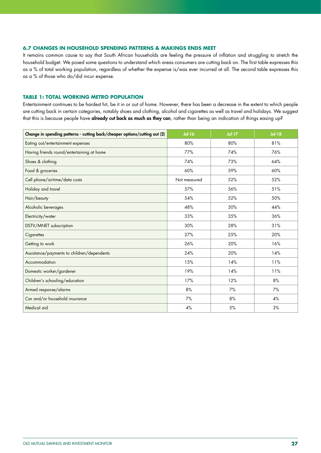### **6.7 CHANGES IN HOUSEHOLD SPENDING PATTERNS & MAKINGS ENDS MEET**

It remains common cause to say that South African households are feeling the pressure of inflation and struggling to stretch the household budget. We posed some questions to understand which areas consumers are cutting back on. The first table expresses this as a % of total working population, regardless of whether the expense is/was ever incurred at all. The second table expresses this as a % of those who do/did incur expense.

### **TABLE 1: TOTAL WORKING METRO POPULATION**

Entertainment continues to be hardest hit, be it in or out of home. However, there has been a decrease in the extent to which people are cutting back in certain categories, notably shoes and clothing, alcohol and cigarettes as well as travel and holidays. We suggest that this is because people have already cut back as much as they can, rather than being an indication of things easing up?

| Change in spending patterns - cutting back/cheaper options/cutting out (2) | <b>Jul-16</b> | <b>Jul-17</b> | <b>Jul-18</b> |
|----------------------------------------------------------------------------|---------------|---------------|---------------|
| Eating out/entertainment expenses                                          | 80%           | 80%           | 81%           |
| Having friends round/entertaining at home                                  | 77%           | 74%           | 76%           |
| Shoes & clothing                                                           | 74%           | 73%           | 64%           |
| Food & groceries                                                           | 60%           | 59%           | 60%           |
| Cell phone/airtime/data costs                                              | Not measured  | 52%           | 52%           |
| Holiday and travel                                                         | 57%           | 56%           | 51%           |
| Hair/beauty                                                                | 54%           | 52%           | 50%           |
| Alcoholic beverages                                                        | 48%           | 50%           | 44%           |
| Electricity/water                                                          | 33%           | 35%           | 36%           |
| DSTV/MNET subscription                                                     | 30%           | 28%           | 31%           |
| Cigarettes                                                                 | 27%           | 25%           | 20%           |
| Getting to work                                                            | 26%           | 20%           | 16%           |
| Assistance/payments to children/dependents                                 | 24%           | 20%           | 14%           |
| Accommodation                                                              | 15%           | 14%           | 11%           |
| Domestic worker/gardener                                                   | 19%           | 14%           | 11%           |
| Children's schooling/education                                             | 17%           | 12%           | 8%            |
| Armed response/alarms                                                      | 8%            | 7%            | 7%            |
| Car and/or household insurance                                             | 7%            | 8%            | 4%            |
| Medical aid                                                                | 4%            | 5%            | 3%            |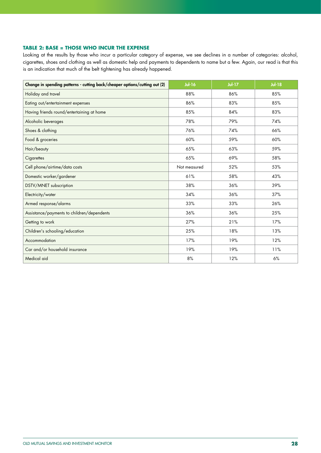### **TABLE 2: BASE = THOSE WHO INCUR THE EXPENSE**

Looking at the results by those who incur a particular category of expense, we see declines in a number of categories: alcohol, cigarettes, shoes and clothing as well as domestic help and payments to dependents to name but a few. Again, our read is that this is an indication that much of the belt tightening has already happened.

| Change in spending patterns - cutting back/cheaper options/cutting out (2) | <b>Jul-16</b> | <b>Jul-17</b> | <b>Jul-18</b> |
|----------------------------------------------------------------------------|---------------|---------------|---------------|
| Holiday and travel                                                         | 88%           | 86%           | 85%           |
| Eating out/entertainment expenses                                          | 86%           | 83%           | 85%           |
| Having friends round/entertaining at home                                  | 85%           | 84%           | 83%           |
| Alcoholic beverages                                                        | 78%           | 79%           | 74%           |
| Shoes & clothing                                                           | 76%           | 74%           | 66%           |
| Food & groceries                                                           | 60%           | 59%           | 60%           |
| Hair/beauty                                                                | 65%           | 63%           | 59%           |
| Cigarettes                                                                 | 65%           | 69%           | 58%           |
| Cell phone/airtime/data costs                                              | Not measured  | 52%           | 53%           |
| Domestic worker/gardener                                                   | 61%           | 58%           | 43%           |
| DSTV/MNET subscription                                                     | 38%           | 36%           | 39%           |
| Electricity/water                                                          | 34%           | 36%           | 37%           |
| Armed response/alarms                                                      | 33%           | 33%           | 26%           |
| Assistance/payments to children/dependents                                 | 36%           | 36%           | 25%           |
| Getting to work                                                            | 27%           | 21%           | 17%           |
| Children's schooling/education                                             | 25%           | 18%           | 13%           |
| Accommodation                                                              | 17%           | 19%           | 12%           |
| Car and/or household insurance                                             | 19%           | 19%           | 11%           |
| Medical aid                                                                | 8%            | 12%           | 6%            |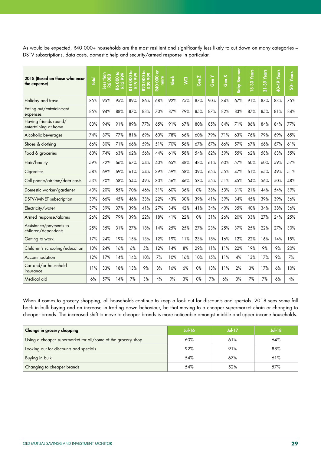As would be expected, R40 000+ households are the most resilient and significantly less likely to cut down on many categories – DSTV subscriptions, data costs, domestic help and security/armed response in particular.

| 2018 (Based on those who incur<br>the expense) | <b>Total</b> | Less than<br><b>R6000</b> | ە<br>2000<br>866<br>$\infty$<br>$\overline{8}$<br>定 | ە<br>2000<br>999<br>$\circ$<br><b>R14</b><br>R19 | 000 to<br>999<br>R39<br><b>R20</b> | ŏ<br><b>R40000</b><br>more | <b>Black</b> | $\overline{S}$ | N<br>Gen | Gen Y | Gen X | <b>Baby Boomer</b> | 18-30 Years | 31-39 Years | 40-49 Years | $50+Years$ |
|------------------------------------------------|--------------|---------------------------|-----------------------------------------------------|--------------------------------------------------|------------------------------------|----------------------------|--------------|----------------|----------|-------|-------|--------------------|-------------|-------------|-------------|------------|
| Holiday and travel                             | 85%          | 95%                       | 95%                                                 | 89%                                              | 86%                                | 68%                        | 92%          | 75%            | 87%      | 90%   | 84%   | 67%                | 91%         | 87%         | 83%         | 75%        |
| Eating out/entertainment<br>expenses           | 85%          | 94%                       | 88%                                                 | 87%                                              | 83%                                | 70%                        | 87%          | 79%            | 85%      | 87%   | 82%   | 83%                | 87%         | 85%         | 81%         | 84%        |
| Having friends round/<br>entertaining at home  | 83%          | 94%                       | 91%                                                 | 89%                                              | 77%                                | 65%                        | 91%          | 67%            | 80%      | 85%   | 84%   | 71%                | 86%         | 84%         | 84%         | 77%        |
| Alcoholic beverages                            | 74%          | 87%                       | 77%                                                 | 81%                                              | 69%                                | 60%                        | 78%          | 66%            | 60%      | 79%   | 71%   | 63%                | 76%         | 79%         | 69%         | 65%        |
| Shoes & clothing                               | 66%          | 80%                       | 71%                                                 | 66%                                              | 59%                                | 51%                        | 70%          | 56%            | 67%      | 67%   | 66%   | 57%                | 67%         | 66%         | 67%         | 61%        |
| Food & groceries                               | 60%          | 74%                       | 63%                                                 | 62%                                              | 56%                                | 44%                        | 61%          | 58%            | 54%      | 62%   | 59%   | 55%                | 62%         | 58%         | 63%         | 55%        |
| Hair/beauty                                    | 59%          | 72%                       | 66%                                                 | 67%                                              | 54%                                | 40%                        | 65%          | 48%            | 48%      | 61%   | 60%   | 57%                | 60%         | 60%         | 59%         | 57%        |
| Cigarettes                                     | 58%          | 69%                       | 69%                                                 | 61%                                              | 54%                                | 39%                        | 59%          | 58%            | 39%      | 65%   | 55%   | 47%                | 61%         | 65%         | 49%         | 51%        |
| Cell phone/airtime/data costs                  | 53%          | 70%                       | 58%                                                 | 54%                                              | 49%                                | 30%                        | 56%          | 46%            | 58%      | 55%   | 51%   | 45%                | 54%         | 56%         | 50%         | 48%        |
| Domestic worker/gardener                       | 43%          | 20%                       | 55%                                                 | 70%                                              | 46%                                | 31%                        | 60%          | 36%            | 0%       | 38%   | 53%   | 31%                | 21%         | 44%         | 54%         | 39%        |
| DSTV/MNET subscription                         | 39%          | 66%                       | 45%                                                 | 46%                                              | 33%                                | 22%                        | 43%          | 30%            | 39%      | 41%   | 39%   | 34%                | 45%         | 39%         | 39%         | 36%        |
| Electricity/water                              | 37%          | 39%                       | 37%                                                 | 39%                                              | 41%                                | 27%                        | 34%          | 42%            | 41%      | 34%   | 40%   | 35%                | 40%         | 34%         | 38%         | 36%        |
| Armed response/alarms                          | 26%          | 25%                       | 79%                                                 | 39%                                              | 22%                                | 18%                        | 41%          | 22%            | 0%       | 31%   | 26%   | 20%                | 33%         | 27%         | 24%         | 25%        |
| Assistance/payments to<br>children/dependents  | 25%          | 35%                       | 31%                                                 | 27%                                              | 18%                                | 14%                        | 25%          | 25%            | 27%      | 23%   | 25%   | 37%                | 25%         | 22%         | 27%         | 30%        |
| Getting to work                                | 17%          | 24%                       | 19%                                                 | 15%                                              | 13%                                | 12%                        | 19%          | 11%            | 23%      | 18%   | 16%   | 12%                | 22%         | 16%         | 14%         | 15%        |
| Children's schooling/education                 | 13%          | 24%                       | 16%                                                 | 6%                                               | 5%                                 | 12%                        | 14%          | 8%             | 29%      | 11%   | 11%   | 22%                | 19%         | 9%          | 9%          | 20%        |
| Accommodation                                  | 12%          | 17%                       | 14%                                                 | 14%                                              | 10%                                | 7%                         | 10%          | 16%            | 10%      | 15%   | 11%   | 4%                 | 13%         | 17%         | 9%          | 7%         |
| Car and/or household<br>insurance              | 11%          | 33%                       | 18%                                                 | 13%                                              | 9%                                 | 8%                         | 16%          | 6%             | 0%       | 13%   | 11%   | 2%                 | 3%          | 17%         | 6%          | 10%        |
| Medical aid                                    | 6%           | 57%                       | 14%                                                 | 7%                                               | 3%                                 | 4%                         | 9%           | 3%             | 0%       | 7%    | 6%    | 3%                 | 7%          | 7%          | 6%          | 4%         |

When it comes to grocery shopping, all households continue to keep a look out for discounts and specials. 2018 sees some fall back in bulk buying and an increase in trading down behaviour, be that moving to a cheaper supermarket chain or changing to cheaper brands. The increased shift to move to cheaper brands is more noticeable amongst middle and upper income households.

| Change in grocery shopping                                   | $Jul-16$ | $Jul-17$ | $Jul-18$ |
|--------------------------------------------------------------|----------|----------|----------|
| Using a cheaper supermarket for all/some of the grocery shop | 60%      | 61%      | 64%      |
| Looking out for discounts and specials                       | 92%      | 91%      | 88%      |
| Buying in bulk                                               | 54%      | 67%      | 61%      |
| Changing to cheaper brands                                   | 54%      | 52%      | 57%      |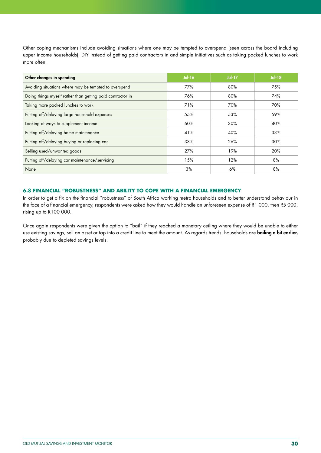Other coping mechanisms include avoiding situations where one may be tempted to overspend (seen across the board including upper income households), DIY instead of getting paid contractors in and simple initiatives such as taking packed lunches to work more often.

| Other changes in spending                                  | $Jul-16$ | $Jul-17$ | Jul-18 |
|------------------------------------------------------------|----------|----------|--------|
| Avoiding situations where may be tempted to overspend      | 77%      | 80%      | 75%    |
| Doing things myself rather than getting paid contractor in | 76%      | 80%      | 74%    |
| Taking more packed lunches to work                         | 71%      | 70%      | 70%    |
| Putting off/delaying large household expenses              | 55%      | 53%      | 59%    |
| Looking at ways to supplement income                       | 60%      | 30%      | 40%    |
| Putting off/delaying home maintenance                      | 41%      | 40%      | 33%    |
| Putting off/delaying buying or replacing car               | 33%      | 26%      | 30%    |
| Selling used/unwanted goods                                | 27%      | 19%      | 20%    |
| Putting off/delaying car maintenance/servicing             | 15%      | 12%      | 8%     |
| None                                                       | 3%       | 6%       | 8%     |

### **6.8 FINANCIAL "ROBUSTNESS" AND ABILITY TO COPE WITH A FINANCIAL EMERGENCY**

In order to get a fix on the financial "robustness" of South Africa working metro households and to better understand behaviour in the face of a financial emergency, respondents were asked how they would handle an unforeseen expense of R1 000, then R5 000, rising up to R100 000.

Once again respondents were given the option to "bail" if they reached a monetary ceiling where they would be unable to either use existing savings, sell an asset or tap into a credit line to meet the amount. As regards trends, households are **bailing a bit earlier,** probably due to depleted savings levels.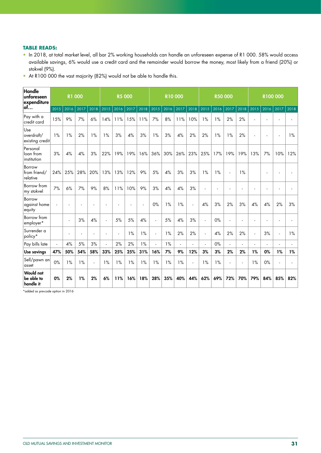### **TABLE READS:**

- In 2018, at total market level, all bar 2% working households can handle an unforeseen expense of R1 000. 58% would access available savings, 6% would use a credit card and the remainder would borrow the money, most likely from a friend (20%) or stokvel (9%).
- At R100 000 the vast majority (82%) would not be able to handle this.

| Handle<br>unforeseen<br>expenditure         | <b>R1 000</b><br>2016<br>2017<br>2018<br>2015 |        |     |                      | <b>R5 000</b>            |      |      |      | <b>R10000</b> |      |          |        |      | <b>R50 000</b> |                             |      |      | R100 000             |                |      |
|---------------------------------------------|-----------------------------------------------|--------|-----|----------------------|--------------------------|------|------|------|---------------|------|----------|--------|------|----------------|-----------------------------|------|------|----------------------|----------------|------|
| lof…                                        |                                               |        |     |                      | 2015                     | 2016 | 2017 | 2018 | 2015          | 2016 | 2017     | 2018   | 2015 | 2016           | 2017                        | 2018 | 2015 | 2016                 | 2017           | 2018 |
| Pay with a<br>credit card                   | 15%                                           | 9%     | 7%  | 6%                   | 14%                      | 11%  | 15%  | 11%  | 7%            | 8%   | 11%      | 10%    | 1%   | 1%             | 2%                          | 2%   |      | ä,                   |                |      |
| Use<br>overdraft/<br>existing credit        | 1%                                            | 1%     | 2%  | 1%                   | 1%                       | 3%   | 4%   | 3%   | 1%            | 3%   | 4%       | 2%     | 2%   | 1%             | 1%                          | 2%   |      | ä,                   |                | 1%   |
| Personal<br>loan from<br>institution        | 3%                                            | 4%     | 4%  | 3%                   | 22%                      | 19%  | 19%  | 16%  | 36%           | 30%  | 26%      | 23%    | 25%  | 17%            | 19%                         | 19%  | 13%  | 7%                   | 10%            | 12%  |
| Borrow<br>from friend/<br>relative          | 24%                                           | 25%    | 28% | 20%                  | 13%                      | 13%  | 12%  | 9%   | 5%            | 4%   | 3%       | 3%     | 1%   | 1%             | $\sim$                      | 1%   |      | ÷                    |                |      |
| Borrow from<br>my stokvel                   | 7%                                            | 6%     | 7%  | 9%                   | 8%                       | 11%  | 10%  | 9%   | 3%            | 4%   | 4%       | 3%     | ä,   |                | ä,                          |      |      | ä,                   |                |      |
| Borrow<br>against home<br>equity            |                                               |        |     |                      |                          |      |      | ÷.   | 0%            | 1%   | 1%       | $\sim$ | 4%   | 3%             | 2%                          | 3%   | 4%   | 4%                   | 2%             | 3%   |
| Borrow from<br>employer*                    |                                               | $\sim$ | 3%  | 4%                   | $\tilde{\phantom{a}}$    | 5%   | 5%   | 4%   | $\omega$      | 5%   | 4%       | 3%     | ÷,   | 0%             | ä,                          |      |      | $\ddot{\phantom{1}}$ |                |      |
| Surrender a<br>policy*                      |                                               | $\sim$ | ÷.  | $\ddot{\phantom{1}}$ | $\overline{\phantom{a}}$ | ÷    | 1%   | 1%   | ä,            | 1%   | 2%       | 2%     | L.   | 4%             | 2%                          | 2%   | ÷.   | 3%                   | $\overline{a}$ | 1%   |
| Pay bills late                              | $\mathbf{r}$                                  | 4%     | 5%  | 3%                   | ÷.                       | 2%   | 2%   | 1%   | ÷.            | 1%   | $\omega$ | $\sim$ | ÷.   | 0%             | $\mathcal{L}_{\mathcal{A}}$ | ÷    | ä,   | $\blacksquare$       | ÷.             |      |
| Use savings                                 | 47%                                           | 50%    | 54% | 58%                  | 33%                      | 25%  | 25%  | 31%  | 16%           | 7%   | 9%       | 12%    | 3%   | 3%             | 2%                          | 2%   | 1%   | 0%                   | 1%             | 1%   |
| Sell/pawn an<br>asset                       | 0%                                            | 1%     | 1%  |                      | 1%                       | 1%   | 1%   | 1%   | 1%            | 1%   | 1%       | ä,     | 1%   | 1%             | ä,                          |      | 1%   | 0%                   |                |      |
| <b>Would not</b><br>be able to<br>handle it | 0%                                            | 2%     | 1%  | 2%                   | 6%                       | 11%  | 16%  | 18%  | 28%           | 35%  | 40%      | 44%    | 62%  | 69%            | 72%                         | 70%  | 79%  | 84%                  | 85%            | 82%  |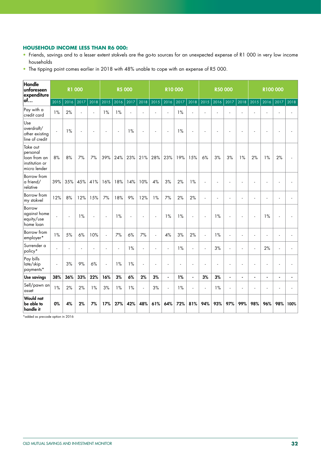### **HOUSEHOLD INCOME LESS THAN R6 000:**

- Friends, savings and to a lesser extent stokvels are the go-to sources for an unexpected expense of R1 000 in very low income households
- The tipping point comes earlier in 2018 with 48% unable to cope with an expense of R5 000.

| Handle<br>unforeseen<br>expenditure                                    | <b>R1 000</b><br>2016<br>2017<br>2018<br>2015 |     |                |                      | <b>R5 000</b> |      |      |          |                      | <b>R10000</b>        |      |                |      | <b>R50 000</b> |                |                |                | R100 000       |                |                |
|------------------------------------------------------------------------|-----------------------------------------------|-----|----------------|----------------------|---------------|------|------|----------|----------------------|----------------------|------|----------------|------|----------------|----------------|----------------|----------------|----------------|----------------|----------------|
| lof…                                                                   |                                               |     |                |                      | 2015          | 2016 | 2017 | 2018     | 2015                 | 2016                 | 2017 | 2018           | 2015 | 2016           | 2017           | 2018           | 2015           | 2016           | 2017           | 2018           |
| Pay with a<br>credit card                                              | 1%                                            | 2%  | $\overline{a}$ | ÷,                   | 1%            | 1%   | L.   | ÷,       | ä,                   |                      | 1%   | ä,             | L.   | ÷.             | ÷.             |                |                | ÷,             |                |                |
| Use<br>overdraft/<br>other existing<br>line of credit                  | ä,                                            | 1%  | ÷.             |                      | ÷.            | L.   | 1%   | ÷.       | ä,                   |                      | 1%   |                | ä,   |                |                |                |                |                |                |                |
| Take out<br>personal<br>loan from an<br>institution or<br>micro lender | 8%                                            | 8%  | 7%             | 7%                   | 39%           | 24%  | 23%  | 21%      | 28%                  | 23%                  | 19%  | 15%            | 6%   | 3%             | 3%             | 1%             | 2%             | 1%             | 2%             |                |
| <b>Borrow</b> from<br>a friend/<br>relative                            | 39%                                           | 35% | 45%            | 41%                  | 16%           | 18%  | 14%  | 10%      | 4%                   | 3%                   | 2%   | 1%             | l,   |                | ÷.             |                |                | ÷,             |                |                |
| Borrow from<br>my stokvel                                              | 12%                                           | 8%  | 12%            | 15%                  | 7%            | 18%  | 9%   | 12%      | 1%                   | 7%                   | 2%   | 2%             | L,   | ÷.             | $\overline{a}$ |                |                | ÷.             |                |                |
| Borrow<br>against home<br>equity/use<br>home loan                      |                                               | ä,  | 1%             |                      | ÷.            | 1%   |      | ÷,       |                      | 1%                   | 1%   | ÷.             |      | 1%             | $\overline{a}$ |                |                | 1%             |                |                |
| Borrow from<br>employer*                                               | 1%                                            | 5%  | 6%             | 10%                  | ÷,            | 7%   | 6%   | 7%       | ÷.                   | 4%                   | 3%   | 2%             | ä,   | 1%             | ä,             |                |                | ÷.             |                |                |
| Surrender a<br>policy*                                                 | L.                                            | ÷.  | $\overline{a}$ | $\ddot{\phantom{1}}$ | ÷.            | ä,   | 1%   | ÷.       | ÷.                   | $\overline{a}$       | 1%   | ÷,             | ä,   | 3%             | L,             | ä,             |                | 2%             |                |                |
| Pay bills<br>late/skip<br>payments*                                    | $\blacksquare$                                | 3%  | 9%             | 6%                   | $\mathbf{r}$  | 1%   | 1%   | ÷,       | $\ddot{\phantom{1}}$ |                      | ÷.   | $\overline{a}$ | ä,   |                | ä,             |                |                | L,             |                |                |
| Use savings                                                            | 38%                                           | 36% | 33%            | 22%                  | 16%           | 3%   | 6%   | 2%       | 3%                   | $\ddot{\phantom{a}}$ | 1%   | $\blacksquare$ | 3%   | 3%             | $\blacksquare$ | $\blacksquare$ | $\blacksquare$ | $\blacksquare$ | $\blacksquare$ | $\blacksquare$ |
| Sell/pawn an<br>asset                                                  | $1\%$                                         | 2%  | 2%             | 1%                   | 3%            | 1%   | 1%   | $\omega$ | 3%                   | L.                   | 1%   | ÷,             | L.   | 1%             | $\mathbf{r}$   |                |                | $\overline{a}$ |                |                |
| Would not<br>be able to<br>handle it                                   | 0%                                            | 4%  | 2%             | 7%                   | 17%           | 27%  | 42%  | 48%      | 61%                  | 64%                  | 72%  | 81%            | 94%  | 93%            | 97%            | 99%            | 98%            | 96%            | 98%            | 100%           |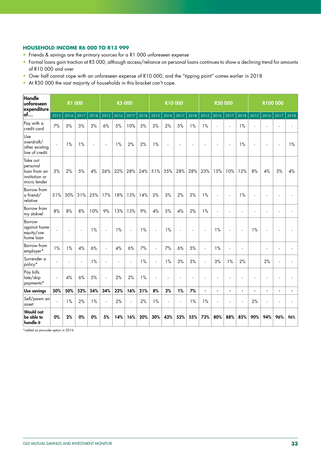### **HOUSEHOLD INCOME R6 000 TO R13 999**

- Friends & savings are the primary sources for a R1 000 unforeseen expense
- Formal loans gain traction at R5 000, although access/reliance on personal loans continues to show a declining trend for amounts of R10 000 and over
- Over half cannot cope with an unforeseen expense of R10 000, and the "tipping point" comes earlier in 2018
- At R50 000 the vast majority of households in this bracket can't cope.

| <b>Handle</b><br>unforeseen<br>expenditure                             | <b>R1 000</b><br>2015<br>2016<br>2018<br>2017 |     |     |     | <b>R5 000</b>  |                |      |      | <b>R10000</b>       |      |      |      |                | <b>R50 000</b> |                          |                |                | R100 000       |      |       |
|------------------------------------------------------------------------|-----------------------------------------------|-----|-----|-----|----------------|----------------|------|------|---------------------|------|------|------|----------------|----------------|--------------------------|----------------|----------------|----------------|------|-------|
| lof…                                                                   |                                               |     |     |     | 2015           | 2016           | 2017 | 2018 | 2015                | 2016 | 2017 | 2018 | 2015           | 2016           | 2017                     | 2018           | 2015           | 2016           | 2017 | 2018  |
| Pay with a<br>credit card                                              | 7%                                            | 5%  | 3%  | 3%  | 6%             | 5%             | 10%  | 5%   | 3%                  | 2%   | 5%   | 1%   | 1%             | $\overline{a}$ | ÷.                       | 1%             |                |                |      |       |
| Use<br>overdraft/<br>other existing<br>line of credit                  | $\overline{a}$                                | 1%  | 1%  |     | $\overline{a}$ | 1%             | 2%   | 2%   | 1%                  |      |      |      |                |                | ÷.                       | 1%             |                |                |      | $1\%$ |
| Take out<br>personal<br>loan from an<br>institution or<br>micro lender | 3%                                            | 2%  | 5%  | 4%  | 26%            | 22%            | 28%  | 24%  | 51%                 | 35%  | 28%  | 28%  | 23%            | 15%            | 10%                      | 12%            | 8%             | 4%             | 3%   | $4\%$ |
| Borrow from<br>a friend/<br>relative                                   | 31%                                           | 30% | 31% | 25% | 17%            | 18%            | 13%  | 14%  | 2%                  | 3%   | 2%   | 3%   | 1%             | L.             | $\overline{\phantom{a}}$ | 1%             |                |                |      |       |
| Borrow from<br>my stokvel                                              | 8%                                            | 8%  | 8%  | 10% | 9%             | 13%            | 13%  | 9%   | 4%                  | 5%   | 4%   | 2%   | 1%             |                | ä,                       |                |                |                |      |       |
| Borrow<br>against home<br>equity/use<br>home loan                      |                                               |     |     | 1%  | ÷,             | 1%             | L,   | 1%   | $\bar{\phantom{a}}$ | 1%   |      | ä,   |                | 1%             |                          |                | 1%             |                |      |       |
| Borrow from<br>employer*                                               | 1%                                            | 1%  | 4%  | 6%  | ä,             | 4%             | 6%   | 7%   | ÷,                  | 7%   | 6%   | 5%   | ÷,             | 1%             | L.                       |                |                | ÷.             |      |       |
| Surrender a<br>policy*                                                 | $\blacksquare$                                | ÷.  | ä,  | 1%  | ÷.             | $\overline{a}$ | L.   | 1%   | ä,                  | 1%   | 3%   | 3%   | ÷.             | 3%             | 1%                       | 2%             |                | 2%             |      |       |
| Pay bills<br>late/skip<br>payments*                                    | ä,                                            | 4%  | 6%  | 5%  | ä,             | 2%             | 2%   | 1%   | L.                  |      |      | ä,   |                |                |                          |                |                |                |      |       |
| Use savings                                                            | 50%                                           | 50% | 52% | 54% | 34%            | 22%            | 16%  | 21%  | 8%                  | 2%   | 1%   | 7%   | $\blacksquare$ | $\blacksquare$ | $\blacksquare$           |                | $\blacksquare$ | $\blacksquare$ |      |       |
| Sell/pawn an<br>asset                                                  | $\overline{a}$                                | 1%  | 2%  | 1%  | L.             | 2%             | L.   | 2%   | 1%                  | L.   | ÷    | 1%   | 1%             | L.             | ÷                        | $\overline{a}$ | 2%             | ÷.             |      |       |
| Would not<br>be able to<br>handle it                                   | 0%                                            | 2%  | 0%  | 0%  | 5%             | 14%            | 16%  | 20%  | 30%                 | 43%  | 52%  | 55%  | 73%            | 80%            | 88%                      | 85%            | 90%            | 94%            | 96%  | 96%   |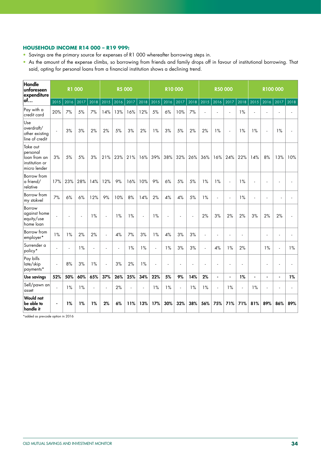### **HOUSEHOLD INCOME R14 000 – R19 999:**

- Savings are the primary source for expenses of R1 000 whereafter borrowing steps in.
- As the amount of the expense climbs, so borrowing from friends and family drops off in favour of institutional borrowing. That said, opting for personal loans from a financial institution shows a declining trend.

| Handle<br>unforeseen<br>expenditure                                    | <b>R1 000</b><br>2016<br>2015<br>2017<br>2018 |     |     |     | <b>R5 000</b>            |      |                |                |              | <b>R10000</b> |                |      |      | <b>R50 000</b> |                          |      |      |                          | R100 000 |      |
|------------------------------------------------------------------------|-----------------------------------------------|-----|-----|-----|--------------------------|------|----------------|----------------|--------------|---------------|----------------|------|------|----------------|--------------------------|------|------|--------------------------|----------|------|
| lof…                                                                   |                                               |     |     |     | 2015                     | 2016 | 2017           | 2018           | 2015         | 2016          | 2017           | 2018 | 2015 | 2016           | 2017                     | 2018 | 2015 | 2016                     | 2017     | 2018 |
| Pay with a<br>credit card                                              | 20%                                           | 7%  | 5%  | 7%  | 14%                      | 13%  | 16%            | 12%            | 5%           | 6%            | 10%            | 7%   |      |                | $\blacksquare$           | 1%   |      |                          |          |      |
| Use<br>overdraft/<br>other existing<br>line of credit                  | ÷,                                            | 3%  | 3%  | 2%  | 2%                       | 5%   | 3%             | 2%             | 1%           | 3%            | 5%             | 2%   | 2%   | 1%             | $\Box$                   | 1%   | 1%   | ÷,                       | 1%       |      |
| Take out<br>personal<br>loan from an<br>institution or<br>micro lender | 3%                                            | 5%  | 5%  | 3%  | 21%                      | 23%  | 21%            | 16%            | 39%          | 38%           | 32%            | 26%  | 36%  | 16%            | 24%                      | 22%  | 14%  | 8%                       | 13%      | 10%  |
| Borrow from<br>a friend/<br>relative                                   | 17%                                           | 23% | 28% | 14% | 12%                      | 9%   | 16%            | 10%            | 9%           | 6%            | 5%             | 5%   | 1%   | 1%             | L,                       | 1%   |      |                          |          |      |
| Borrow from<br>my stokvel                                              | 7%                                            | 6%  | 6%  | 12% | 9%                       | 10%  | 8%             | 14%            | 2%           | 4%            | 4%             | 5%   | 1%   | L.             | ä,                       | 1%   |      |                          | ä,       |      |
| <b>Borrow</b><br>against home<br>equity/use<br>home loan               |                                               |     |     | 1%  | $\sim$                   | 1%   | 1%             | $\blacksquare$ | 1%           |               |                | ÷,   | 2%   | 3%             | 2%                       | 2%   | 3%   | 2%                       | 2%       |      |
| Borrow from<br>employer*                                               | 1%                                            | 1%  | 2%  | 2%  | $\overline{a}$           | 4%   | 7%             | 3%             | 1%           | 4%            | 3%             | 3%   |      |                | L.                       | L.   |      | ÷.                       | ä,       |      |
| Surrender a<br>policy*                                                 | ä,                                            | ÷,  | 1%  |     |                          | ä,   | 1%             | 1%             | $\Box$       | 1%            | 3%             | 3%   | ÷,   | 4%             | 1%                       | 2%   |      | 1%                       | ÷,       | 1%   |
| Pay bills<br>late/skip<br>payments*                                    | ä,                                            | 8%  | 3%  | 1%  | ä,                       | 3%   | 2%             | 1%             | $\mathbf{r}$ | ä,            |                | ÷,   |      |                | $\overline{\phantom{a}}$ | ÷    |      | $\overline{\phantom{a}}$ |          |      |
| Use savings                                                            | 52%                                           | 50% | 60% | 65% | 37%                      | 26%  | 25%            | 34%            | 22%          | 5%            | 9%             | 14%  | 2%   | $\blacksquare$ | $\blacksquare$           | 1%   | ÷,   | $\blacksquare$           | ÷,       | 1%   |
| Sell/pawn an<br>asset                                                  | L.                                            | 1%  | 1%  | L.  | $\overline{\phantom{a}}$ | 2%   | $\overline{a}$ | ÷,             | 1%           | 1%            | $\overline{a}$ | 1%   | 1%   | L.             | 1%                       | L.   | 1%   | L.                       |          |      |
| <b>Would not</b><br>be able to<br>handle it                            | ÷                                             | 1%  | 1%  | 1%  | 2%                       | 6%   | 11%            | 13%            | 17%          | 30%           | 32%            | 38%  | 56%  | 75%            | 71%                      | 71%  | 81%  | 89%                      | 86%      | 89%  |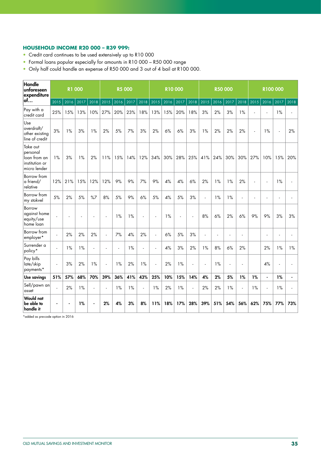### **HOUSEHOLD INCOME R20 000 – R39 999:**

- Credit card continues to be used extensively up to R10 000
- Formal loans popular especially for amounts in R10 000 R50 000 range
- Only half could handle an expense of R50 000 and 3 out of 4 bail at R100 000.

| Handle<br>unforeseen<br>expenditure                                    | <b>R1 000</b>  |      |      |                | <b>R5 000</b> |      |       |                          | <b>R10000</b>               |      |      |                          | <b>R50 000</b> |      |        |      | R100 000 |                |      |      |
|------------------------------------------------------------------------|----------------|------|------|----------------|---------------|------|-------|--------------------------|-----------------------------|------|------|--------------------------|----------------|------|--------|------|----------|----------------|------|------|
| of…                                                                    | 2015           | 2016 | 2017 | 2018           | 2015          | 2016 | 2017  | $\frac{1}{2018}$         | 2015                        | 2016 | 2017 | 2018                     | 2015           | 2016 | 2017   | 2018 | 2015     | 2016           | 2017 | 2018 |
| Pay with a<br>credit card                                              | 25%            | 15%  | 13%  | 10%            | 27%           | 20%  | 23%   | 18%                      | 13%                         | 15%  | 20%  | 18%                      | 3%             | 2%   | 3%     | 1%   |          | $\mathbf{r}$   | 1%   |      |
| Use<br>overdraft/<br>other existing<br>line of credit                  | 3%             | 1%   | 3%   | 1%             | 2%            | 5%   | 7%    | 3%                       | 2%                          | 6%   | 6%   | 3%                       | 1%             | 2%   | 2%     | 2%   | ÷.       | 1%             | ÷,   | 2%   |
| Take out<br>personal<br>loan from an<br>institution or<br>micro lender | 1%             | 3%   | 1%   | 2%             | 11%           | 15%  | 14%   | 12%                      | 34%                         | 30%  | 28%  | 25%                      | 41%            | 24%  | 30%    | 30%  | 27%      | 10%            | 15%  | 20%  |
| Borrow from<br>a friend/<br>relative                                   | 12%            | 21%  | 15%  | 12%            | 12%           | 9%   | 9%    | 7%                       | 9%                          | 4%   | 4%   | 6%                       | 2%             | 1%   | 1%     | 2%   |          | ä,             | 1%   |      |
| Borrow from<br>my stokvel                                              | 5%             | 2%   | 5%   | %7             | 8%            | 5%   | 9%    | 6%                       | 5%                          | 4%   | 5%   | 3%                       | ä,             | 1%   | 1%     | ÷,   |          | ÷,             |      |      |
| Borrow<br>against home<br>equity/use<br>home loan                      | $\overline{a}$ |      |      |                |               | 1%   | 1%    | $\overline{\phantom{a}}$ |                             | 1%   | ä,   | $\overline{\phantom{a}}$ | 8%             | 6%   | 2%     | 6%   | 9%       | 9%             | 3%   | 3%   |
| Borrow from<br>employer*                                               | $\blacksquare$ | 2%   | 2%   | 2%             | L.            | 7%   | $4\%$ | 2%                       | $\mathcal{L}_{\mathcal{A}}$ | 6%   | 5%   | 3%                       | L,             |      | ÷,     |      |          | ٠              |      |      |
| Surrender a<br>policy*                                                 | $\mathbf{r}$   | 1%   | 1%   | ÷.             |               |      | 1%    | ÷.                       | ä,                          | 4%   | 3%   | 2%                       | 1%             | 8%   | 6%     | 2%   |          | 2%             | 1%   | 1%   |
| Pay bills<br>late/skip<br>payments*                                    | ä,             | 3%   | 2%   | 1%             | ÷,            | 1%   | 2%    | 1%                       | ä,                          | 2%   | 1%   | $\mathbf{r}$             | ÷,             | 1%   | $\Box$ | ä,   |          | 4%             |      |      |
| <b>Use savings</b>                                                     | 51%            | 57%  | 68%  | 70%            | 39%           | 36%  | 41%   | 43%                      | 25%                         | 10%  | 15%  | 14%                      | 4%             | 2%   | 5%     | 1%   | 1%       | $\blacksquare$ | 1%   |      |
| Sell/pawn an<br>asset                                                  | L.             | 2%   | 1%   | $\overline{a}$ | ÷.            | 1%   | 1%    | $\overline{a}$           | 1%                          | 2%   | 1%   | $\blacksquare$           | 2%             | 2%   | 1%     | ÷.   | 1%       | $\Box$         | 1%   |      |
| <b>Would not</b><br>be able to<br>handle it                            |                |      | 1%   |                | 2%            | 4%   | 3%    | 8%                       | 11%                         | 18%  | 17%  | 28%                      | 39%            | 51%  | 54%    | 56%  | 62%      | 75%            | 77%  | 73%  |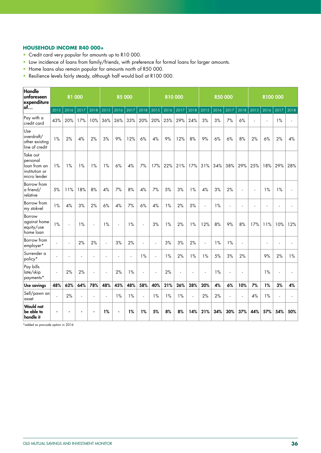# **HOUSEHOLD INCOME R40 000+**

- Credit card very popular for amounts up to R10 000.
- Low incidence of loans from family/friends, with preference for formal loans for larger amounts.
- Home loans also remain popular for amounts north of R50 000.
- Resilience levels fairly steady, although half would bail at R100 000.

| Handle<br>unforeseen<br>expenditure                                    |                | <b>R1 000</b> |      |      |        | <b>R5 000</b>  |      |                |      | <b>R10000</b> |      |                |                     | <b>R50 000</b> |                |      |      | R100000             |      | 2018<br>4%<br>28% |  |  |
|------------------------------------------------------------------------|----------------|---------------|------|------|--------|----------------|------|----------------|------|---------------|------|----------------|---------------------|----------------|----------------|------|------|---------------------|------|-------------------|--|--|
| of                                                                     | 2015           | 2016          | 2017 | 2018 | 2015   | 2016           | 2017 | 2018           | 2015 | 2016          | 2017 | 2018           | 2015                | 2016           | 2017           | 2018 | 2015 | 2016                | 2017 |                   |  |  |
| Pay with a<br>credit card                                              | 43%            | 20%           | 17%  | 10%  | 36%    | 26%            | 33%  | 20%            | 20%  | 25%           | 29%  | 24%            | 3%                  | 3%             | 7%             | 6%   |      | $\bar{\phantom{a}}$ | 1%   |                   |  |  |
| Use<br>overdraft/<br>other existing<br>line of credit                  | 1%             | 2%            | 4%   | 2%   | 3%     | 9%             | 12%  | 6%             | 4%   | 9%            | 12%  | 8%             | 9%                  | 6%             | 6%             | 8%   | 2%   | 6%                  | 2%   |                   |  |  |
| Take out<br>personal<br>loan from an<br>institution or<br>micro lender | 1%             | 1%            | 1%   | 1%   | 1%     | 6%             | 4%   | 7%             | 17%  | 22%           | 21%  | 17%            | 31%                 | 34%            | 38%            | 29%  | 25%  | 18%                 | 29%  |                   |  |  |
| Borrow from<br>a friend/<br>relative                                   | 5%             | 11%           | 18%  | 8%   | 4%     | 7%             | 8%   | 4%             | 7%   | 5%            | 3%   | 1%             | 4%                  | 3%             | 2%             | L.   |      | 1%                  | 1%   |                   |  |  |
| Borrow from<br>my stokvel                                              | 1%             | 4%            | 3%   | 2%   | 6%     | 4%             | 7%   | 6%             | 4%   | 1%            | 2%   | 5%             | L.                  | 1%             | $\blacksquare$ |      |      | ÷,                  |      |                   |  |  |
| Borrow<br>against home<br>equity/use<br>home loan                      | 1%             | ÷,            | 1%   | L.   | 1%     | $\mathbf{r}$   | 1%   | $\bar{z}$      | 3%   | 1%            | 2%   | 1%             | 12%                 | 8%             | 9%             | 8%   | 17%  | 11%                 | 10%  | 12%               |  |  |
| Borrow from<br>employer*                                               | $\mathbf{r}$   | ä,            | 2%   | 2%   | $\sim$ | 3%             | 2%   | $\sim$         | L.   | 3%            | 3%   | 2%             | $\bar{\phantom{a}}$ | 1%             | 1%             | ä,   |      | ÷,                  |      | ÷.                |  |  |
| Surrender a<br>policy*                                                 | L.             |               | ÷.   | ÷.   | ÷.     | L.             |      | 1%             | ä,   | 1%            | 2%   | 1%             | 1%                  | 5%             | 3%             | 2%   |      | 9%                  | 2%   | 1%                |  |  |
| Pay bills<br>late/skip<br>payments*                                    | $\blacksquare$ | 2%            | 2%   | ÷.   | $\sim$ | 2%             | 1%   | $\sim$         | ä,   | 2%            | ÷,   | ÷.             | Ĭ.                  | 1%             | ä,             | ÷.   |      | 1%                  | ÷.   |                   |  |  |
| Use savings                                                            | 48%            | 62%           | 64%  | 78%  | 48%    | 45%            | 48%  | 58%            | 40%  | 21%           | 26%  | 28%            | 20%                 | 4%             | 6%             | 10%  | 7%   | 1%                  | 3%   | 4%                |  |  |
| Sell/pawn an<br>asset                                                  | $\overline{a}$ | 2%            | ä,   |      | ÷.     | 1%             | 1%   | $\blacksquare$ | 1%   | 1%            | 1%   | $\blacksquare$ | 2%                  | 2%             | $\omega$       |      | 4%   | 1%                  |      |                   |  |  |
| <b>Would not</b><br>be able to<br>handle it                            |                |               |      |      | 1%     | $\blacksquare$ | 1%   | 1%             | 5%   | 8%            | 8%   | 14%            | 21%                 | 34%            | 30%            | 37%  | 44%  | 57%                 | 54%  | 50%               |  |  |

\*added as pre-code option in 2016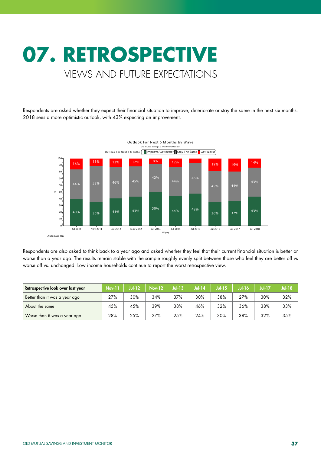# **07. RETROSPECTIVE** VIEWS AND FUTURE EXPECTATIONS

Respondents are asked whether they expect their financial situation to improve, deteriorate or stay the same in the next six months. 2018 sees a more optimistic outlook, with 43% expecting an improvement.



Respondents are also asked to think back to a year ago and asked whether they feel that their current financial situation is better or worse than a year ago. The results remain stable with the sample roughly evenly split between those who feel they are better off vs worse off vs. unchanged. Low income households continue to report the worst retrospective view.

| Retrospective look over last year | <b>Nov-11</b> | <b>Jul-12</b> | Nov-12 | $Jul-13$ | Jul-14 | <b>Jul-15</b> | <b>Jul-16</b> | Jul-17 | <b>Jul-18</b> |
|-----------------------------------|---------------|---------------|--------|----------|--------|---------------|---------------|--------|---------------|
| Better than it was a year ago     | 27%           | 30%           | 34%    | 37%      | 30%    | 38%           | 27%           | 30%    | 32%           |
| About the same                    | 45%           | 45%           | 39%    | 38%      | 46%    | 32%           | 36%           | 38%    | 33%           |
| Worse than it was a year ago      | 28%           | 25%           | 27%    | 25%      | 24%    | 30%           | 38%           | 32%    | 35%           |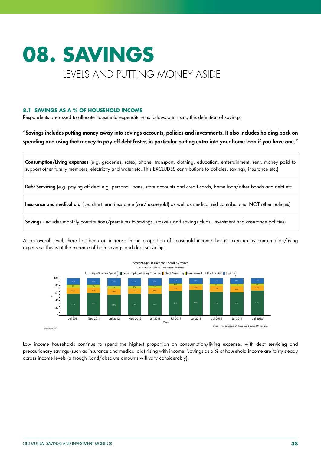# **08. SAVINGS**  LEVELS AND PUTTING MONEY ASIDE

# **8.1 SAVINGS AS A % OF HOUSEHOLD INCOME**

Respondents are asked to allocate household expenditure as follows and using this definition of savings:

"Savings includes putting money away into savings accounts, policies and investments. It also includes holding back on spending and using that money to pay off debt faster, in particular putting extra into your home loan if you have one."

| Consumption/Living expenses (e.g. groceries, rates, phone, transport, clothing, education, entertainment, rent, money paid to<br>support other family members, electricity and water etc. This EXCLUDES contributions to policies, savings, insurance etc.) |
|-------------------------------------------------------------------------------------------------------------------------------------------------------------------------------------------------------------------------------------------------------------|
| Debt Servicing (e.g. paying off debt e.g. personal loans, store accounts and credit cards, home loan/other bonds and debt etc.                                                                                                                              |
| Insurance and medical aid (i.e. short term insurance (car/household) as well as medical aid contributions. NOT other policies)                                                                                                                              |
| Savings (includes monthly contributions/premiums to savings, stokvels and savings clubs, investment and assurance policies)                                                                                                                                 |

At an overall level, there has been an increase in the proportion of household income that is taken up by consumption/living expenses. This is at the expense of both savings and debt servicing.



Low income households continue to spend the highest proportion on consumption/living expenses with debt servicing and precautionary savings (such as insurance and medical aid) rising with income. Savings as a % of household income are fairly steady across income levels (although Rand/absolute amounts will vary considerably).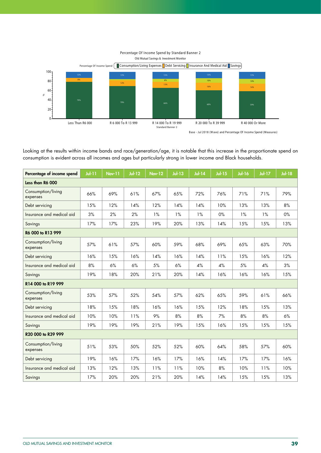

Base - Jul 2018 (Wave) and Percentage Of Income Spend (Measures)

Looking at the results within income bands and race/generation/age, it is notable that this increase in the proportionate spend on consumption is evident across all incomes and ages but particularly strong in lower income and Black households.

| Percentage of income spend     | $Jol-11$ | <b>Nov-11</b> | $Ju$ -12 | <b>Nov-12</b> | $Jul-13$ | $Jul-14$ | $Jul-15$ | <b>Jul-16</b> | <b>Jul-17</b> | <b>Jul-18</b> |
|--------------------------------|----------|---------------|----------|---------------|----------|----------|----------|---------------|---------------|---------------|
| Less than R6 000               |          |               |          |               |          |          |          |               |               |               |
| Consumption/living<br>expenses | 66%      | 69%           | 61%      | 67%           | 65%      | 72%      | 76%      | 71%           | 71%           | 79%           |
| Debt servicing                 | 15%      | 12%           | 14%      | 12%           | 14%      | 14%      | 10%      | 13%           | 13%           | 8%            |
| Insurance and medical aid      | 3%       | 2%            | 2%       | 1%            | 1%       | 1%       | 0%       | 1%            | 1%            | 0%            |
| Savings                        | 17%      | 17%           | 23%      | 19%           | 20%      | 13%      | 14%      | 15%           | 15%           | 13%           |
| R6 000 to R13 999              |          |               |          |               |          |          |          |               |               |               |
| Consumption/living<br>expenses | 57%      | 61%           | 57%      | 60%           | 59%      | 68%      | 69%      | 65%           | 63%           | 70%           |
| Debt servicing                 | 16%      | 15%           | 16%      | 14%           | 16%      | 14%      | 11%      | 15%           | 16%           | 12%           |
| Insurance and medical aid      | 8%       | 6%            | 6%       | 5%            | 6%       | 4%       | 4%       | 5%            | 4%            | 3%            |
| Savings                        | 19%      | 18%           | 20%      | 21%           | 20%      | 14%      | 16%      | 16%           | 16%           | 15%           |
| R14 000 to R19 999             |          |               |          |               |          |          |          |               |               |               |
| Consumption/living<br>expenses | 53%      | 57%           | 52%      | 54%           | 57%      | 62%      | 65%      | 59%           | 61%           | 66%           |
| Debt servicing                 | 18%      | 15%           | 18%      | 16%           | 16%      | 15%      | 12%      | 18%           | 15%           | 13%           |
| Insurance and medical aid      | 10%      | 10%           | 11%      | 9%            | 8%       | 8%       | 7%       | 8%            | 8%            | 6%            |
| Savings                        | 19%      | 19%           | 19%      | 21%           | 19%      | 15%      | 16%      | 15%           | 15%           | 15%           |
| R20 000 to R39 999             |          |               |          |               |          |          |          |               |               |               |
| Consumption/living<br>expenses | 51%      | 53%           | 50%      | 52%           | 52%      | 60%      | 64%      | 58%           | 57%           | 60%           |
| Debt servicing                 | 19%      | 16%           | 17%      | 16%           | 17%      | 16%      | 14%      | 17%           | 17%           | 16%           |
| Insurance and medical aid      | 13%      | 12%           | 13%      | 11%           | 11%      | 10%      | 8%       | 10%           | 11%           | 10%           |
| Savings                        | 17%      | 20%           | 20%      | 21%           | 20%      | 14%      | 14%      | 15%           | 15%           | 13%           |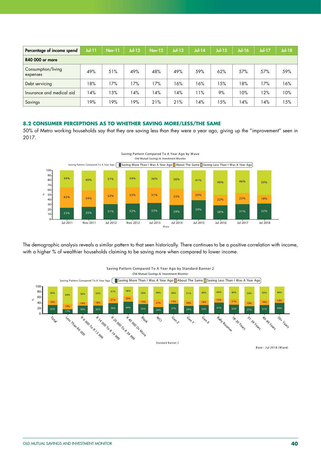| Percentage of income spend     | $J$ ul-11 | <b>Nov-11</b> | <b>Jul-12</b> | <b>Nov-12</b> | $Jul-13$ | $Jul-14$ | <b>Jul-15</b> | <b>Jul-16</b> | <b>Jul-17</b> | <b>Jul-18</b> |
|--------------------------------|-----------|---------------|---------------|---------------|----------|----------|---------------|---------------|---------------|---------------|
| <b>R40 000 or more</b>         |           |               |               |               |          |          |               |               |               |               |
| Consumption/living<br>expenses | 49%       | 51%           | 49%           | 48%           | 49%      | 59%      | 62%           | 57%           | 57%           | 59%           |
| Debt servicing                 | 18%       | 17%           | 17%           | 17%           | 16%      | 16%      | 15%           | 18%           | 17%           | 16%           |
| Insurance and medical aid      | l 4%      | 13%           | 4%            | 14%           | 14%      | 11%      | 9%            | 10%           | 12%           | 10%           |
| Savings                        | 19%       | 19%           | 19%           | 21%           | 21%      | 14%      | 15%           | 4%            | 14%           | 15%           |

#### **8.2 CONSUMER PERCEPTIONS AS TO WHETHER SAVING MORE/LESS/THE SAME**

50% of Metro working households say that they are saving less than they were a year ago, giving up the "improvement" seen in 2017.



The demographic analysis reveals a similar pattern to that seen historically. There continues to be a positive correlation with income, with a higher % of wealthier households claiming to be saving more when compared to lower income.



Saving Pattern Compared To A Year Ago by Standard Banner 2 Old Mutual Savings & Investment Monitor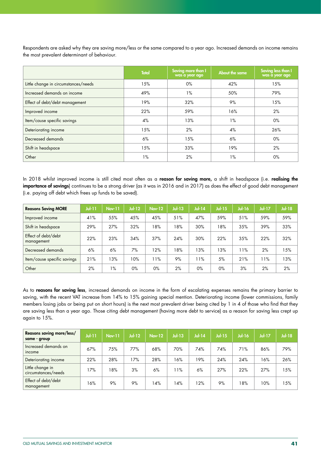Respondents are asked why they are saving more/less or the same compared to a year ago. Increased demands on income remains the most prevalent determinant of behaviour.

|                                      | <b>Total</b> | Saving more than I<br>was a year ago | About the same | Saving less than I<br>was a year ago |
|--------------------------------------|--------------|--------------------------------------|----------------|--------------------------------------|
| Little change in circumstances/needs | 15%          | $0\%$                                | 42%            | 15%                                  |
| Increased demands on income          | 49%          | $1\%$                                | 50%            | 79%                                  |
| Effect of debt/debt management       | 19%          | 32%                                  | 9%             | 15%                                  |
| Improved income                      | 22%          | 59%                                  | 16%            | 2%                                   |
| Item/cause specific savings          | 4%           | 13%                                  | $1\%$          | $0\%$                                |
| Deteriorating income                 | 15%          | 2%                                   | 4%             | 26%                                  |
| Decreased demands                    | 6%           | 15%                                  | 6%             | $0\%$                                |
| Shift in headspace                   | 15%          | 33%                                  | 19%            | 2%                                   |
| Other                                | $1\%$        | 2%                                   | $1\%$          | $0\%$                                |

In 2018 whilst improved income is still cited most often as a reason for saving more, a shift in headspace (i.e. realising the importance of savings) continues to be a strong driver (as it was in 2016 and in 2017) as does the effect of good debt management (i.e. paying off debt which frees up funds to be saved).

| <b>Reasons Saving MORE</b>        | $J$ ul-11 | <b>Nov-11</b> | $Jul-12$ | <b>Nov-12</b> | $Jul-13$ | $Jul-14$ | Jul-15 | <b>Jul-16</b> | <b>Jul-17</b> | $Jul-18$ |
|-----------------------------------|-----------|---------------|----------|---------------|----------|----------|--------|---------------|---------------|----------|
| Improved income                   | 41%       | 55%           | 45%      | 45%           | 51%      | 47%      | 59%    | 51%           | 59%           | 59%      |
| Shift in headspace                | 29%       | 27%           | 32%      | 18%           | 18%      | 30%      | 18%    | 35%           | 39%           | 33%      |
| Effect of debt/debt<br>management | 22%       | 23%           | 34%      | 37%           | 24%      | 30%      | 22%    | 35%           | 22%           | 32%      |
| Decreased demands                 | 6%        | 6%            | 7%       | 12%           | 18%      | 13%      | 13%    | 11%           | 2%            | 15%      |
| Item/cause specific savings       | 21%       | 13%           | 10%      | 11%           | 9%       | 11%      | 5%     | 21%           | 11%           | 13%      |
| Other                             | 2%        | $1\%$         | $0\%$    | $0\%$         | 2%       | $0\%$    | $0\%$  | 3%            | 2%            | 2%       |

As to reasons for saving less, increased demands on income in the form of escalating expenses remains the primary barrier to saving, with the recent VAT increase from 14% to 15% gaining special mention. Deteriorating income (lower commissions, family members losing jobs or being put on short hours) is the next most prevalent driver being cited by 1 in 4 of those who find that they are saving less than a year ago. Those citing debt management (having more debt to service) as a reason for saving less crept up again to 15%.

| Reasons saving more/less/<br>same - group | <b>Jul-11</b> | <b>Nov-11</b> | $Jul-12$ | <b>Nov-12</b> | $Jul-13$ | <b>Jul-14</b> | $Jul-15$ | $Jul-16$ | $Jul-17$ | Jul-18 |
|-------------------------------------------|---------------|---------------|----------|---------------|----------|---------------|----------|----------|----------|--------|
| Increased demands on<br>income            | 67%           | 75%           | 77%      | 68%           | 70%      | 74%           | 74%      | 71%      | 86%      | 79%    |
| Deteriorating income                      | 22%           | 28%           | 17%      | 28%           | 16%      | 19%           | 24%      | 24%      | 16%      | 26%    |
| Little change in<br>circumstances/needs   | 17%           | 18%           | 3%       | 6%            | 11%      | 6%            | 27%      | 22%      | 27%      | 15%    |
| Effect of debt/debt<br>management         | 16%           | 9%            | 9%       | 14%           | 4%       | 12%           | 9%       | 18%      | 10%      | 15%    |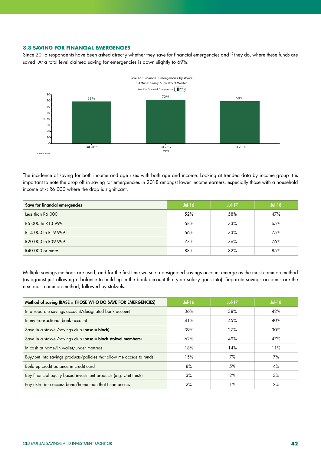#### **8.3 SAVING FOR FINANCIAL EMERGENCIES**

Since 2016 respondents have been asked directly whether they save for financial emergencies and if they do, where these funds are saved. At a total level claimed saving for emergencies is down slightly to 69%.



The incidence of saving for both income and age rises with both age and income. Looking at trended data by income group it is important to note the drop off in saving for emergencies in 2018 amongst lower income earners, especially those with a household income of < R6 000 where the drop is significant.

| Save for financial emergencies | $Jul-16$ | <b>Jul-17</b> | $Jul-18$ |
|--------------------------------|----------|---------------|----------|
| Less than R6 000               | 52%      | 58%           | 47%      |
| R6 000 to R13 999              | 68%      | 73%           | 65%      |
| R14 000 to R19 999             | 66%      | 73%           | 75%      |
| R20 000 to R39 999             | 77%      | 76%           | 76%      |
| R40 000 or more                | 83%      | 82%           | 85%      |

Multiple savings methods are used, and for the first time we see a designated savings account emerge as the most common method (as against just allowing a balance to build up in the bank account that your salary goes into). Separate savings accounts are the next most common method, followed by stokvels.

| Method of saving (BASE = THOSE WHO DO SAVE FOR EMERGENCIES)          | $Jul-16$ | $Jul-17$ | $Jul-18$ |
|----------------------------------------------------------------------|----------|----------|----------|
| In a separate savings account/designated bank account                | 36%      | 38%      | 42%      |
| In my transactional bank account                                     | 41%      | 45%      | 40%      |
| Save in a stokvel/savings club (base = black)                        | 39%      | 27%      | 30%      |
| Save in a stokvel/savings club (base = black stokvel members)        | 62%      | 49%      | 47%      |
| In cash at home/in wallet/under mattress                             | 18%      | 14%      | 11%      |
| Buy/put into savings products/policies that allow me access to funds | 15%      | 7%       | 7%       |
| Build up credit balance in credit card                               | 8%       | 5%       | 4%       |
| Buy financial equity based investment products (e.g. Unit trusts)    | 3%       | 2%       | 3%       |
| Pay extra into access bond/home loan that I can access               | 2%       | $1\%$    | 2%       |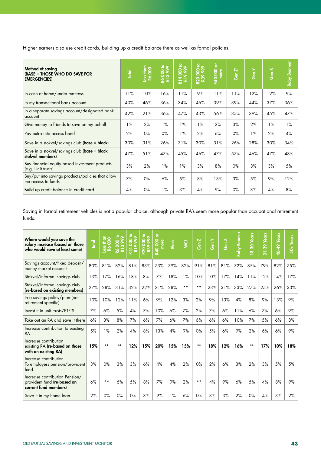Higher earners also use credit cards, building up a credit balance there as well as formal policies.

| Method of saving<br>(BASE = THOSE WHO DO SAVE FOR<br><b>EMERGENCIES</b> | <b>Total</b> | Less than<br>Ró 000 | 000 to<br>28 | 00000<br>R14 | R20 000 to<br>R39 999 | $\overleftarrow{\mathtt{o}}$<br><b>R40000</b><br>more | Gen $Z^*$ | $\overline{Gen Y}$ | Gen X | <b>Baby Boomer</b> |
|-------------------------------------------------------------------------|--------------|---------------------|--------------|--------------|-----------------------|-------------------------------------------------------|-----------|--------------------|-------|--------------------|
| In cash at home/under mattress                                          | 11%          | 10%                 | 16%          | 11%          | 9%                    | 11%                                                   | 11%       | 12%                | 12%   | 9%                 |
| In my transactional bank account                                        | 40%          | 46%                 | 36%          | 34%          | 46%                   | 39%                                                   | 39%       | 44%                | 37%   | 36%                |
| In a separate savings account/designated bank<br>account                | 42%          | 21%                 | 36%          | 47%          | 43%                   | 56%                                                   | 35%       | 39%                | 45%   | 47%                |
| Give money to friends to save on my behalf                              | $1\%$        | 2%                  | $1\%$        | $1\%$        | $1\%$                 | 2%                                                    | 3%        | 2%                 | 1%    | $1\%$              |
| Pay extra into access bond                                              | 2%           | $0\%$               | $0\%$        | $1\%$        | 2%                    | 6%                                                    | $0\%$     | 1%                 | 2%    | 4%                 |
| Save in a stokvel/savings club (base = black)                           | 30%          | 31%                 | 26%          | 31%          | 30%                   | 31%                                                   | 26%       | 28%                | 30%   | 34%                |
| Save in a stokvel/savings club (base = black<br>stokvel members)        | 47%          | 51%                 | 47%          | 45%          | 46%                   | 47%                                                   | 57%       | 46%                | 47%   | 48%                |
| Buy financial equity based investment products<br>(e.g. Unit trusts)    | 3%           | 2%                  | 1%           | $1\%$        | 3%                    | 8%                                                    | $0\%$     | 3%                 | 3%    | 5%                 |
| Buy/put into savings products/policies that allow<br>me access to funds | 7%           | 0%                  | 6%           | 5%           | 8%                    | 13%                                                   | 3%        | 5%                 | 9%    | 12%                |
| Build up credit balance in credit card                                  | 4%           | $0\%$               | 1%           | 3%           | 4%                    | 9%                                                    | $0\%$     | 3%                 | 4%    | 8%                 |

Saving in formal retirement vehicles is not a popular choice, although private RA's seem more popular than occupational retirement funds.

| Where would you save the<br>salary increase (based on those<br>who would save at least some) | <b>Total</b> | <u>la</u><br>Less than<br>R6 000 | R6 000 to<br>R13 999 | <b>8861</b><br>$\bullet$<br><b>R14</b><br>R19 | 000 to<br>999<br><b>R39</b><br><b>R20</b> | ৯<br><b>R40000</b><br>more | <b>Black</b> | $\overline{S}$ | $\overline{\mathbf{N}}$<br>န္ပြ | Gen Y | Gen X | <b>Baby Boomer</b> | 18-30 Years | <b>Years</b><br>$31 - 39$ | 40-49 Years | $50+Years$ |
|----------------------------------------------------------------------------------------------|--------------|----------------------------------|----------------------|-----------------------------------------------|-------------------------------------------|----------------------------|--------------|----------------|---------------------------------|-------|-------|--------------------|-------------|---------------------------|-------------|------------|
| Savings account/fixed deposit/<br>money market account                                       | 80%          | 81%                              | 82%                  | 81%                                           | 83%                                       | 73%                        | 79%          | 82%            | 91%                             | 81%   | 81%   | 72%                | 85%         | 79%                       | 82%         | 75%        |
| Stokvel/informal savings club                                                                | 13%          | 17%                              | 16%                  | 18%                                           | 8%                                        | 7%                         | 18%          | 1%             | 10%                             | 10%   | 17%   | 14%                | 11%         | 12%                       | 14%         | 17%        |
| Stokvel/informal savings club<br>(re-based on existing members)                              | 27%          | 28%                              | 31%                  | 32%                                           | 22%                                       | 21%                        | 28%          | $***$          | $***$                           | 23%   | 31%   | 33%                | 27%         | 25%                       | 26%         | 33%        |
| In a savings policy/plan (not<br>retirement specific)                                        | 10%          | 10%                              | 12%                  | 11%                                           | 6%                                        | 9%                         | 12%          | 3%             | 2%                              | 9%    | 13%   | 4%                 | 8%          | 9%                        | 13%         | 9%         |
| Invest it in unit trusts/ETF'S                                                               | 7%           | 6%                               | 5%                   | 4%                                            | 7%                                        | 10%                        | 6%           | 7%             | 2%                              | 7%    | 6%    | 11%                | 6%          | 7%                        | 6%          | 9%         |
| Take out an RA and save it there                                                             | 6%           | 3%                               | 8%                   | 7%                                            | 6%                                        | 7%                         | 6%           | 7%             | 6%                              | 6%    | 6%    | 10%                | 7%          | 5%                        | 6%          | 8%         |
| Increase contribution to existing<br><b>RA</b>                                               | 5%           | $1\%$                            | 2%                   | 4%                                            | 8%                                        | 13%                        | 4%           | 9%             | 0%                              | 5%    | 6%    | 9%                 | 2%          | 6%                        | 6%          | 9%         |
| Increase contribution<br>existing RA (re-based on those<br>with an existing RA)              | 15%          | $***$                            | $***$                | 12%                                           | 15%                                       | 20%                        | 15%          | 15%            | $***$                           | 18%   | 12%   | 16%                | $***$       | 17%                       | 10%         | 18%        |
| Increase contribution<br>To employers pension/provident<br>fund                              | 3%           | 0%                               | 3%                   | 3%                                            | 6%                                        | 4%                         | 4%           | 2%             | $0\%$                           | 2%    | 6%    | 3%                 | 2%          | 3%                        | 5%          | 5%         |
| Increase contribution Pension/<br>provident fund (re-based on<br>current fund members)       | 6%           | $* *$                            | 6%                   | 5%                                            | 8%                                        | 7%                         | 9%           | 2%             | $***$                           | 4%    | 9%    | 6%                 | 5%          | 4%                        | 8%          | 9%         |
| Save it in my home loan                                                                      | 2%           | $0\%$                            | 0%                   | 0%                                            | 3%                                        | 9%                         | $1\%$        | 6%             | $0\%$                           | 3%    | 3%    | 2%                 | 0%          | 4%                        | 3%          | 2%         |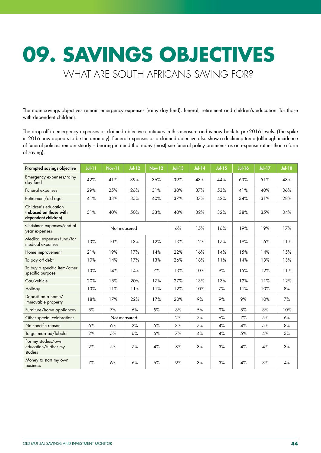# **09. SAVINGS OBJECTIVES**  WHAT ARE SOUTH AFRICANS SAVING FOR?

The main savings objectives remain emergency expenses (rainy day fund), funeral, retirement and children's education (for those with dependent children).

The drop off in emergency expenses as claimed objective continues in this measure and is now back to pre-2016 levels. (The spike in 2016 now appears to be the anomaly). Funeral expenses as a claimed objective also show a declining trend (although incidence of funeral policies remain steady – bearing in mind that many (most) see funeral policy premiums as an expense rather than a form of saving).

| <b>Prompted savings objective</b>                                     | $Jol-11$ | <b>Nov-11</b> | $Jul-12$ | <b>Nov-12</b> | $Jul-13$ | $Jul-14$ | $Jul-15$ | <b>Jul-16</b> | <b>Jul-17</b> | <b>Jul-18</b> |
|-----------------------------------------------------------------------|----------|---------------|----------|---------------|----------|----------|----------|---------------|---------------|---------------|
| Emergency expenses/rainy<br>day fund                                  | 42%      | 41%           | 39%      | 36%           | 39%      | 43%      | 44%      | 63%           | 51%           | 43%           |
| Funeral expenses                                                      | 29%      | 25%           | 26%      | 31%           | 30%      | 37%      | 53%      | 41%           | 40%           | 36%           |
| Retirement/old age                                                    | 41%      | 33%           | 35%      | 40%           | 37%      | 37%      | 42%      | 34%           | 31%           | 28%           |
| Children's education<br>(rebased on those with<br>dependent children) | 51%      | 40%           | 50%      | 33%           | 40%      | 32%      | 32%      | 38%           | 35%           | 34%           |
| Christmas expenses/end of<br>year expenses                            |          | Not measured  |          |               | 6%       | 15%      | 16%      | 19%           | 19%           | 17%           |
| Medical expenses fund/for<br>medical expenses                         | 13%      | 10%           | 13%      | 12%           | 13%      | 12%      | 17%      | 19%           | 16%           | 11%           |
| Home improvement                                                      | 21%      | 19%           | 17%      | 14%           | 22%      | 16%      | 14%      | 15%           | 14%           | 15%           |
| To pay off debt                                                       | 19%      | 14%           | 17%      | 13%           | 26%      | 18%      | 11%      | 14%           | 13%           | 13%           |
| To buy a specific item/other<br>specific purpose                      | 13%      | 14%           | 14%      | 7%            | 13%      | 10%      | 9%       | 15%           | 12%           | 11%           |
| Car/vehicle                                                           | 20%      | 18%           | 20%      | 17%           | 27%      | 13%      | 13%      | 12%           | 11%           | 12%           |
| Holiday                                                               | 13%      | 11%           | 11%      | 11%           | 12%      | 10%      | 7%       | 11%           | 10%           | 8%            |
| Deposit on a home/<br>immovable property                              | 18%      | 17%           | 22%      | 17%           | 20%      | 9%       | 9%       | 9%            | 10%           | 7%            |
| Furniture/home appliances                                             | 8%       | 7%            | 6%       | 5%            | 8%       | 5%       | 9%       | 8%            | 8%            | 10%           |
| Other special celebrations                                            |          | Not measured  |          |               | 2%       | 7%       | 6%       | 7%            | 5%            | 6%            |
| No specific reason                                                    | 6%       | 6%            | 2%       | 5%            | 3%       | 7%       | 4%       | 4%            | 5%            | 8%            |
| To get married/lobola                                                 | 2%       | 5%            | 6%       | 6%            | 7%       | 4%       | 4%       | 5%            | 4%            | 3%            |
| For my studies/own<br>education/further my<br>studies                 | 2%       | 5%            | 7%       | 4%            | 8%       | 3%       | 3%       | 4%            | 4%            | 3%            |
| Money to start my own<br>business                                     | 7%       | 6%            | 6%       | 6%            | 9%       | 3%       | 3%       | 4%            | 3%            | 4%            |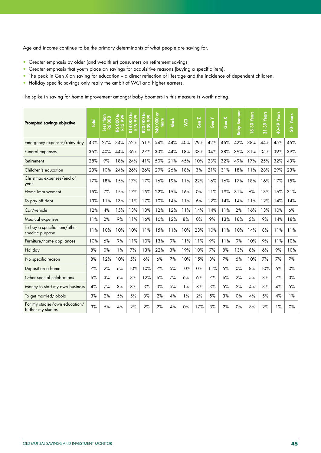Age and income continue to be the primary determinants of what people are saving for.

- Greater emphasis by older (and wealthier) consumers on retirement savings
- Greater emphasis that youth place on savings for acquisitive reasons (buying a specific item).
- The peak in Gen X on saving for education a direct reflection of lifestage and the incidence of dependent children.
- Holiday specific savings only really the ambit of WCI and higher earners.

The spike in saving for home improvement amongst baby boomers in this measure is worth noting.

| <b>Prompted savings objective</b>                   | <b>Total</b> | than<br>8<br><b>Less</b><br>$\overline{8}$ | 000 to<br>စွဲ<br>$\infty$<br>$\overline{\mathbf{5}}$ | 000 to<br>999<br>$\circ$<br><b>R14</b><br>R19 | <b>R39 999</b><br>g<br><b>20</b> | ō<br><b>R40 000</b><br>more | <b>Black</b> | $\overline{S}$ | Gen Z | Gen Y | Gen X | <b>Boomer</b><br>Baby I | <b>Years</b><br>$8 - 30$ | <b>Years</b><br>$31 - 39$ | <b>Years</b><br>40-49 | $50 + Years$ |
|-----------------------------------------------------|--------------|--------------------------------------------|------------------------------------------------------|-----------------------------------------------|----------------------------------|-----------------------------|--------------|----------------|-------|-------|-------|-------------------------|--------------------------|---------------------------|-----------------------|--------------|
| Emergency expenses/rainy day                        | 43%          | 27%                                        | 34%                                                  | 52%                                           | 51%                              | 54%                         | 44%          | 40%            | 29%   | 42%   | 46%   | 42%                     | 38%                      | 44%                       | 45%                   | 46%          |
| Funeral expenses                                    | 36%          | 40%                                        | 44%                                                  | 36%                                           | 27%                              | 30%                         | 44%          | 18%            | 33%   | 34%   | 38%   | 39%                     | 31%                      | 35%                       | 39%                   | 39%          |
| Retirement                                          | 28%          | 9%                                         | 18%                                                  | 24%                                           | 41%                              | 50%                         | 21%          | 45%            | 10%   | 23%   | 32%   | 49%                     | 17%                      | 25%                       | 32%                   | 43%          |
| Children's education                                | 23%          | 10%                                        | 24%                                                  | 26%                                           | 26%                              | 29%                         | 26%          | 18%            | 3%    | 21%   | 31%   | 18%                     | 11%                      | 28%                       | 29%                   | 23%          |
| Christmas expenses/end of<br>year                   | 17%          | 18%                                        | 15%                                                  | 17%                                           | 17%                              | 16%                         | 19%          | 11%            | 22%   | 16%   | 16%   | 17%                     | 18%                      | 16%                       | 17%                   | 15%          |
| Home improvement                                    | 15%          | 7%                                         | 15%                                                  | 17%                                           | 15%                              | 22%                         | 15%          | 16%            | $0\%$ | 11%   | 19%   | 31%                     | 6%                       | 13%                       | 16%                   | 31%          |
| To pay off debt                                     | 13%          | 11%                                        | 13%                                                  | 11%                                           | 17%                              | 10%                         | 14%          | 11%            | 6%    | 12%   | 14%   | 14%                     | 11%                      | 12%                       | 14%                   | 14%          |
| Car/vehicle                                         | 12%          | 4%                                         | 15%                                                  | 13%                                           | 13%                              | 12%                         | 12%          | 11%            | 14%   | 14%   | 11%   | 2%                      | 16%                      | 13%                       | 10%                   | 6%           |
| Medical expenses                                    | 11%          | 2%                                         | 9%                                                   | 11%                                           | 16%                              | 16%                         | 12%          | 8%             | 0%    | 9%    | 13%   | 18%                     | 5%                       | 9%                        | 14%                   | 18%          |
| To buy a specific item/other<br>specific purpose    | 11%          | 10%                                        | 10%                                                  | 10%                                           | 11%                              | 15%                         | 11%          | 10%            | 23%   | 10%   | 11%   | 10%                     | 14%                      | 8%                        | 11%                   | 11%          |
| Furniture/home appliances                           | 10%          | 6%                                         | 9%                                                   | 11%                                           | 10%                              | 13%                         | 9%           | 11%            | 11%   | 9%    | 11%   | 9%                      | 10%                      | 9%                        | 11%                   | 10%          |
| Holiday                                             | 8%           | 0%                                         | 1%                                                   | 7%                                            | 13%                              | 22%                         | 3%           | 19%            | 10%   | 7%    | 8%    | 13%                     | 8%                       | 6%                        | 9%                    | 10%          |
| No specific reason                                  | 8%           | 12%                                        | 10%                                                  | 5%                                            | 6%                               | 6%                          | 7%           | 10%            | 15%   | 8%    | 7%    | 6%                      | 10%                      | 7%                        | 7%                    | 7%           |
| Deposit on a home                                   | 7%           | 2%                                         | 6%                                                   | 10%                                           | 10%                              | 7%                          | 5%           | 10%            | 0%    | 11%   | 5%    | 0%                      | 8%                       | 10%                       | 6%                    | $0\%$        |
| Other special celebrations                          | 6%           | 3%                                         | 6%                                                   | 3%                                            | 12%                              | 6%                          | 7%           | 6%             | 6%    | 7%    | 6%    | 2%                      | 5%                       | 8%                        | 7%                    | 3%           |
| Money to start my own business                      | 4%           | 7%                                         | 3%                                                   | 3%                                            | 3%                               | 3%                          | 5%           | 1%             | 8%    | 3%    | 5%    | 2%                      | 4%                       | 3%                        | 4%                    | 5%           |
| To get married/lobola                               | 3%           | 2%                                         | 5%                                                   | 5%                                            | 3%                               | 2%                          | 4%           | 1%             | 2%    | 5%    | 3%    | $0\%$                   | 4%                       | 5%                        | 4%                    | 1%           |
| For my studies/own education/<br>further my studies | 3%           | 5%                                         | 4%                                                   | 2%                                            | 2%                               | 2%                          | 4%           | 0%             | 17%   | 3%    | 2%    | 0%                      | 8%                       | 2%                        | 1%                    | 0%           |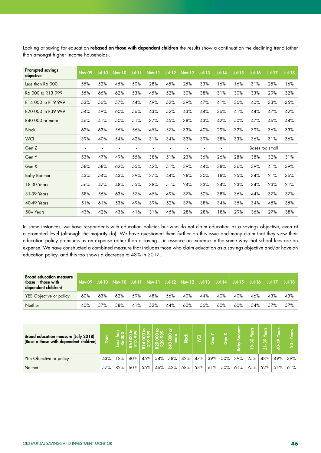| <b>Prompted savings</b><br>objective | Nov-09 | <b>Jul-10</b> | <b>Nov-10</b> | $J$ ul-11 | <b>Nov-11</b> | $Jul-12$ | <b>Nov-12</b> | <b>Jul-13</b> | <b>Jul-14</b>  | $Jul-15$ | <b>Jul-16</b> | <b>Jul-17</b>   | <b>Jul-18</b> |
|--------------------------------------|--------|---------------|---------------|-----------|---------------|----------|---------------|---------------|----------------|----------|---------------|-----------------|---------------|
| Less than R6 000                     | 55%    | 52%           | 45%           | 50%       | 28%           | 45%      | 25%           | 33%           | 16%            | 16%      | 31%           | 25%             | 16%           |
| R6 000 to R13 999                    | 55%    | 66%           | 62%           | 53%       | 45%           | 52%      | 30%           | 38%           | 31%            | 30%      | 33%           | 29%             | 32%           |
| R14 000 to R19 999                   | 53%    | 56%           | 57%           | 44%       | 49%           | 52%      | 39%           | 47%           | 41%            | 36%      | 40%           | 33%             | 35%           |
| R20 000 to R39 999                   | 54%    | 49%           | 60%           | 56%       | 43%           | 52%      | 43%           | 44%           | 36%            | 41%      | 44%           | 47%             | 42%           |
| R40 000 or more                      | 46%    | 41%           | 50%           | 51%       | 37%           | 45%      | 38%           | 43%           | 42%            | 50%      | 47%           | 46%             | 44%           |
| <b>Black</b>                         | 62%    | 63%           | 56%           | 56%       | 45%           | 57%      | 33%           | 40%           | 29%            | 32%      | 39%           | 36%             | 33%           |
| <b>WCI</b>                           | 39%    | 40%           | 54%           | 42%       | 31%           | 34%      | 33%           | 39%           | 38%            | 33%      | 36%           | 31%             | 36%           |
| Gen Z                                | ٠      | ٠             |               | ٠         | ٠             | $\sim$   | ٠             |               | $\overline{a}$ |          |               | Bases too small |               |
| Gen Y                                | 53%    | 47%           | 49%           | 55%       | 38%           | 51%      | 23%           | 36%           | 26%            | 28%      | 38%           | 32%             | 31%           |
| Gen X                                | 58%    | 58%           | 62%           | 55%       | 42%           | 51%      | 39%           | 44%           | 38%            | 36%      | 39%           | 41%             | 39%           |
| <b>Baby Boomer</b>                   | 43%    | 54%           | 43%           | 39%       | 37%           | 44%      | 28%           | 30%           | 18%            | 25%      | 34%           | 21%             | 36%           |
| 18-30 Years                          | 56%    | 47%           | 48%           | 55%       | 38%           | 51%      | 24%           | 33%           | 24%            | 23%      | 34%           | 23%             | 21%           |
| 31-39 Years                          | 58%    | 56%           | 63%           | 57%       | 45%           | 49%      | 37%           | 50%           | 38%            | 36%      | 44%           | 37%             | 37%           |
| 40-49 Years                          | 51%    | 61%           | 53%           | 49%       | 39%           | 52%      | 37%           | 38%           | 34%            | 35%      | 34%           | 45%             | 35%           |
| 50+ Years                            | 43%    | 42%           | 43%           | 41%       | 31%           | 45%      | 28%           | 28%           | 18%            | 29%      | 36%           | 27%             | 38%           |

Looking at saving for education rebased on those with dependent children the results show a continuation the declining trend (other than amongst higher income households).

In some instances, we have respondents with education policies but who do not claim education as a savings objective, even at a prompted level (although the majority do). We have questioned them further on this issue and many claim that they view their education policy premiums as an expense rather than a saving – in essence an expense in the same way that school fees are an expense. We have constructed a combined measure that includes those who claim education as a savings objective and/or have an education policy, and this too shows a decrease to 43% in 2017.

| <b>Broad education measure</b><br>$\beta$ (base = those with<br>dependent children) | <b>Nov-09</b> |     |     |     |     |     | Jul-10   Nov-10   Jul-11   Nov-11   Jul-12   Nov-12   Jul-13   Jul-14 |     |     |     | Jul-15   Jul-16   Jul-17 |     | $Jul-18$ |
|-------------------------------------------------------------------------------------|---------------|-----|-----|-----|-----|-----|-----------------------------------------------------------------------|-----|-----|-----|--------------------------|-----|----------|
| YES Objective or policy                                                             | 60%           | 63% | 62% | 59% | 48% | 56% | 40%                                                                   | 44% | 40% | 40% | 46%                      | 43% | 43%      |
| Neither                                                                             | 40%           | 37% | 38% | 41% | 52% | 44% | 60%                                                                   | 56% | 60% | 60% | 54%                      | 57% | $57\%$   |

| <b>Broad education measure (July 2018)</b><br>(Base = those with dependent children) | $\overline{2}$<br><u>ة,</u> |     |     |     | G<br>0 | <b>1공</b><br>$\circ$<br>ക | <b>Black</b> | $\overline{O}$ | 듮.  | $\mathord{\times}$<br>l. | 눕<br>၉<br><b>Raby</b> | <b>SJR</b><br>ခို<br>⋭ | $\bullet$<br>ო<br>്ര | ๛<br>0 | នេ  |
|--------------------------------------------------------------------------------------|-----------------------------|-----|-----|-----|--------|---------------------------|--------------|----------------|-----|--------------------------|-----------------------|------------------------|----------------------|--------|-----|
| YES Objective or policy                                                              | 43%                         | 8%  | 40% | 45% | 54%    | 58%                       | 42%          | 47%            | 39% | 50%                      | 39%                   | 25%                    | 48%                  | 49%    | 39% |
| Neither                                                                              | 57%                         | 82% | 60% | 55% | 46%    | 42%                       | 58%          | 53%            | 61% | 50%                      | 61%                   | 75%                    | 52%                  | 51%    | 61% |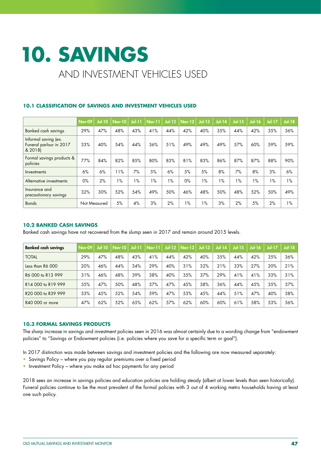# **10. SAVINGS**  AND INVESTMENT VEHICLES USED

|                                                            | <b>Nov-09</b> | <b>Jul-10</b> | <b>Nov-10</b> | $J0$ -11 | <b>Nov-11</b> | $Jul-12$      | <b>Nov-12</b> | $Jul-13$ | $Jul-14$ | <b>Jul-15</b> | <b>Jul-16</b> | <b>Jul-17</b> | <b>Jul-18</b> |
|------------------------------------------------------------|---------------|---------------|---------------|----------|---------------|---------------|---------------|----------|----------|---------------|---------------|---------------|---------------|
| <b>Banked cash savings</b>                                 | 29%           | 47%           | 48%           | 43%      | 41%           | 44%           | 42%           | 40%      | 35%      | 44%           | 42%           | 35%           | 36%           |
| Informal saving (ex.<br>Funeral parlour in 2017<br>& 2018) | 33%           | 40%           | 54%           | 44%      | 36%           | 51%           | 49%           | 49%      | 49%      | 57%           | 60%           | 59%           | 59%           |
| Formal savings products &<br>policies                      | 77%           | 84%           | 82%           | 85%      | 80%           | 83%           | 81%           | 83%      | 86%      | 87%           | 87%           | 88%           | 90%           |
| Investments                                                | 6%            | 6%            | 11%           | 7%       | 5%            | 6%            | 5%            | 5%       | 8%       | 7%            | 8%            | 3%            | 6%            |
| Alternative investments                                    | $0\%$         | 2%            | $1\%$         | $1\%$    | $1\%$         | $\frac{9}{6}$ | $0\%$         | 1%       | $1\%$    | $1\%$         | $1\%$         | 1%            | $1\%$         |
| Insurance and<br>precautionary savings                     | 32%           | 30%           | 52%           | 54%      | 49%           | 50%           | 46%           | 48%      | 50%      | 48%           | 52%           | 50%           | 49%           |
| <b>Bonds</b>                                               | Not Measured  |               | 5%            | 4%       | 3%            | 2%            | $1\%$         | $1\%$    | 3%       | 2%            | 5%            | 2%            | $1\%$         |

# **10.1 CLASSIFICATION OF SAVINGS AND INVESTMENT VEHICLES USED**

### **10.2 BANKED CASH SAVINGS**

Banked cash savings have not recovered from the slump seen in 2017 and remain around 2015 levels.

| <b>Banked cash savings</b>                 | <b>Nov-09</b> | $Jul-10$ | <b>Nov-10</b> | $J0$ $-11$ | $Nov-11$ | $Jul-12$ | $Nov-12$ | $Ju$ -13 | $Jul-14$ | $Jul-15$ | $Jul-16$ | <b>Jul-17</b> | $Jul-18$ |
|--------------------------------------------|---------------|----------|---------------|------------|----------|----------|----------|----------|----------|----------|----------|---------------|----------|
| <b>TOTAL</b>                               | 29%           | 47%      | 48%           | 43%        | 41%      | 44%      | 42%      | 40%      | 35%      | 44%      | 42%      | 35%           | 36%      |
| Less than R6 000                           | 20%           | 46%      | 44%           | 34%        | 29%      | 40%      | 31%      | 32%      | 21%      | 33%      | 27%      | 20%           | 21%      |
| R6 000 to R13 999                          | 31%           | 46%      | 48%           | 39%        | 38%      | 40%      | 35%      | 37%      | 29%      | 41%      | 41%      | 33%           | 31%      |
| R14 000 to R19 999                         | 35%           | 47%      | 50%           | 48%        | 37%      | 47%      | 45%      | 38%      | 36%      | 44%      | 45%      | 35%           | 37%      |
| R <sub>20</sub> 000 to R <sub>39</sub> 999 | 33%           | 45%      | 52%           | 54%        | 59%      | 47%      | 53%      | 45%      | 44%      | 51%      | 47%      | 40%           | 38%      |
| R40 000 or more                            | 47%           | 62%      | 52%           | 65%        | 62%      | 57%      | 62%      | 60%      | 60%      | 61%      | 58%      | 53%           | 56%      |

#### **10.3 FORMAL SAVINGS PRODUCTS**

The sharp increase in savings and investment policies seen in 2016 was almost certainly due to a wording change from "endowment policies" to "Savings or Endowment policies (i.e. policies where you save for a specific term or goal").

In 2017 distinction was made between savings and investment policies and the following are now measured separately:

- Savings Policy where you pay regular premiums over a fixed period
- Investment Policy where you make ad hoc payments for any period

2018 sees an increase in savings policies and education policies are holding steady (albeit at lower levels than seen historically). Funeral policies continue to be the most prevalent of the formal policies with 3 out of 4 working metro households having at least one such policy.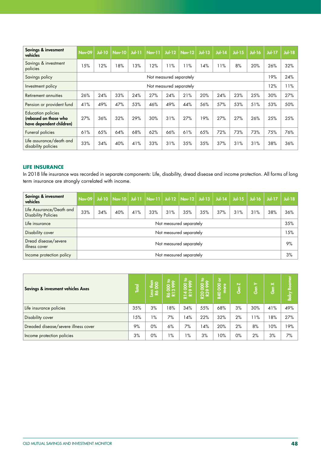| Savings & invesment<br>vehicles                                                | <b>Nov-09</b> | $Jul-10$ | <b>Nov-10</b> | $Ju$ -11 | $\sqrt{\frac{Nov-11}{}}$ | $Jul-12$                | <b>Nov-12</b> | $Jul-13$ | $Jul-14$ | <b>Jul-15</b> | <b>Jul-16</b> | <b>Jul-17</b> | <b>Jul-18</b> |
|--------------------------------------------------------------------------------|---------------|----------|---------------|----------|--------------------------|-------------------------|---------------|----------|----------|---------------|---------------|---------------|---------------|
| Savings & investment<br>policies                                               | 15%           | 12%      | 18%           | 13%      | 2%                       | 11%                     | 11%           | 14%      | 11%      | 8%            | 20%           | 26%           | 32%           |
| Savings policy                                                                 |               |          |               |          |                          | Not measured separately |               |          |          |               |               | 19%           | 24%           |
| Investment policy                                                              |               |          |               |          |                          | Not measured separately |               |          |          |               |               | 12%           | 11%           |
| Retirement annuities                                                           | 26%           | 24%      | 33%           | 24%      | 27%                      | 24%                     | 21%           | 20%      | 24%      | 23%           | 25%           | 30%           | 27%           |
| Pension or provident fund                                                      | 41%           | 49%      | 47%           | 53%      | 46%                      | 49%                     | 44%           | 56%      | 57%      | 53%           | 51%           | 53%           | 50%           |
| <b>Education policies</b><br>(rebased on those who<br>have dependent children) | 27%           | 36%      | 32%           | 29%      | 30%                      | 31%                     | 27%           | 19%      | 27%      | 27%           | 26%           | 25%           | 25%           |
| Funeral policies                                                               | 61%           | 65%      | 64%           | 68%      | 62%                      | 66%                     | 61%           | 65%      | 72%      | 73%           | 73%           | 75%           | 76%           |
| Life assurance/death and<br>disability policies                                | 33%           | 34%      | 40%           | 41%      | 33%                      | 31%                     | 35%           | 35%      | 37%      | 31%           | 31%           | 38%           | 36%           |

# **LIFE INSURANCE**

In 2018 life insurance was recorded in separate components: Life, disability, dread disease and income protection. All forms of long term insurance are strongly correlated with income.

| Savings & invesment<br>vehicles                        | Nov-09 |     | Jul-10   Nov-10   Jul-11   Nov-11   Jul-12   Nov-12   Jul-13 |     |     |     |                         |     | $Jul-14$ | $Jul-15$ | $Jul-16$ | $Ju$ -17 | $Jul-18$ |
|--------------------------------------------------------|--------|-----|--------------------------------------------------------------|-----|-----|-----|-------------------------|-----|----------|----------|----------|----------|----------|
| Life Assurance/Death and<br><b>Disability Policies</b> | 33%    | 34% | 40%                                                          | 41% | 33% | 31% | 35%                     | 35% | 37%      | 31%      | 31%      | 38%      | 36%      |
| Life insurance                                         |        |     |                                                              |     |     |     | Not measured separately |     |          |          |          |          | 35%      |
| Disability cover                                       |        |     |                                                              |     |     |     | Not measured separately |     |          |          |          |          | 5%       |
| Dread disease/severe<br>illness cover                  |        |     |                                                              |     |     |     | Not measured separately |     |          |          |          |          | 9%       |
| Income protection policy                               |        |     |                                                              |     |     |     | Not measured separately |     |          |          |          |          | 3%       |

| Savings & invesment vehicles Axes    | <b>Total</b> | $\frac{4}{200}$<br>8<br>Se | R6 000 to<br>R13 999 | ء ۽<br>88ू<br>R14 | $\frac{8}{2}$<br><b>22</b><br>23 | ৯<br>8<br>nore<br><b>R40</b> | $\overline{\mathbf{N}}$<br>နီ | ≻<br>ဖြစ် | $\boldsymbol{\times}$<br>Gen | <b>Baby Boomer</b> |
|--------------------------------------|--------------|----------------------------|----------------------|-------------------|----------------------------------|------------------------------|-------------------------------|-----------|------------------------------|--------------------|
| Life insurance policies              | 35%          | 3%                         | 18%                  | 34%               | 55%                              | 68%                          | 3%                            | 30%       | 41%                          | 49%                |
| Disability cover                     | 15%          | $1\%$                      | 7%                   | 14%               | 22%                              | 32%                          | 2%                            | l 1%      | 18%                          | 27%                |
| Dreaded disease/severe illness cover | 9%           | $0\%$                      | 6%                   | 7%                | 14%                              | 20%                          | 2%                            | 8%        | 10%                          | 19%                |
| Income protection policies           | 3%           | $0\%$                      | $1\%$                | $1\%$             | 3%                               | 10%                          | $0\%$                         | 2%        | 3%                           | 7%                 |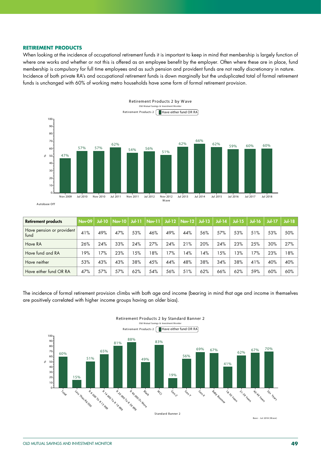#### **RETIREMENT PRODUCTS**

When looking at the incidence of occupational retirement funds it is important to keep in mind that membership is largely function of where one works and whether or not this is offered as an employee benefit by the employer. Often where these are in place, fund membership is compulsory for full time employees and as such pension and provident funds are not really discretionary in nature. Incidence of both private RA's and occupational retirement funds is down marginally but the unduplicated total of formal retirement funds is unchanged with 60% of working metro households have some form of formal retirement provision.



| <b>Retirement products</b>        | Nov-09 | $Jul-10$ | $\sqrt{\frac{Nov-10}{}}$ | $J0$ -11 | $Nov-11$ |     | Jul-12 $ $ Nov-12 $ $ Jul-13 |     | $Jul-14$ | <b>Jul-15</b> | $Jul-16$ | <b>Jul-17</b> | $Jul-18$ |
|-----------------------------------|--------|----------|--------------------------|----------|----------|-----|------------------------------|-----|----------|---------------|----------|---------------|----------|
| Have pension or provident<br>tund | 41%    | 49%      | 47%                      | 53%      | 46%      | 49% | 44%                          | 56% | 57%      | 53%           | 51%      | 53%           | 50%      |
| Have RA                           | 26%    | 24%      | 33%                      | 24%      | 27%      | 24% | 21%                          | 20% | 24%      | 23%           | 25%      | 30%           | 27%      |
| Have fund and RA                  | 19%    | 17%      | 23%                      | 15%      | 8%       | 17% | 14%                          | 4%  | 15%      | 3%            | 17%      | 23%           | 18%      |
| Have neither                      | 53%    | 43%      | 43%                      | 38%      | 45%      | 44% | 48%                          | 38% | 34%      | 38%           | 41%      | 40%           | 40%      |
| Have either fund OR RA            | 47%    | 57%      | 57%                      | 62%      | 54%      | 56% | 51%                          | 62% | 66%      | 62%           | 59%      | 60%           | 60%      |

The incidence of formal retirement provision climbs with both age and income (bearing in mind that age and income in themselves are positively correlated with higher income groups having an older bias).

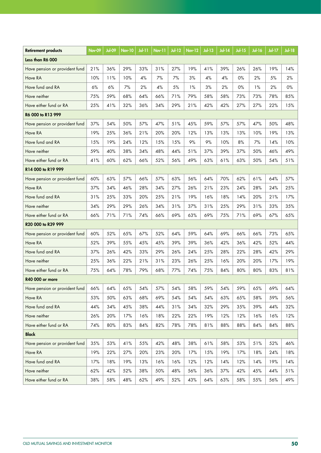| <b>Retirement products</b>     | <b>Nov-09</b> | Jul-09 | <b>Nov-10</b> | Jul-11 | <b>Nov-11</b> | $Jul-12$ | $\overline{\textsf{Nov-12}}$ | <b>Jul-13</b> | <b>Jul-14</b> | <b>Jul-15</b> | <b>Jul-16</b> | $Jul-17$ | <b>Jul-18</b> |
|--------------------------------|---------------|--------|---------------|--------|---------------|----------|------------------------------|---------------|---------------|---------------|---------------|----------|---------------|
| Less than R6 000               |               |        |               |        |               |          |                              |               |               |               |               |          |               |
| Have pension or provident fund | 21%           | 36%    | 29%           | 33%    | 31%           | 27%      | 19%                          | 41%           | 39%           | 26%           | 26%           | 19%      | 14%           |
| Have RA                        | 10%           | 11%    | 10%           | 4%     | 7%            | 7%       | 3%                           | 4%            | 4%            | 0%            | 2%            | 5%       | 2%            |
| Have fund and RA               | 6%            | 6%     | 7%            | 2%     | 4%            | 5%       | 1%                           | 3%            | 2%            | 0%            | 1%            | 2%       | 0%            |
| Have neither                   | 75%           | 59%    | 68%           | 64%    | 66%           | 71%      | 79%                          | 58%           | 58%           | 73%           | 73%           | 78%      | 85%           |
| Have either fund or RA         | 25%           | 41%    | 32%           | 36%    | 34%           | 29%      | 21%                          | 42%           | 42%           | 27%           | 27%           | 22%      | 15%           |
| R6 000 to R13 999              |               |        |               |        |               |          |                              |               |               |               |               |          |               |
| Have pension or provident fund | 37%           | 54%    | 50%           | 57%    | 47%           | 51%      | 45%                          | 59%           | 57%           | 57%           | 47%           | 50%      | 48%           |
| Have RA                        | 19%           | 25%    | 36%           | 21%    | 20%           | 20%      | 12%                          | 13%           | 13%           | 13%           | 10%           | 19%      | 13%           |
| Have fund and RA               | 15%           | 19%    | 24%           | 12%    | 15%           | 15%      | 9%                           | 9%            | 10%           | 8%            | 7%            | 14%      | 10%           |
| Have neither                   | 59%           | 40%    | 38%           | 34%    | 48%           | 44%      | 51%                          | 37%           | 39%           | 37%           | 50%           | 46%      | 49%           |
| Have either fund or RA         | 41%           | 60%    | 62%           | 66%    | 52%           | 56%      | 49%                          | 63%           | 61%           | 63%           | 50%           | 54%      | 51%           |
| R14 000 to R19 999             |               |        |               |        |               |          |                              |               |               |               |               |          |               |
| Have pension or provident fund | 60%           | 63%    | 57%           | 66%    | 57%           | 63%      | 56%                          | 64%           | 70%           | 62%           | 61%           | 64%      | 57%           |
| Have RA                        | 37%           | 34%    | 46%           | 28%    | 34%           | 27%      | 26%                          | 21%           | 23%           | 24%           | 28%           | 24%      | 25%           |
| Have fund and RA               | 31%           | 25%    | 33%           | 20%    | 25%           | 21%      | 19%                          | 16%           | 18%           | 14%           | 20%           | 21%      | 17%           |
| Have neither                   | 34%           | 29%    | 29%           | 26%    | 34%           | 31%      | 37%                          | 31%           | 25%           | 29%           | 31%           | 33%      | 35%           |
| Have either fund or RA         | 66%           | 71%    | 71%           | 74%    | 66%           | 69%      | 63%                          | 69%           | 75%           | 71%           | 69%           | 67%      | 65%           |
| R20 000 to R39 999             |               |        |               |        |               |          |                              |               |               |               |               |          |               |
| Have pension or provident fund | 60%           | 52%    | 65%           | 67%    | 52%           | 64%      | 59%                          | 64%           | 69%           | 66%           | 66%           | 73%      | 65%           |
| Have RA                        | 52%           | 39%    | 55%           | 45%    | 45%           | 39%      | 39%                          | 36%           | 42%           | 36%           | 42%           | 52%      | 44%           |
| Have fund and RA               | 37%           | 26%    | 42%           | 33%    | 29%           | 26%      | 24%                          | 25%           | 28%           | 22%           | 28%           | 42%      | 29%           |
| Have neither                   | 25%           | 36%    | 22%           | 21%    | 31%           | 23%      | 26%                          | 25%           | 16%           | 20%           | 20%           | 17%      | 19%           |
| Have either fund or RA         | 75%           | 64%    | 78%           | 79%    | 68%           | 77%      | 74%                          | 75%           | 84%           | 80%           | 80%           | 83%      | 81%           |
| R40 000 or more                |               |        |               |        |               |          |                              |               |               |               |               |          |               |
| Have pension or provident fund | 66%           | 64%    | 65%           | 54%    | 57%           | 54%      | 58%                          | 59%           | 54%           | 59%           | 65%           | 69%      | 64%           |
| Have RA                        | 53%           | 50%    | 63%           | 68%    | 69%           | 54%      | 54%                          | 54%           | 63%           | 65%           | 58%           | 59%      | 56%           |
| Have fund and RA               | 44%           | 34%    | 45%           | 38%    | 44%           | 31%      | 34%                          | 32%           | 29%           | 35%           | 39%           | 44%      | 32%           |
| Have neither                   | 26%           | 20%    | 17%           | 16%    | 18%           | 22%      | 22%                          | 19%           | 12%           | 12%           | 16%           | 16%      | 12%           |
| Have either fund or RA         | 74%           | 80%    | 83%           | 84%    | 82%           | 78%      | 78%                          | 81%           | 88%           | 88%           | 84%           | 84%      | 88%           |
| <b>Black</b>                   |               |        |               |        |               |          |                              |               |               |               |               |          |               |
| Have pension or provident fund | 35%           | 53%    | 41%           | 55%    | 42%           | 48%      | 38%                          | 61%           | 58%           | 53%           | 51%           | 52%      | 46%           |
| Have RA                        | 19%           | 22%    | 27%           | 20%    | 23%           | 20%      | 17%                          | 15%           | 19%           | 17%           | 18%           | 24%      | 18%           |
| Have fund and RA               | 17%           | 18%    | 19%           | 13%    | 16%           | 16%      | 12%                          | 12%           | 14%           | 12%           | 14%           | 19%      | 14%           |
| Have neither                   | 62%           | 42%    | 52%           | 38%    | 50%           | 48%      | 56%                          | 36%           | 37%           | 42%           | 45%           | 44%      | 51%           |
| Have either fund or RA         | 38%           | 58%    | 48%           | 62%    | 49%           | 52%      | 43%                          | 64%           | 63%           | 58%           | 55%           | 56%      | 49%           |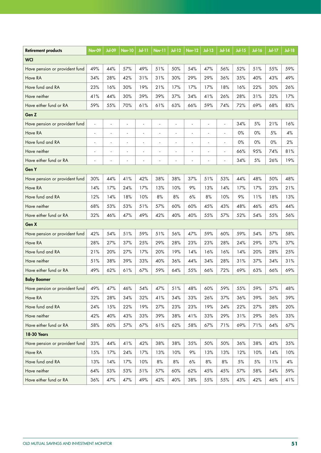| <b>Retirement products</b>     | <b>Nov-09</b> | Jul-09               | <b>Nov-10</b> | $Jul-11$ | Nov-11 | $Jul-12$ | <b>Nov-12</b> | <b>Jul-13</b>            | $Jul-14$ | <b>Jul-15</b> | <b>Jul-16</b> | <b>Jul-17</b> | <b>Jul-18</b> |
|--------------------------------|---------------|----------------------|---------------|----------|--------|----------|---------------|--------------------------|----------|---------------|---------------|---------------|---------------|
| <b>WCI</b>                     |               |                      |               |          |        |          |               |                          |          |               |               |               |               |
| Have pension or provident fund | 49%           | 44%                  | 57%           | 49%      | 51%    | 50%      | 54%           | 47%                      | 56%      | 52%           | 51%           | 55%           | 59%           |
| Have RA                        | 34%           | 28%                  | 42%           | 31%      | 31%    | 30%      | 29%           | 29%                      | 36%      | 35%           | 40%           | 43%           | 49%           |
| Have fund and RA               | 23%           | 16%                  | 30%           | 19%      | 21%    | 17%      | 17%           | 17%                      | 18%      | 16%           | 22%           | 30%           | 26%           |
| Have neither                   | 41%           | 44%                  | 30%           | 39%      | 39%    | 37%      | 34%           | 41%                      | 26%      | 28%           | 31%           | 32%           | 17%           |
| Have either fund or RA         | 59%           | 55%                  | 70%           | 61%      | 61%    | 63%      | 66%           | 59%                      | 74%      | 72%           | 69%           | 68%           | 83%           |
| Gen <sub>Z</sub>               |               |                      |               |          |        |          |               |                          |          |               |               |               |               |
| Have pension or provident fund | L.            |                      | ÷,            | ÷,       |        | L,       | l,            | ÷,                       | ÷,       | 34%           | 5%            | 21%           | 16%           |
| Have RA                        | ÷             | $\ddot{\phantom{1}}$ | ä,            | ÷,       | ä,     | ä,       | ٠             | $\blacksquare$           | ä,       | 0%            | 0%            | 5%            | 4%            |
| Have fund and RA               |               |                      |               |          | ä,     | ä,       |               |                          | ä,       | $0\%$         | 0%            | $0\%$         | 2%            |
| Have neither                   |               |                      | ÷,            |          |        |          |               |                          | ٠        | 66%           | 95%           | 74%           | 81%           |
| Have either fund or RA         | ä,            |                      | ä,            | ÷,       |        | ä,       | L.            | $\overline{\phantom{a}}$ | ä,       | 34%           | 5%            | 26%           | 19%           |
| Gen Y                          |               |                      |               |          |        |          |               |                          |          |               |               |               |               |
| Have pension or provident fund | 30%           | 44%                  | 41%           | 42%      | 38%    | 38%      | 37%           | 51%                      | 53%      | 44%           | 48%           | 50%           | 48%           |
| Have RA                        | 14%           | 17%                  | 24%           | 17%      | 13%    | 10%      | 9%            | 13%                      | 14%      | 17%           | 17%           | 23%           | 21%           |
| Have fund and RA               | 12%           | 14%                  | 18%           | 10%      | 8%     | 8%       | 6%            | 8%                       | 10%      | 9%            | 11%           | 18%           | 13%           |
| Have neither                   | 68%           | 53%                  | 53%           | 51%      | 57%    | 60%      | 60%           | 45%                      | 43%      | 48%           | 46%           | 45%           | 44%           |
| Have either fund or RA         | 32%           | 46%                  | 47%           | 49%      | 42%    | 40%      | 40%           | 55%                      | 57%      | 52%           | 54%           | 55%           | 56%           |
| Gen X                          |               |                      |               |          |        |          |               |                          |          |               |               |               |               |
| Have pension or provident fund | 42%           | 54%                  | 51%           | 59%      | 51%    | 56%      | 47%           | 59%                      | 60%      | 59%           | 54%           | 57%           | 58%           |
| Have RA                        | 28%           | 27%                  | 37%           | 25%      | 29%    | 28%      | 23%           | 23%                      | 28%      | 24%           | 29%           | 37%           | 37%           |
| Have fund and RA               | 21%           | 20%                  | 27%           | 17%      | 20%    | 19%      | 14%           | 16%                      | 16%      | 14%           | 20%           | 28%           | 25%           |
| Have neither                   | 51%           | 38%                  | 39%           | 33%      | 40%    | 36%      | 44%           | 34%                      | 28%      | 31%           | 37%           | 34%           | 31%           |
| Have either fund or RA         | 49%           | 62%                  | 61%           | 67%      | 59%    | 64%      | 55%           | 66%                      | 72%      | 69%           | 63%           | 66%           | 69%           |
| <b>Baby Boomer</b>             |               |                      |               |          |        |          |               |                          |          |               |               |               |               |
| Have pension or provident fund | 49%           | 47%                  | 46%           | 54%      | 47%    | 51%      | 48%           | 60%                      | 59%      | 55%           | 59%           | 57%           | 48%           |
| Have RA                        | 32%           | 28%                  | 34%           | 32%      | 41%    | 34%      | 33%           | 26%                      | 37%      | 36%           | 39%           | 36%           | 39%           |
| Have fund and RA               | 24%           | 15%                  | 22%           | 19%      | 27%    | 23%      | 23%           | 19%                      | 24%      | 22%           | 27%           | 28%           | 20%           |
| Have neither                   | 42%           | 40%                  | 43%           | 33%      | 39%    | 38%      | 41%           | 33%                      | 29%      | 31%           | 29%           | 36%           | 33%           |
| Have either fund or RA         | 58%           | 60%                  | 57%           | 67%      | 61%    | 62%      | 58%           | 67%                      | 71%      | 69%           | 71%           | 64%           | 67%           |
| 18-30 Years                    |               |                      |               |          |        |          |               |                          |          |               |               |               |               |
| Have pension or provident fund | 33%           | 44%                  | 41%           | 42%      | 38%    | 38%      | 35%           | 50%                      | 50%      | 36%           | 38%           | 43%           | 35%           |
| Have RA                        | 15%           | 17%                  | 24%           | 17%      | 13%    | 10%      | 9%            | 13%                      | 13%      | 12%           | 10%           | 14%           | 10%           |
| Have fund and RA               | 13%           | 14%                  | 17%           | 10%      | $8%$   | 8%       | 6%            | $8%$                     | 8%       | $5\%$         | $5\%$         | 11%           | 4%            |
| Have neither                   | 64%           | 53%                  | 53%           | 51%      | 57%    | 60%      | 62%           | 45%                      | 45%      | 57%           | 58%           | 54%           | 59%           |
| Have either fund or RA         | 36%           | 47%                  | 47%           | 49%      | 42%    | 40%      | 38%           | 55%                      | 55%      | 43%           | 42%           | 46%           | 41%           |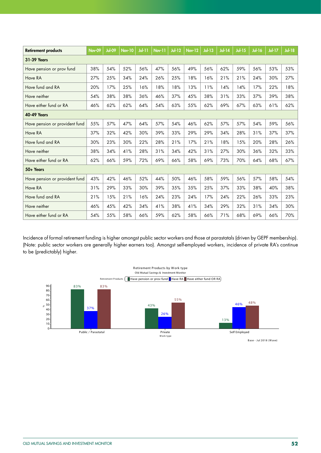| <b>Retirement products</b>     | Nov-09 | <b>Jul-09</b> | Nov-10 | $J0$ $\vdash$ 11 | Nov-11 | $Jul-12$ | <b>Nov-12</b> | $Jul-13$ | <b>Jul-14</b> | $Jul-15$ | <b>Jul-16</b> | $Jul-17$ | $Jul-18$ |
|--------------------------------|--------|---------------|--------|------------------|--------|----------|---------------|----------|---------------|----------|---------------|----------|----------|
| <b>31-39 Years</b>             |        |               |        |                  |        |          |               |          |               |          |               |          |          |
| Have pension or prov fund      | 38%    | 54%           | 52%    | 56%              | 47%    | 56%      | 49%           | 56%      | 62%           | 59%      | 56%           | 53%      | 53%      |
| Have RA                        | 27%    | 25%           | 34%    | 24%              | 26%    | 25%      | 18%           | 16%      | 21%           | 21%      | 24%           | 30%      | 27%      |
| Have fund and RA               | 20%    | 17%           | 25%    | 16%              | 18%    | 18%      | 13%           | 11%      | 14%           | 14%      | 17%           | 22%      | 18%      |
| Have neither                   | 54%    | 38%           | 38%    | 36%              | 46%    | 37%      | 45%           | 38%      | 31%           | 33%      | 37%           | 39%      | 38%      |
| Have either fund or RA         | 46%    | 62%           | 62%    | 64%              | 54%    | 63%      | 55%           | 62%      | 69%           | 67%      | 63%           | 61%      | 62%      |
| <b>40-49 Years</b>             |        |               |        |                  |        |          |               |          |               |          |               |          |          |
| Have pension or provident fund | 55%    | 57%           | 47%    | 64%              | 57%    | 54%      | 46%           | 62%      | 57%           | 57%      | 54%           | 59%      | 56%      |
| Have RA                        | 37%    | 32%           | 42%    | 30%              | 39%    | 33%      | 29%           | 29%      | 34%           | 28%      | 31%           | 37%      | 37%      |
| Have fund and RA               | 30%    | 23%           | 30%    | 22%              | 28%    | 21%      | 17%           | 21%      | 18%           | 15%      | 20%           | 28%      | 26%      |
| Have neither                   | 38%    | 34%           | 41%    | 28%              | 31%    | 34%      | 42%           | 31%      | 27%           | 30%      | 36%           | 32%      | 33%      |
| Have either fund or RA         | 62%    | 66%           | 59%    | 72%              | 69%    | 66%      | 58%           | 69%      | 73%           | 70%      | 64%           | 68%      | 67%      |
| 50+ Years                      |        |               |        |                  |        |          |               |          |               |          |               |          |          |
| Have pension or provident fund | 43%    | 42%           | 46%    | 52%              | 44%    | 50%      | 46%           | 58%      | 59%           | 56%      | 57%           | 58%      | 54%      |
| Have RA                        | 31%    | 29%           | 33%    | 30%              | 39%    | 35%      | 35%           | 25%      | 37%           | 33%      | 38%           | 40%      | 38%      |
| Have fund and RA               | 21%    | 15%           | 21%    | 16%              | 24%    | 23%      | 24%           | 17%      | 24%           | 22%      | 26%           | 33%      | 23%      |
| Have neither                   | 46%    | 45%           | 42%    | 34%              | 41%    | 38%      | 41%           | 34%      | 29%           | 32%      | 31%           | 34%      | 30%      |
| Have either fund or RA         | 54%    | 55%           | 58%    | 66%              | 59%    | 62%      | 58%           | 66%      | 71%           | 68%      | 69%           | 66%      | 70%      |

Incidence of formal retirement funding is higher amongst public sector workers and those at parastatals (driven by GEPF membership). (Note: public sector workers are generally higher earners too). Amongst self-employed workers, incidence of private RA's continue to be (predictably) higher.



OLD MUTUAL SAVINGS AND INVESTMENT MONITOR **52**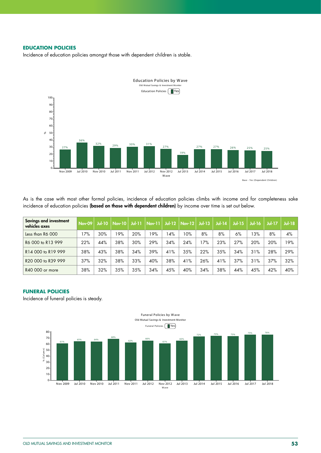### **EDUCATION POLICIES**

Incidence of education policies amongst those with dependent children is stable.



As is the case with most other formal policies, incidence of education policies climbs with income and for completeness sake incidence of education policies (based on those with dependent children) by income over time is set out below.

| <b>Savings and investment</b><br>vehicles axes | <b>Nov-09</b> | $Jul-10$ | <b>Nov-10</b> | $J_0$ -11 | $Nov-11$ | $Jul-12$ | $\vert$ Nov-12 | $Ju$ -13 | $Jul-14$ | $Jul-15$ | <b>Jul-16</b> | <b>Jul-17</b> | $Jul-18$ |
|------------------------------------------------|---------------|----------|---------------|-----------|----------|----------|----------------|----------|----------|----------|---------------|---------------|----------|
| Less than R6 000                               | 7%            | 30%      | 19%           | 20%       | 9%       | 4%       | 10%            | 8%       | 8%       | 6%       | 3%            | 8%            | 4%       |
| R6 000 to R13 999                              | 22%           | 44%      | 38%           | 30%       | 29%      | 34%      | 24%            | 7%       | 23%      | 27%      | 20%           | 20%           | 19%      |
| R14 000 to R19 999                             | 38%           | 43%      | 38%           | 34%       | 39%      | 41%      | 35%            | 22%      | 35%      | 34%      | 31%           | 28%           | 29%      |
| R20 000 to R39 999                             | 37%           | 32%      | 38%           | 33%       | 40%      | 38%      | 41%            | 26%      | 41%      | 37%      | 31%           | 37%           | 32%      |
| R40 000 or more                                | 38%           | 32%      | 35%           | 35%       | 34%      | 45%      | 40%            | 34%      | 38%      | 44%      | 45%           | 42%           | 40%      |

# **FUNERAL POLICIES**

Incidence of funeral policies is steady.

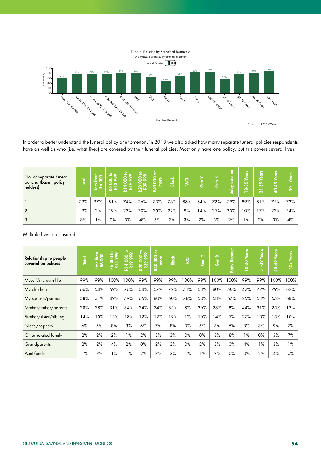

In order to better understand the funeral policy phenomenon, in 2018 we also asked how many separate funeral policies respondents have as well as who (i.e. what lives) are covered by their funeral policies. Most only have one policy, but this covers several lives:

| No. of separate funeral<br>policies (base= policy<br>holders) | <b>Total</b> | $rac{1}{2}$<br>ess<br>Ró | $\frac{16}{99}$<br>ල ෆ<br>22 | <b>PO</b><br>88<br>3<br>$\sim$<br>Ĕ<br>ᆉ<br>尼 | $\mathbf{P}_{\infty}$<br>0<br>$\infty$<br>0<br>っ<br><b>R200</b> | ৯<br>8<br>ုဗ္<br>Զ<br>R40 | <b>Black</b> | l Š | ><br>룲<br>υ | $\boldsymbol{\times}$<br>l5'<br>ပ | ā<br>൶<br><b>Raby</b> | či<br>$\approx$<br>ထဲ<br>- | ٣<br>8<br>$\frac{8}{3}$<br>-<br>$\infty$ | ್ಲಿ<br>c<br>÷ | ႙   |
|---------------------------------------------------------------|--------------|--------------------------|------------------------------|-----------------------------------------------|-----------------------------------------------------------------|---------------------------|--------------|-----|-------------|-----------------------------------|-----------------------|----------------------------|------------------------------------------|---------------|-----|
|                                                               | 79%          | 97%                      | 81%                          | 74%                                           | 76%                                                             | 70%                       | 76%          | 88% | 84%         | 72%                               | 79%                   | 89%                        | 81%                                      | 75%           | 72% |
| $\overline{2}$                                                | 19%          | 2%                       | 19%                          | 23%                                           | 20%                                                             | 25%                       | 22%          | 9%  | 14%         | 25%                               | 20%                   | 10%                        | 17%                                      | 22%           | 24% |
| 3                                                             | 3%           | $1\%$                    | 0%                           | 3%                                            | 4%                                                              | 5%                        | 3%           | 3%  | 2%          | 3%                                | 2%                    | $1\%$                      | 2%                                       | 3%            | 4%  |

Multiple lives are insured.

| <b>Relationship to people</b><br>covered on policies | <b>Total</b> | $\frac{1}{2}$<br><b>SS</b><br>Ró | ₽<br>000 to<br>3 999<br>28 | 000 to<br>9 999<br>$\sim$<br>R14 | R20 000 to<br>R39 999 | $\overleftarrow{\mathbf{o}}$<br>ខ្ល<br>more<br><b>R40</b> | <b>Black</b> | <b>I</b> S | ≻<br>န္ပြ | Gen X | oomer<br>۵Ŏ<br>Baby | Years<br>$18 - 30$ | Years<br>-39<br>5 | Years<br>40-49 | <b>Years</b><br>$\frac{1}{50}$ |
|------------------------------------------------------|--------------|----------------------------------|----------------------------|----------------------------------|-----------------------|-----------------------------------------------------------|--------------|------------|-----------|-------|---------------------|--------------------|-------------------|----------------|--------------------------------|
| Myself/my own life                                   | 99%          | 99%                              | 100%                       | 100%                             | 99%                   | 99%                                                       | 99%          | 100%       | 99%       | 100%  | 100%                | 99%                | 99%               | 100%           | 100%                           |
| My children                                          | 66%          | 54%                              | 69%                        | 76%                              | 64%                   | 67%                                                       | 72%          | 51%        | 63%       | 80%   | 50%                 | 42%                | 72%               | 79%            | 62%                            |
| My spouse/partner                                    | 58%          | 31%                              | 49%                        | 59%                              | 66%                   | 80%                                                       | 50%          | 78%        | 50%       | 68%   | 67%                 | 25%                | 63%               | 65%            | 68%                            |
| Mother/father/parents                                | 28%          | 28%                              | 31%                        | 34%                              | 24%                   | 24%                                                       | 35%          | 8%         | 36%       | 23%   | 8%                  | 44%                | 31%               | 25%            | 12%                            |
| Brother/sister/sibling                               | 14%          | 15%                              | 15%                        | 18%                              | 12%                   | 12%                                                       | 19%          | $1\%$      | 16%       | 14%   | 5%                  | 27%                | 10%               | 15%            | 10%                            |
| Niece/nephew                                         | 6%           | 5%                               | 8%                         | 3%                               | 6%                    | 7%                                                        | 8%           | $0\%$      | 5%        | 8%    | 5%                  | 8%                 | 3%                | 9%             | 7%                             |
| Other related family                                 | 2%           | 2%                               | 2%                         | 1%                               | 2%                    | 3%                                                        | 3%           | $0\%$      | $0\%$     | 3%    | 8%                  | 1%                 | $0\%$             | 3%             | 7%                             |
| Grandparents                                         | 2%           | 2%                               | 4%                         | 2%                               | $0\%$                 | 2%                                                        | 3%           | $0\%$      | 2%        | 3%    | $0\%$               | 4%                 | $1\%$             | 3%             | $1\%$                          |
| Aunt/uncle                                           | $1\%$        | 2%                               | 1%                         | 1%                               | 2%                    | 2%                                                        | 2%           | 1%         | 1%        | 2%    | $0\%$               | $0\%$              | 2%                | 4%             | 0%                             |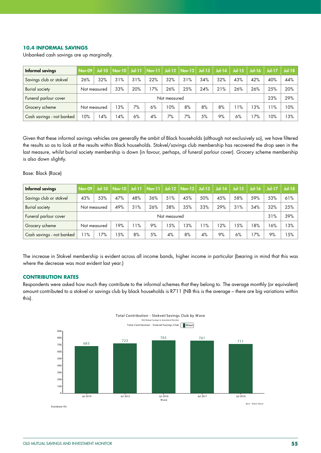#### **10.4 INFORMAL SAVINGS**

Unbanked cash savings are up marginally.

| Informal savings          | <b>Nov-09</b> |              |     |     |     |     | Jul-10   Nov-10   Jul-11   Nov-11   Jul-12   Nov-12   Jul-13 |     | $Jul-14$ | $Jul-15$ | $Jul-16$ | $Jul-17$ | $Jul-18$ |
|---------------------------|---------------|--------------|-----|-----|-----|-----|--------------------------------------------------------------|-----|----------|----------|----------|----------|----------|
| Savings club or stokvel   | 26%           | 32%          | 31% | 31% | 22% | 32% | 31%                                                          | 34% | 32%      | 43%      | 42%      | 40%      | 44%      |
| <b>Burial society</b>     |               | Not measured | 33% | 20% | 7%  | 26% | 25%                                                          | 24% | 21%      | 26%      | 26%      | 25%      | 20%      |
| Funeral parlour cover     |               | Not measured |     |     |     |     |                                                              |     |          |          |          | 23%      | 29%      |
| Grocery scheme            |               | Not measured | 13% | 7%  | 6%  | 10% | 8%                                                           | 8%  | 8%       | 1%       | 13%      | $1\%$    | 10%      |
| Cash savings - not banked | 10%           | 14%          | 14% | 6%  | 4%  | 7%  | 7%                                                           | 5%  | 9%       | 6%       | 7%       | 10%      | 3%       |

Given that these informal savings vehicles are generally the ambit of Black households (although not exclusively so), we have filtered the results so as to look at the results within Black households. Stokvel/savings club membership has recovered the drop seen in the last measure, whilst burial society membership is down (in favour, perhaps, of funeral parlour cover). Grocery scheme membership is also down slightly.

#### Base: Black (Race)

| Informal savings          | <b>Nov-09</b> |              |     |     |     |     | Jul-10   Nov-10   Jul-11   Nov-11   Jul-12   Nov-12   Jul-13 |       | $Jul-14$ | $Jul-15$ | $Jul-16$ | $Ju$ -17 | $Jul-18$ |
|---------------------------|---------------|--------------|-----|-----|-----|-----|--------------------------------------------------------------|-------|----------|----------|----------|----------|----------|
| Savings club or stokvel   | 43%           | 53%          | 47% | 48% | 36% | 51% | 45%                                                          | 50%   | 45%      | 58%      | 59%      | 53%      | 61%      |
| <b>Burial society</b>     | Not measured  |              | 49% | 31% | 26% | 38% | 35%                                                          | 33%   | 29%      | 31%      | 34%      | 32%      | 25%      |
| Funeral parlour cover     | Not measured  |              |     |     |     |     |                                                              |       |          |          | 31%      | 39%      |          |
| Grocery scheme            |               | Not measured | 19% | 11% | 9%  | 5%  | 13%                                                          | $1\%$ | 12%      | 15%      | 8%       | 16%      | 3%       |
| Cash savings - not banked | 1%            | 17%          | 5%  | 8%  | 5%  | 4%  | 8%                                                           | 4%    | 9%       | 6%       | 17%      | 9%       | l 5%     |

The increase in Stokvel membership is evident across all income bands, higher income in particular (bearing in mind that this was where the decrease was most evident last year.)

#### **CONTRIBUTION RATES**

Respondents were asked how much they contribute to the informal schemes that they belong to. The average monthly (or equivalent) amount contributed to a stokvel or savings club by black households is R711 (NB this is the average – there are big variations within this).

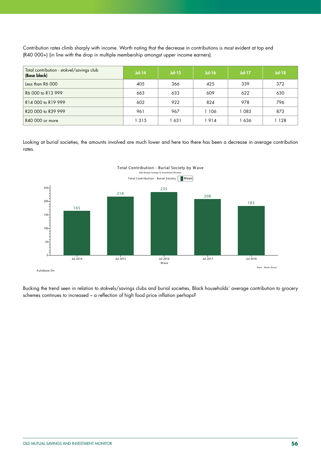Contribution rates climb sharply with income. Worth noting that the decrease in contributions is most evident at top end (R40 000+) (in line with the drop in multiple membership amongst upper income earners).

| Total contribution - stokvel/savings club<br>(Base black) | $Jul-14$ | <b>Jul-15</b> | $Jul-16$ | <b>Jul-17</b> | $Jul-18$ |
|-----------------------------------------------------------|----------|---------------|----------|---------------|----------|
| Less than R6 000                                          | 405      | 366           | 425      | 339           | 372      |
| R6 000 to R13 999                                         | 663      | 633           | 609      | 622           | 630      |
| R14 000 to R19 999                                        | 602      | 922           | 824      | 978           | 796      |
| R20 000 to R39 999                                        | 961      | 967           | 106      | 1 085         | 873      |
| R40 000 or more                                           | 315      | 631           | 914      | 1 636         | ∣ 128    |

Looking at burial societies, the amounts involved are much lower and here too there has been a decrease in average contribution rates.



Bucking the trend seen in relation to stokvels/savings clubs and burial societies, Black households' average contribution to grocery schemes continues to increased – a reflection of high food price inflation perhaps?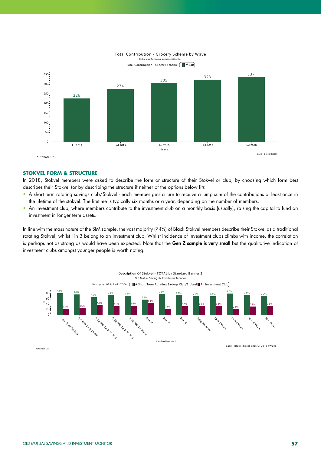

Autobase On

#### **STOKVEL FORM & STRUCTURE**

In 2018, Stokvel members were asked to describe the form or structure of their Stokvel or club, by choosing which form best describes their Stokvel (or by describing the structure if neither of the options below fit):

- A short term rotating savings club/Stokvel each member gets a turn to receive a lump sum of the contributions at least once in the lifetime of the stokvel. The lifetime is typically six months or a year, depending on the number of members.
- An investment club, where members contribute to the investment club on a monthly basis (usually), raising the capital to fund an investment in longer term assets.

In line with the mass nature of the SIM sample, the vast majority (74%) of Black Stokvel members describe their Stokvel as a traditional rotating Stokvel, whilst I in 3 belong to an investment club. Whilst incidence of investment clubs climbs with income, the correlation is perhaps not as strong as would have been expected. Note that the Gen Z sample is very small but the qualitative indication of investment clubs amongst younger people is worth noting.



# Total Contribution - Grocery Scheme by W ave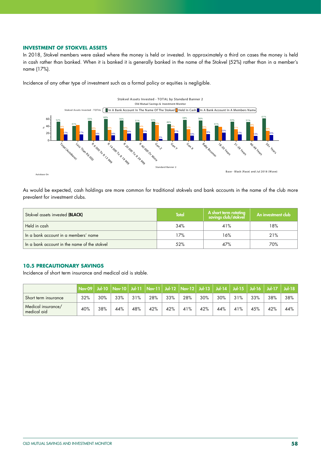#### **INVESTMENT OF STOKVEL ASSETS**

In 2018, Stokvel members were asked where the money is held or invested. In approximately a third on cases the money is held in cash rather than banked. When it is banked it is generally banked in the name of the Stokvel (52%) rather than in a member's name (17%).



Incidence of any other type of investment such as a formal policy or equities is negligible.

As would be expected, cash holdings are more common for traditional stokvels and bank accounts in the name of the club more prevalent for investment clubs.

| Stokvel assets invested (BLACK)              | <b>Total</b> | A short term rotating<br>savings club/stokvel | An investment club |
|----------------------------------------------|--------------|-----------------------------------------------|--------------------|
| Held in cash                                 | 34%          | 41%                                           | 18%                |
| In a bank account in a members' name         | 17%          | 16%                                           | 21%                |
| In a bank account in the name of the stokvel | 52%          | 47%                                           | 70%                |

# **10.5 PRECAUTIONARY SAVINGS**

Incidence of short term insurance and medical aid is stable.

|                                   | Nov-09   Jul-10   Nov-10   Jul-11   Nov-11   Jul-12   Nov-12   Jul-13   Jul-14   Jul-15   Jul-16   Jul-17   Jul-18 |     |     |     |     |     |     |     |     |     |     |     |     |
|-----------------------------------|--------------------------------------------------------------------------------------------------------------------|-----|-----|-----|-----|-----|-----|-----|-----|-----|-----|-----|-----|
| Short term insurance              | 32%                                                                                                                | 30% | 33% | 31% | 28% | 33% | 28% | 30% | 30% | 31% | 33% | 38% | 38% |
| Medical insurance/<br>medical aid | 40%                                                                                                                | 38% | 44% | 48% | 42% | 42% | 41% | 42% | 44% | 41% | 45% | 42% | 44% |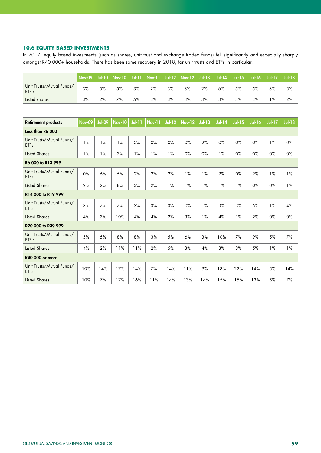#### **10.6 EQUITY BASED INVESTMENTS**

In 2017, equity based investments (such as shares, unit trust and exchange traded funds) fell significantly and especially sharply amongst R40 000+ households. There has been some recovery in 2018, for unit trusts and ETFs in particular.

|                                    |    |    |    |    | Nov-09   Jul-10   Nov-10   Jul-11   Nov-11   Jul-12   Nov-12   Jul-13   Jul-14 |    |    |    |    |    | Jul-15   Jul-16   Jul-17 |    | $JU$ - 18 |
|------------------------------------|----|----|----|----|--------------------------------------------------------------------------------|----|----|----|----|----|--------------------------|----|-----------|
| Unit Trusts/Mutual Funds/<br>ETF's | 3% | 5% | 5% | 3% | 2%                                                                             | 3% | 3% | 2% | 6% | 5% | 5%                       | 3% | 5%        |
| Listed shares                      | 3% | 2% | 7% | 5% | 3%                                                                             | 3% | 3% | 3% | 3% | 3% | 3%                       | 1% | 2%        |

| <b>Retirement products</b>               | <b>Nov-09</b> | <b>Jul-09</b> | <b>Nov-10</b> | <b>Jul-11</b> | <b>Nov-11</b> | $Jul-12$ | <b>Nov-12</b> | $Jul-13$ | <b>Jul-14</b> | $Jul-15$ | <b>Jul-16</b> | <b>Jul-17</b> | $Jul-18$ |
|------------------------------------------|---------------|---------------|---------------|---------------|---------------|----------|---------------|----------|---------------|----------|---------------|---------------|----------|
| Less than R6 000                         |               |               |               |               |               |          |               |          |               |          |               |               |          |
| Unit Trusts/Mutual Funds/<br><b>ETFs</b> | 1%            | 1%            | 1%            | 0%            | 0%            | 0%       | 0%            | 2%       | 0%            | 0%       | 0%            | 1%            | 0%       |
| <b>Listed Shares</b>                     | 1%            | 1%            | 2%            | 1%            | 1%            | 1%       | 0%            | 0%       | 1%            | 0%       | 0%            | $0\%$         | 0%       |
| R6 000 to R13 999                        |               |               |               |               |               |          |               |          |               |          |               |               |          |
| Unit Trusts/Mutual Funds/<br><b>ETFs</b> | 0%            | 6%            | 5%            | 2%            | 2%            | 2%       | $1\%$         | 1%       | 2%            | 0%       | 2%            | $1\%$         | 1%       |
| <b>Listed Shares</b>                     | 2%            | 2%            | 8%            | 3%            | 2%            | 1%       | 1%            | 1%       | 1%            | 1%       | 0%            | 0%            | 1%       |
| R14 000 to R19 999                       |               |               |               |               |               |          |               |          |               |          |               |               |          |
| Unit Trusts/Mutual Funds/<br><b>ETFs</b> | 8%            | 7%            | 7%            | 3%            | 3%            | 3%       | 0%            | 1%       | 3%            | 3%       | 5%            | 1%            | 4%       |
| <b>Listed Shares</b>                     | 4%            | 3%            | 10%           | 4%            | 4%            | 2%       | 3%            | 1%       | 4%            | 1%       | 2%            | 0%            | $0\%$    |
| R20 000 to R39 999                       |               |               |               |               |               |          |               |          |               |          |               |               |          |
| Unit Trusts/Mutual Funds/<br>ETF's       | 5%            | 5%            | 8%            | 8%            | 3%            | 5%       | 6%            | 3%       | 10%           | 7%       | 9%            | 5%            | 7%       |
| <b>Listed Shares</b>                     | 4%            | 2%            | 11%           | 11%           | 2%            | 5%       | 3%            | 4%       | 3%            | 3%       | 5%            | 1%            | 1%       |
| <b>R40 000 or more</b>                   |               |               |               |               |               |          |               |          |               |          |               |               |          |
| Unit Trusts/Mutual Funds/<br><b>ETFs</b> | 10%           | 14%           | 17%           | 14%           | 7%            | 14%      | 11%           | $9%$     | 18%           | 22%      | 14%           | 5%            | 14%      |
| <b>Listed Shares</b>                     | 10%           | 7%            | 17%           | 16%           | 11%           | 14%      | 13%           | 14%      | 15%           | 15%      | 13%           | 5%            | 7%       |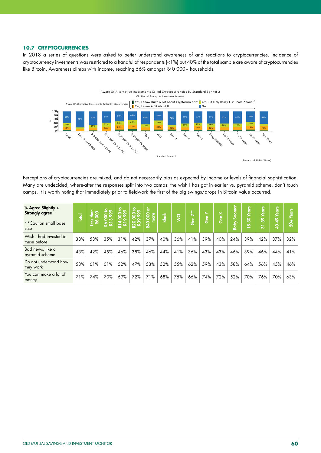#### **10.7 CRYPTOCURRENCIES**

In 2018 a series of questions were asked to better understand awareness of and reactions to cryptocurrencies. Incidence of cryptocurrency investments was restricted to a handful of respondents (<1%) but 40% of the total sample are aware of cryptocurrencies like Bitcoin. Awareness climbs with income, reaching 56% amongst R40 000+ households.



Perceptions of cryptocurrencies are mixed, and do not necessarily bias as expected by income or levels of financial sophistication. Many are undecided, where-after the responses split into two camps: the wish I has got in earlier vs. pyramid scheme, don't touch camps. It is worth noting that immediately prior to fieldwork the first of the big swings/drops in Bitcoin value occurred.

| % Agree Slightly +<br><b>Strongly agree</b><br>**Caution small base<br>size | <b>Total</b> | o<br>ιğ<br><b>Signa</b> | ہ ع<br>န္တစ္က<br>25 | $\mathbf{e}^{\bullet}$<br>၉<br>၁၀၀<br>R14 | $2^{\circ}$<br>8<br>8<br>0<br>ន្តន | ă<br>8 <sup>o</sup><br>more<br><b>R40</b> | <b>Black</b> | $\overline{S}$ | $\mathbf{z}^*$<br>(ချ<br>ဟိ | $\succ$<br><b>၆</b> ရ | $\boldsymbol{\times}$<br>Gen | <b>Boomer</b><br><b>Raby</b> | ears<br>$8 - 30$ | -39<br>ಸ | sans<br>$\sim$<br>੩ | ್ರಠ<br><u>ទំ</u> |
|-----------------------------------------------------------------------------|--------------|-------------------------|---------------------|-------------------------------------------|------------------------------------|-------------------------------------------|--------------|----------------|-----------------------------|-----------------------|------------------------------|------------------------------|------------------|----------|---------------------|------------------|
| Wish I had invested in<br>these before                                      | 38%          | 53%                     | 35%                 | 31%                                       | 42%                                | 37%                                       | 40%          | 36%            | 41%                         | 39%                   | 40%                          | 24%                          | 39%              | 42%      | 37%                 | 32%              |
| Bad news, like a<br>pyramid scheme                                          | 43%          | 42%                     | 45%                 | 46%                                       | 38%                                | 46%                                       | 44%          | 41%            | 36%                         | 43%                   | 43%                          | 46%                          | 39%              | 46%      | 44%                 | 41%              |
| Do not understand how<br>they work                                          | 53%          | 61%                     | 61%                 | 52%                                       | 47%                                | 53%                                       | 52%          | 55%            | 62%                         | 59%                   | 43%                          | 58%                          | 64%              | 56%      | 45%                 | 46%              |
| You can make a lot of<br>money                                              | 71%          | 74%                     | 70%                 | 69%                                       | 72%                                | 71%                                       | 68%          | 75%            | 66%                         | 74%                   | 72%                          | 52%                          | 70%              | 76%      | 70%                 | 63%              |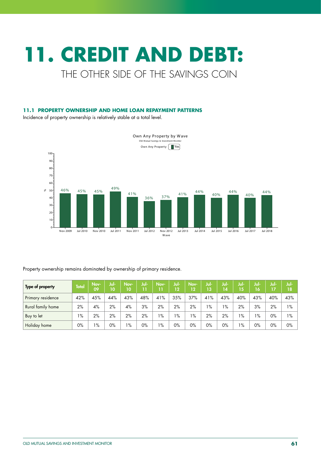# **11. CREDIT AND DEBT:**  THE OTHER SIDE OF THE SAVINGS COIN

# **11.1 PROPERTY OWNERSHIP AND HOME LOAN REPAYMENT PATTERNS**

Incidence of property ownership is relatively stable at a total level.



Property ownership remains dominated by ownership of primary residence.

| Type of property  | <b>Total</b> | Nov-<br>09 | Jul-<br>10 | Nov-<br>10 | Jul-  | Nov-<br>ו ו | Jul-<br>12 | Nov-<br>12 | Jul-<br>13 | Jul-<br>14 | Jul-<br>15' | Jul-<br>16 | Jul-<br>17 | Jul-<br>18 |
|-------------------|--------------|------------|------------|------------|-------|-------------|------------|------------|------------|------------|-------------|------------|------------|------------|
| Primary residence | 42%          | 45%        | 44%        | 43%        | 48%   | 41%         | 35%        | 37%        | 41%        | 43%        | 40%         | 43%        | 40%        | 43%        |
| Rural family home | 2%           | 4%         | 2%         | 4%         | 3%    | 2%          | 2%         | 2%         | $1\%$      | $1\%$      | 2%          | 3%         | 2%         | $1\%$      |
| Buy to let        | 1%           | 2%         | 2%         | 2%         | 2%    | $1\%$       | $1\%$      | $1\%$      | 2%         | 2%         | $1\%$       | $1\%$      | $0\%$      | 1%         |
| Holiday home      | 0%           | $1\%$      | 0%         | $1\%$      | $0\%$ | $1\%$       | $0\%$      | 0%         | 0%         | $0\%$      | 1%          | $0\%$      | $0\%$      | $0\%$      |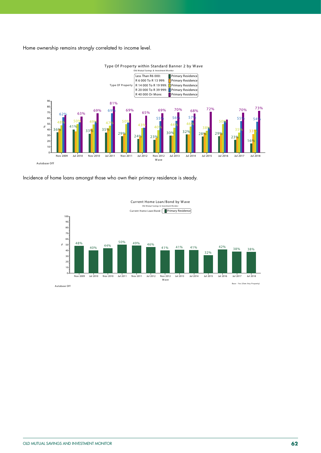Home ownership remains strongly correlated to income level.



Type Of Property within Standard Banner 2 by Wave

Incidence of home loans amongst those who own their primary residence is steady.



Autobase Off

Base - Yes (Own Any Property)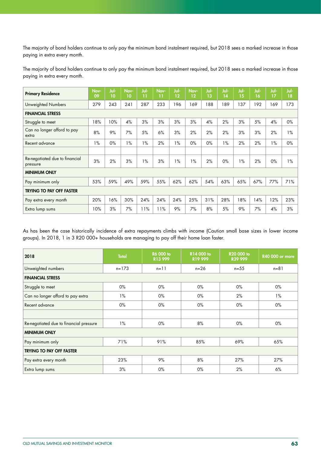The majority of bond holders continue to only pay the minimum bond instalment required, but 2018 sees a marked increase in those paying in extra every month.

The majority of bond holders continue to only pay the minimum bond instalment required, but 2018 sees a marked increase in those paying in extra every month.

| <b>Primary Residence</b>                   | Nov-<br>09 | Jul-<br>10 | Nov-<br>10 | Jul-<br>11 | Nov-<br>11 | Jul-<br>12 | Nov-<br>12 | Jul-<br>13 | Jul-<br>14 | Jul-<br>15 | Jul-<br>16 | Jul-<br>17 | Jul-<br>18 |
|--------------------------------------------|------------|------------|------------|------------|------------|------------|------------|------------|------------|------------|------------|------------|------------|
| Unweighted Numbers                         | 279        | 243        | 241        | 287        | 233        | 196        | 169        | 188        | 189        | 137        | 192        | 169        | 173        |
| <b>FINANCIAL STRESS</b>                    |            |            |            |            |            |            |            |            |            |            |            |            |            |
| Struggle to meet                           | 18%        | 10%        | 4%         | 3%         | 3%         | 3%         | 3%         | 4%         | 2%         | 3%         | 5%         | 4%         | $0\%$      |
| Can no longer afford to pay<br>extra       | 8%         | 9%         | 7%         | 5%         | 6%         | 3%         | 2%         | 2%         | 2%         | 3%         | 3%         | 2%         | $1\%$      |
| Recent advance                             | $1\%$      | $0\%$      | $1\%$      | $1\%$      | 2%         | $1\%$      | $0\%$      | $0\%$      | $1\%$      | 2%         | 2%         | $1\%$      | $0\%$      |
|                                            |            |            |            |            |            |            |            |            |            |            |            |            |            |
| Re-negotiated due to financial<br>pressure | 3%         | 2%         | 3%         | 1%         | 3%         | 1%         | 1%         | 2%         | $0\%$      | 1%         | 2%         | $0\%$      | 1%         |
| <b>MINIMUM ONLY</b>                        |            |            |            |            |            |            |            |            |            |            |            |            |            |
| Pay minimum only                           | 53%        | 59%        | 49%        | 59%        | 55%        | 62%        | 62%        | 54%        | 63%        | 65%        | 67%        | 77%        | 71%        |
| <b>TRYING TO PAY OFF FASTER</b>            |            |            |            |            |            |            |            |            |            |            |            |            |            |
| Pay extra every month                      | 20%        | 16%        | 30%        | 24%        | 24%        | 24%        | 25%        | 31%        | 28%        | 18%        | 14%        | 12%        | 23%        |
| Extra lump sums                            | 10%        | 3%         | 7%         | 11%        | 11%        | 9%         | 7%         | 8%         | 5%         | 9%         | 7%         | 4%         | 3%         |

As has been the case historically incidence of extra repayments climbs with income (Caution small base sizes in lower income groups). In 2018, 1 in 3 R20 000+ households are managing to pay off their home loan faster.

| 2018                                    | <b>Total</b> | <b>R6 000 to</b><br>R13 999 | R14 000 to<br>R19 999 | R20 000 to<br>R39 999 | <b>R40 000 or more</b> |
|-----------------------------------------|--------------|-----------------------------|-----------------------|-----------------------|------------------------|
| Unweighted numbers                      | $n = 173$    | $n = 11$                    | $n = 26$              | $n = 55$              | $n = 81$               |
| <b>FINANCIAL STRESS</b>                 |              |                             |                       |                       |                        |
| Struggle to meet                        | $0\%$        | $0\%$                       | $0\%$                 | $0\%$                 | $0\%$                  |
| Can no longer afford to pay extra       | $1\%$        | $0\%$                       | $0\%$                 | 2%                    | $1\%$                  |
| Recent advance                          | 0%           | $0\%$                       | $0\%$                 | $0\%$                 | 0%                     |
|                                         |              |                             |                       |                       |                        |
| Re-negotiated due to financial pressure | $1\%$        | $0\%$                       | 8%                    | $0\%$                 | $0\%$                  |
| <b>MINIMUM ONLY</b>                     |              |                             |                       |                       |                        |
| Pay minimum only                        | 71%          | 91%                         | 85%                   | 69%                   | 65%                    |
| <b>TRYING TO PAY OFF FASTER</b>         |              |                             |                       |                       |                        |
| Pay extra every month                   | 23%          | 9%                          | 8%                    | 27%                   | 27%                    |
| Extra lump sums                         | 3%           | $0\%$                       | $0\%$                 | 2%                    | 6%                     |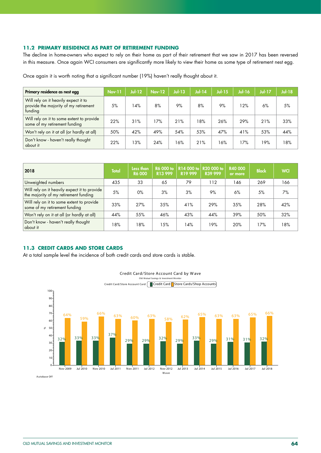#### **11.2 PRIMARY RESIDENCE AS PART OF RETIREMENT FUNDING**

The decline in home-owners who expect to rely on their home as part of their retirement that we saw in 2017 has been reversed in this measure. Once again WCI consumers are significantly more likely to view their home as some type of retirement nest egg.

Once again it is worth noting that a significant number (19%) haven't really thought about it.

| Primary residence as nest egg                                                            | <b>Nov-11</b> | $Jul-12$ | <b>Nov-12</b> | <b>Jul-13</b> | <b>Jul-14</b> | <b>Jul-15</b> | <b>Jul-16</b> | <b>Jul-17</b> | $Jul-18$ |
|------------------------------------------------------------------------------------------|---------------|----------|---------------|---------------|---------------|---------------|---------------|---------------|----------|
| Will rely on it heavily expect it to<br>provide the majority of my retirement<br>funding | 5%            | 14%      | 8%            | 9%            | 8%            | 9%            | 12%           | 6%            | 5%       |
| Will rely on it to some extent to provide<br>some of my retirement funding               | 22%           | 31%      | 17%           | 21%           | 18%           | 26%           | 29%           | 21%           | 33%      |
| Won't rely on it at all (or hardly at all)                                               | 50%           | 42%      | 49%           | 54%           | 53%           | 47%           | 41%           | 53%           | 44%      |
| Don't know - haven't really thought<br>about it                                          | 22%           | 13%      | 24%           | 16%           | 21%           | 16%           | 17%           | 19%           | 18%      |

| 2018                                                                                  | <b>Total</b> | Less than<br><b>R6 000</b> | R6 000 to<br>R13 999 | R14 000 to<br>R <sub>19</sub> 999 | R20 000 to<br>R39 999 | R40 000<br>or more | <b>Black</b> | <b>WCI</b> |
|---------------------------------------------------------------------------------------|--------------|----------------------------|----------------------|-----------------------------------|-----------------------|--------------------|--------------|------------|
| Unweighted numbers                                                                    | 435          | 33                         | 65                   | 79                                | 112                   | 146                | 269          | 166        |
| Will rely on it heavily expect it to provide<br>the majority of my retirement funding | 5%           | $0\%$                      | 3%                   | 3%                                | 9%                    | 6%                 | 5%           | 7%         |
| Will rely on it to some extent to provide<br>some of my retirement funding            | 33%          | 27%                        | 35%                  | 41%                               | 29%                   | 35%                | 28%          | 42%        |
| Won't rely on it at all (or hardly at all)                                            | 44%          | 55%                        | 46%                  | 43%                               | 44%                   | 39%                | 50%          | 32%        |
| Don't know - haven't really thought<br>  about it                                     | 18%          | 18%                        | 15%                  | 14%                               | 19%                   | 20%                | 17%          | 18%        |

# **11.3 CREDIT CARDS AND STORE CARDS**

At a total sample level the incidence of both credit cards and store cards is stable.



Autobase Off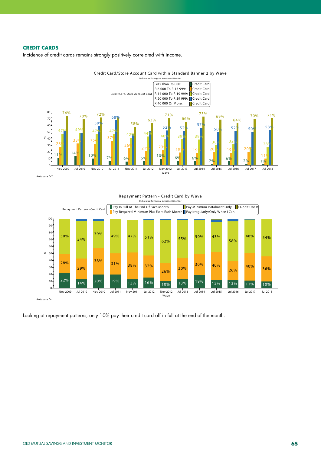# **CREDIT CARDS**

Incidence of credit cards remains strongly positively correlated with income.



Credit Card/Store Account Card within Standard Banner 2 by W ave

Autobase Off

![](_page_65_Figure_5.jpeg)

Repayment Pattern - Credit Card by W ave

Looking at repayment patterns, only 10% pay their credit card off in full at the end of the month.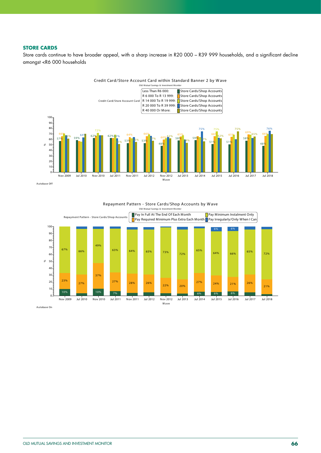### **STORE CARDS**

Store cards continue to have broader appeal, with a sharp increase in R20 000 – R39 999 households, and a significant decline amongst <R6 000 households

![](_page_66_Figure_2.jpeg)

Autobase Off

![](_page_66_Figure_4.jpeg)

Repayment Pattern - Store Cards/Shop Accounts by W ave

Autobase On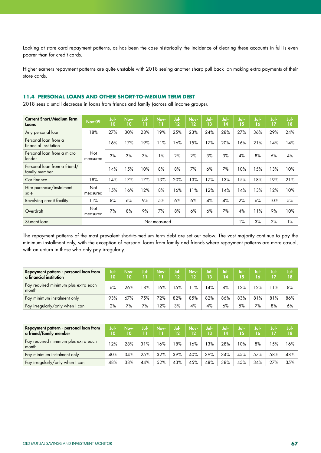Looking at store card repayment patterns, as has been the case historically the incidence of clearing these accounts in full is even poorer than for credit cards.

Higher earners repayment patterns are quite unstable with 2018 seeing another sharp pull back on making extra payments of their store cards.

# **11.4 PERSONAL LOANS AND OTHER SHORT-TO-MEDIUM TERM DEBT**

2018 sees a small decrease in loans from friends and family (across all income groups).

| <b>Current Short/Medium Term</b><br>Loans     | <b>Nov-09</b>   | Jul-<br>10 | Nov-<br>10 | Jul-<br>11 | Nov-<br>11 | Jul-<br>$12 \overline{ }$ | Nov-<br>12 | Jul-<br>13 | Jul-<br>14 | Jul-<br>15 | Jul-<br>16 | Jul-<br>17 | Jul-<br>18 |
|-----------------------------------------------|-----------------|------------|------------|------------|------------|---------------------------|------------|------------|------------|------------|------------|------------|------------|
| Any personal loan                             | 18%             | 27%        | 30%        | 28%        | 19%        | 25%                       | 23%        | 24%        | 28%        | 27%        | 36%        | 29%        | 24%        |
| Personal loan from a<br>financial institution |                 | 6%         | 17%        | 19%        | 11%        | 16%                       | 15%        | 17%        | 20%        | 6%         | 21%        | 14%        | 14%        |
| Personal loan from a micro<br>lender          | Not<br>measured | 3%         | 3%         | 3%         | 1%         | 2%                        | 2%         | 3%         | 3%         | 4%         | 8%         | 6%         | 4%         |
| Personal loan from a friend/<br>family member |                 | 4%         | 15%        | 10%        | 8%         | 8%                        | 7%         | 6%         | 7%         | 10%        | 15%        | 13%        | 10%        |
| Car finance                                   | 18%             | 14%        | 17%        | 17%        | 13%        | 20%                       | 13%        | 17%        | 13%        | 15%        | 18%        | 19%        | 21%        |
| Hire purchase/instalment<br>sale              | Not<br>measured | 15%        | 16%        | 12%        | 8%         | 6%                        | 11%        | 12%        | 14%        | 4%         | 13%        | 12%        | 10%        |
| Revolving credit facility                     | 11%             | 8%         | 6%         | 9%         | 5%         | 6%                        | 6%         | 4%         | 4%         | 2%         | 6%         | 10%        | 5%         |
| Overdraft                                     | Not<br>measured | 7%         | 8%         | 9%         | 7%         | 8%                        | 6%         | 6%         | 7%         | 4%         | 11%        | 9%         | 10%        |
| Student loan                                  |                 |            |            |            | $1\%$      | 3%                        | 2%         | $1\%$      |            |            |            |            |            |

The repayment patterns of the most prevalent short-to-medium term debt are set out below. The vast majority continue to pay the minimum installment only, with the exception of personal loans from family and friends where repayment patterns are more casual, with an upturn in those who only pay irregularly.

| Repayment pattern - personal loan from<br>a financial institution | Jul-<br>10 | Nov- | Jul- | Nov- | Jul-<br>12 | Nov-<br>12 | Jul-<br>13 | Jul-<br>14 | Jul- | Jul-<br>16' | Jul-<br>17 | Jul<br>٦8 |
|-------------------------------------------------------------------|------------|------|------|------|------------|------------|------------|------------|------|-------------|------------|-----------|
| Pay required minimum plus extra each<br>month                     | 6%         | 26%  | 8%   | 16%  | 15%        | $1\%$      | 14%        | 8%         | 12%  | $12\%$      | $1\%$      | 8%        |
| Pay minimum instalment only                                       | 93%        | 67%  | 75%  | 72%  | 82%        | 85%        | 82%        | 86%        | 83%  | 81%         | 81%        | 86%       |
| Pay irregularly/only when I can                                   | 2%         | 7%   | 7%   | 12%  | 3%         | 4%         | 4%         | 6%         | 5%   | 7%          | 8%         | 6%        |

| Repayment pattern - personal loan from<br>a friend/family member | Jul-<br>10 | Nov-<br>10 | Jul- | Nov-<br>11 | Jul-<br>D. | Nov-<br>12 | Jul-<br>13 | Jul-<br>14 | Jul-<br>15 | Jul-<br>16 | Jul | Jul-<br>18 |
|------------------------------------------------------------------|------------|------------|------|------------|------------|------------|------------|------------|------------|------------|-----|------------|
| Pay required minimum plus extra each<br>month                    | 2%         | 28%        | 31%  | 16%        | 8%         | 6%         | 13%        | 28%        | 10%        | 8%         | 5%  | 16% l      |
| Pay minimum instalment only                                      | 40%        | 34%        | 25%  | 32%        | 39%        | 40%        | 39%        | 34%        | 45%        | 57%        | 58% | 48%        |
| Pay irregularly/only when I can                                  | 48%        | 38%        | 44%  | 52%        | 43%        | 45%        | 48%        | 38%        | 45%        | 34%        | 27% | $35\%$     |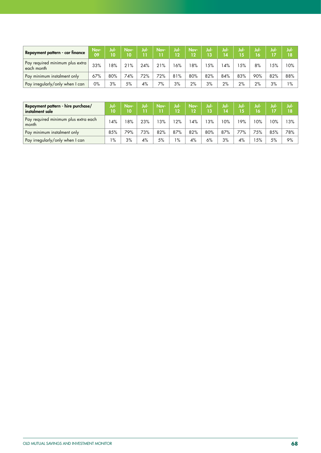| Repayment pattern - car finance               | Nov-<br>09 | lul-<br>10 | Nov-<br>10 | Jul- | Nov- | Jul-<br>12 | Nov-<br>12 | Juli<br>/13 | Jul<br>4 | Jul-<br>15 | Jul-<br>16 | Jul<br>17 | Jul-<br>18 |
|-----------------------------------------------|------------|------------|------------|------|------|------------|------------|-------------|----------|------------|------------|-----------|------------|
| Pay required minimum plus extra<br>each month | 33%        | 8%         | 21%        | 24%  | 21%  | 16%        | 8%         | 15%         | 4%       | 5%         | 8%         | 5%        | 10%        |
| Pay minimum instalment only                   | 67%        | 80%        | 74%        | 72%  | 72%  | 81%        | 80%        | 82%         | 84%      | 83%        | 90%        | 82%       | 88%        |
| Pay irregularly/only when I can               | 0%         | 3%         | 5%         | 4%   | 7%   | 3%         | 2%         | 3%          | 2%       | 2%         | 2%         | 3%        | $1\%$      |

| Repayment pattern - hire purchase/<br>instalment sale | Jul-<br>10 | Nov-<br>10 | Jul- | Nov- | Jul-<br>פי | Nov-<br>12 | Jul-<br>13 | Jul-<br>14 | Jul-<br>15 | Jul-<br>16 | Jul- | Jul-<br>18 |
|-------------------------------------------------------|------------|------------|------|------|------------|------------|------------|------------|------------|------------|------|------------|
| Pay required minimum plus extra each<br>month         | 4%         | 18%        | 23%  | 3%   | 2%         | 4%         | 13%        | 10%        | '9%        | 10%        | 10%  | 13%        |
| Pay minimum instalment only                           | 85%        | 79%        | 73%  | 82%  | 87%        | 82%        | 80%        | 87%        | 77%        | 75%        | 85%  | 78%        |
| Pay irregularly/only when I can                       | 1%         | 3%         | 4%   | 5%   | $1\%$      | 4%         | 6%         | 3%         | 4%         | 5%         | 5%   | 9%         |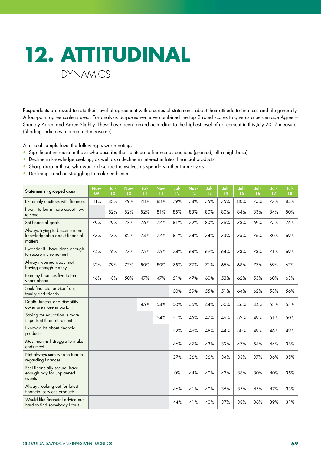![](_page_69_Picture_0.jpeg)

Respondents are asked to rate their level of agreement with a series of statements about their attitude to finances and life generally. A four-point agree scale is used. For analysis purposes we have combined the top 2 rated scores to give us a percentage Agree = Strongly Agree and Agree Slightly. These have been ranked according to the highest level of agreement in this July 2017 measure. (Shading indicates attribute not measured).

At a total sample level the following is worth noting:

- Significant increase in those who describe their attitude to finance as cautious (granted, off a high base)
- Decline in knowledge seeking, as well as a decline in interest in latest financial products
- Sharp drop in those who would describe themselves as spenders rather than savers
- Declining trend on struggling to make ends meet

| Statements - grouped axes                                                | Nov-<br>09 | Jul-<br>10 | Nov-<br>10 | Jul-<br>11 | Nov-<br>11 | Jul-<br>12 | Nov-<br>12 | Jul-<br>13 | Jul-<br>14 | Jul-<br>15 | Jul-<br>16 | Jul-<br>17 | Jul-<br>18 |
|--------------------------------------------------------------------------|------------|------------|------------|------------|------------|------------|------------|------------|------------|------------|------------|------------|------------|
| Extremely cautious with finances                                         | 81%        | 83%        | 79%        | 78%        | 83%        | 79%        | 74%        | 75%        | 75%        | 80%        | 75%        | 77%        | 84%        |
| I want to learn more about how<br>to save                                |            | 82%        | 82%        | 82%        | 81%        | 85%        | 83%        | 80%        | 80%        | 84%        | 83%        | 84%        | 80%        |
| Set financial goals                                                      | 79%        | 79%        | 78%        | 76%        | 77%        | 81%        | 79%        | 80%        | 76%        | 78%        | 69%        | 75%        | 76%        |
| Always trying to become more<br>knowledgeable about financial<br>matters | 77%        | 77%        | 82%        | 74%        | 77%        | 81%        | 74%        | 74%        | 73%        | 75%        | 76%        | 80%        | 69%        |
| I wonder if I have done enough<br>to secure my retirement                | 74%        | 76%        | 77%        | 75%        | 75%        | 74%        | 68%        | 69%        | 64%        | 73%        | 73%        | 71%        | 69%        |
| Always worried about not<br>having enough money                          | 82%        | 79%        | 77%        | 80%        | 80%        | 75%        | 77%        | 71%        | 65%        | 68%        | 77%        | 69%        | 67%        |
| Plan my finances five to ten<br>years ahead                              | 46%        | 48%        | 50%        | 47%        | 47%        | 51%        | 47%        | 60%        | 53%        | 62%        | 55%        | 60%        | 63%        |
| Seek financial advice from<br>family and friends                         |            |            |            |            |            | 60%        | 59%        | 55%        | 51%        | 64%        | 62%        | 58%        | 56%        |
| Death, funeral and disability<br>cover are more important                |            |            |            | 45%        | 54%        | 50%        | 56%        | 44%        | 50%        | 46%        | 44%        | 53%        | 53%        |
| Saving for education is more<br>important than retirement                |            |            |            |            | 54%        | 51%        | 45%        | 47%        | 49%        | 52%        | 49%        | 51%        | 50%        |
| I know a lot about financial<br>products                                 |            |            |            |            |            | 52%        | 49%        | 48%        | 44%        | 50%        | 49%        | 46%        | 49%        |
| Most months I struggle to make<br>ends meet                              |            |            |            |            |            | 46%        | 47%        | 43%        | 39%        | 47%        | 54%        | 44%        | 38%        |
| Not always sure who to turn to<br>regarding finances                     |            |            |            |            |            | 37%        | 36%        | 36%        | 34%        | 33%        | 37%        | 36%        | 35%        |
| Feel financially secure, have<br>enough pay for unplanned<br>events      |            |            |            |            |            | $0\%$      | 44%        | 40%        | 43%        | 38%        | 30%        | 40%        | 35%        |
| Always looking out for latest<br>financial services products             |            |            |            |            |            | 46%        | 41%        | 40%        | 36%        | 35%        | 45%        | 47%        | 33%        |
| Would like financial advice but<br>hard to find somebody I trust         |            |            |            |            |            | 44%        | 41%        | 40%        | 37%        | 38%        | 36%        | 39%        | 31%        |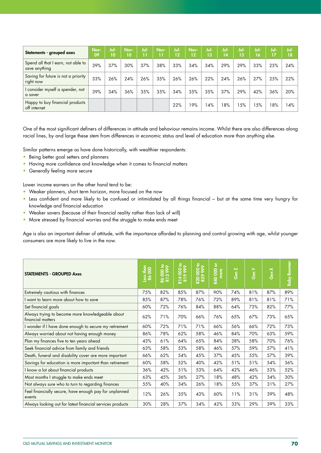| Statements - grouped axes                           | Nov-<br>09 | Jul-<br>10 | Nov-<br>10 | Jul-<br>n | Nov-<br>11 | Jul-<br>12 | Nov-<br>12 | Jul-<br>$\mathbf{\overline{13}}$ | Jul-<br>14 | Jul-<br>15 | Jul-<br>16 | Jul-<br>17 | Jul-<br>18 |
|-----------------------------------------------------|------------|------------|------------|-----------|------------|------------|------------|----------------------------------|------------|------------|------------|------------|------------|
| Spend all that I earn, not able to<br>save anything | 39%        | 37%        | 30%        | 37%       | 38%        | 33%        | 34%        | 34%                              | 29%        | 29%        | 33%        | 25%        | 24%        |
| Saving for future is not a priority<br>right now    | 33%        | 26%        | 24%        | 26%       | 35%        | 26%        | 26%        | 22%                              | 24%        | 26%        | 27%        | 25%        | 22%        |
| I consider myself a spender, not<br>a saver         | 39%        | 34%        | 36%        | 35%       | 35%        | 34%        | 35%        | 35%                              | 37%        | 29%        | 42%        | 36%        | 20%        |
| Happy to buy financial products<br>off internet     |            |            |            |           |            | 22%        | 19%        | 14%                              | 18%        | 15%        | 15%        | 18%        | 14%        |

One of the most significant definers of differences in attitude and behaviour remains income. Whilst there are also differences along racial lines, by and large these stem from differences in economic status and level of education more than anything else.

Similar patterns emerge as have done historically, with wealthier respondents:

- Being better goal setters and planners
- Having more confidence and knowledge when it comes to financial matters
- Generally feeling more secure

Lower income earners on the other hand tend to be:

- Weaker planners, short term horizon, more focused on the now
- Less confident and more likely to be confused or intimidated by all things financial but at the same time very hungry for knowledge and financial education
- Weaker savers (because of their financial reality rather than lack of will)
- More stressed by financial worries and the struggle to make ends meet

Age is also an important definer of attitude, with the importance afforded to planning and control growing with age, whilst younger consumers are more likely to live in the now.

| <b>STATEMENTS - GROUPED Axes</b>                                      | $rac{1}{2}$<br><b>NSS</b><br>Ró | ₽<br>R6 000 to<br>R13 999 | 000 to<br>$\bullet$<br>R14 | R20 000 to<br>R39 999 | $\overleftarrow{\sigma}$<br><b>R40 000</b><br>more | Gen Z | Gen Y | Gen X | <b>Baby Boomer</b> |
|-----------------------------------------------------------------------|---------------------------------|---------------------------|----------------------------|-----------------------|----------------------------------------------------|-------|-------|-------|--------------------|
| Extremely cautious with finances                                      | 75%                             | 82%                       | 85%                        | 87%                   | 90%                                                | 74%   | 81%   | 87%   | 89%                |
| I want to learn more about how to save                                | 85%                             | 87%                       | 78%                        | 76%                   | 72%                                                | 89%   | 81%   | 81%   | 71%                |
| Set financial goals                                                   | 60%                             | 72%                       | 76%                        | 84%                   | 88%                                                | 64%   | 73%   | 82%   | 77%                |
| Always trying to become more knowledgeable about<br>financial matters | 62%                             | 71%                       | 70%                        | 66%                   | 76%                                                | 65%   | 67%   | 73%   | 65%                |
| I wonder if I have done enough to secure my retirement                | 60%                             | 72%                       | 71%                        | 71%                   | 66%                                                | 56%   | 66%   | 72%   | 73%                |
| Always worried about not having enough money                          | 86%                             | 78%                       | 62%                        | 58%                   | 46%                                                | 84%   | 70%   | 63%   | 59%                |
| Plan my finances five to ten years ahead                              | 43%                             | 61%                       | 64%                        | 65%                   | 84%                                                | 38%   | 58%   | 70%   | 76%                |
| Seek financial advice from family and friends                         | 63%                             | 58%                       | 53%                        | 58%                   | 46%                                                | 57%   | 59%   | 57%   | 41%                |
| Death, funeral and disability cover are more important                | 66%                             | 62%                       | 54%                        | 45%                   | 37%                                                | 45%   | 55%   | 57%   | 39%                |
| Savings for education is more important than retirement               | 60%                             | 58%                       | 52%                        | 40%                   | 42%                                                | 51%   | 51%   | 54%   | 36%                |
| I know a lot about financial products                                 | 36%                             | 42%                       | 51%                        | 53%                   | 64%                                                | 42%   | 46%   | 53%   | 52%                |
| Most months I struggle to make ends meet                              | 63%                             | 45%                       | 36%                        | 27%                   | 18%                                                | 48%   | 42%   | 34%   | 30%                |
| Not always sure who to turn to regarding finances                     | 55%                             | 40%                       | 34%                        | 26%                   | 18%                                                | 55%   | 37%   | 31%   | 27%                |
| Feel financially secure, have enough pay for unplanned<br>events      | 12%                             | 26%                       | 35%                        | 43%                   | 60%                                                | 11%   | 31%   | 39%   | 48%                |
| Always looking out for latest financial services products             | 30%                             | 28%                       | 37%                        | 34%                   | 42%                                                | 33%   | 29%   | 39%   | 33%                |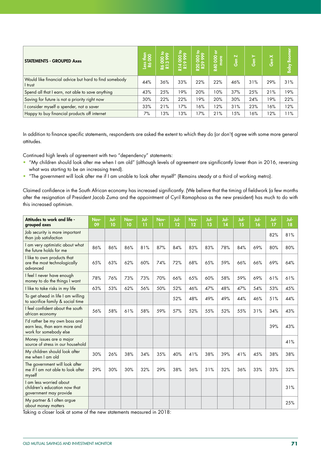| <b>STATEMENTS - GROUPED Axes</b>                                 | $\frac{4}{200}$<br><b>SSS</b> | $\frac{500}{399}$<br>$\overline{2}$ $\overline{2}$ | $\overline{50}$<br>$\overline{R}$ 14<br>囩 | R20 000 to<br>R39 999 | ৯<br><b>OOO</b><br>R40 | $\overline{\mathbf{N}}$<br>Gen | $\succ$<br>Gen | $\times$<br>ဖြစ် | <b>Baby Boomer</b> |
|------------------------------------------------------------------|-------------------------------|----------------------------------------------------|-------------------------------------------|-----------------------|------------------------|--------------------------------|----------------|------------------|--------------------|
| Would like financial advice but hard to find somebody<br>I trust | 44%                           | 36%                                                | 33%                                       | 22%                   | 22%                    | 46%                            | 31%            | 29%              | 31%                |
| Spend all that I earn, not able to save anything                 | 43%                           | 25%                                                | 19%                                       | 20%                   | 10%                    | 37%                            | 25%            | 21%              | 19%                |
| Saving for future is not a priority right now                    | 30%                           | 22%                                                | 22%                                       | 19%                   | 20%                    | 30%                            | 24%            | 19%              | 22%                |
| I consider myself a spender, not a saver                         | 33%                           | 21%                                                | 17%                                       | 16%                   | 12%                    | 31%                            | 23%            | 16%              | 12%                |
| Happy to buy financial products off internet                     | 7%                            | 3%                                                 | 13%                                       | 17%                   | 21%                    | 15%                            | 16%            | 12%              | 11%                |

In addition to finance specific statements, respondents are asked the extent to which they do (or don't) agree with some more general attitudes.

Continued high levels of agreement with two "dependency" statements:

- "My children should look after me when I am old" (although levels of agreement are significantly lower than in 2016, reversing what was starting to be an increasing trend).
- "The government will look after me if I am unable to look after myself" (Remains steady at a third of working metro).

Claimed confidence in the South African economy has increased significantly. (We believe that the timing of fieldwork (a few months after the resignation of President Jacob Zuma and the appointment of Cyril Ramaphosa as the new president) has much to do with this increased optimism.

| Attitudes to work and life -<br>grouped axes                                             | Nov-<br>09 | Jul-<br>10 | Nov-<br>10 | Jul-<br>$\overline{11}$ | Nov-<br>11 | Jul-<br>12 | Nov-<br>12 | Jul-<br>13 | Jul-<br>14 | Jul-<br>15 | Jul-<br>16 | Jul-<br>17 | Jul-<br>18 |
|------------------------------------------------------------------------------------------|------------|------------|------------|-------------------------|------------|------------|------------|------------|------------|------------|------------|------------|------------|
| Job security is more important<br>than job satisfaction                                  |            |            |            |                         |            |            |            |            |            |            |            | 82%        | 81%        |
| I am very optimistic about what<br>the future holds for me                               | 86%        | 86%        | 86%        | 81%                     | 87%        | 84%        | 83%        | 83%        | 78%        | 84%        | 69%        | 80%        | 80%        |
| I like to own products that<br>are the most technologically<br>advanced                  | 65%        | 63%        | 62%        | 60%                     | 74%        | 72%        | 68%        | 65%        | 59%        | 66%        | 66%        | 69%        | 64%        |
| I feel I never have enough<br>money to do the things I want                              | 78%        | 76%        | 73%        | 73%                     | 70%        | 66%        | 65%        | 60%        | 58%        | 59%        | 69%        | 61%        | 61%        |
| I like to take risks in my life                                                          | 63%        | 53%        | 62%        | 56%                     | 50%        | 52%        | 46%        | 47%        | 48%        | 47%        | 54%        | 53%        | 45%        |
| To get ahead in life I am willing<br>to sacrifice family & social time                   |            |            |            |                         |            | 52%        | 48%        | 49%        | 49%        | 44%        | 46%        | 51%        | 44%        |
| I feel confident about the south<br>african economy                                      | 56%        | 58%        | 61%        | 58%                     | 59%        | 57%        | 52%        | 55%        | 52%        | 55%        | 31%        | 34%        | 43%        |
| I'd rather be my own boss and<br>earn less, than earn more and<br>work for somebody else |            |            |            |                         |            |            |            |            |            |            |            | 39%        | 43%        |
| Money issues are a major<br>source of stress in our household                            |            |            |            |                         |            |            |            |            |            |            |            |            | 41%        |
| My children should look after<br>me when I am old                                        | 30%        | 26%        | 38%        | 34%                     | 35%        | 40%        | 41%        | 38%        | 39%        | 41%        | 45%        | 38%        | 38%        |
| The government will look after<br>me if I am not able to look after<br>myself            | 29%        | 30%        | 30%        | 32%                     | 29%        | 38%        | 36%        | 31%        | 32%        | 36%        | 33%        | 33%        | 32%        |
| I am less worried about<br>children's education now that<br>government may provide       |            |            |            |                         |            |            |            |            |            |            |            |            | 31%        |
| My partner & I often argue<br>about money matters                                        |            |            |            |                         |            |            |            |            |            |            |            |            | 25%        |

Taking a closer look at some of the new statements measured in 2018: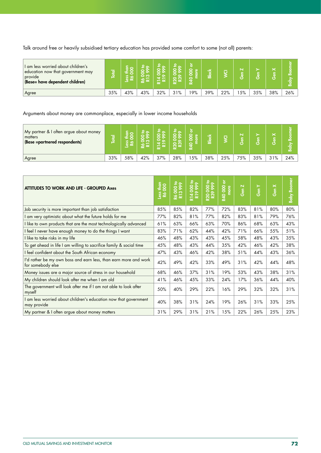Talk around free or heavily subsidised tertiary education has provided some comfort to some (not all) parents:

| I am less worried about children's<br>education now that government may<br>provide<br>(Base= have dependent children) | ਨ   |     |     | _   | o<br>൚ | $\circ$ | ∞   |     | N<br>نة |     | æ   | ഹ   |
|-----------------------------------------------------------------------------------------------------------------------|-----|-----|-----|-----|--------|---------|-----|-----|---------|-----|-----|-----|
| Agree                                                                                                                 | 35% | 43% | 43% | 32% | 31%    | 19%     | 39% | 22% | 5%      | 35% | 38% | 26% |

## Arguments about money are commonplace, especially in lower income households

| My partner & I often argue about money<br>matters<br>(Base =partnered respondents) | ਨ   |     | െ സ<br>30) |     |     | c<br>$\circ$ | ক   | ក   | $\overline{\mathbf{N}}$<br>듰<br>ь |     | ×<br>υ | ∞<br>홂 |
|------------------------------------------------------------------------------------|-----|-----|------------|-----|-----|--------------|-----|-----|-----------------------------------|-----|--------|--------|
| Agree                                                                              | 33% | 58% | 42%        | 37% | 28% | 5%           | 38% | 25% | 75%                               | 35% | 31%    | 24%    |

| <b>ATTITUDES TO WORK AND LIFE - GROUPED Axes</b>                                      | $\frac{1}{2}8$<br><b>Nasa</b> | R6 000 to<br>R13 999 | R14000 to<br>R19999 | R20 000 to<br>R39 999 | ŏ<br><b>R40 000</b><br>more | $\overline{\mathbf{N}}$<br>.<br>ලි | ≻<br>ဖြစ် | Gen X | <b>Baby Boomer</b> |
|---------------------------------------------------------------------------------------|-------------------------------|----------------------|---------------------|-----------------------|-----------------------------|------------------------------------|-----------|-------|--------------------|
| Job security is more important than job satisfaction                                  | 85%                           | 85%                  | 82%                 | 77%                   | 72%                         | 83%                                | 81%       | 80%   | 80%                |
| I am very optimistic about what the future holds for me                               | 77%                           | 82%                  | 81%                 | 77%                   | 82%                         | 83%                                | 81%       | 79%   | 76%                |
| I like to own products that are the most technologically advanced                     | 61%                           | 63%                  | 66%                 | 63%                   | 70%                         | 86%                                | 68%       | 63%   | 43%                |
| I feel I never have enough money to do the things I want                              | 83%                           | 71%                  | 62%                 | 44%                   | 42%                         | 71%                                | 66%       | 55%   | 51%                |
| I like to take risks in my life                                                       | 46%                           | 48%                  | 43%                 | 43%                   | 45%                         | 58%                                | 48%       | 43%   | 35%                |
| To get ahead in life I am willing to sacrifice family & social time                   | 45%                           | 48%                  | 43%                 | 44%                   | 35%                         | 42%                                | 46%       | 42%   | 38%                |
| I feel confident about the South African economy                                      | 47%                           | 43%                  | 46%                 | 42%                   | 38%                         | 51%                                | 44%       | 43%   | 36%                |
| I'd rather be my own boss and earn less, than earn more and work<br>for somebody else | 42%                           | 49%                  | 42%                 | 33%                   | 49%                         | 31%                                | 42%       | 44%   | 48%                |
| Money issues are a major source of stress in our household                            | 68%                           | 46%                  | 37%                 | 31%                   | 19%                         | 53%                                | 43%       | 38%   | 31%                |
| My children should look after me when I am old                                        | 41%                           | 46%                  | 45%                 | 33%                   | 24%                         | 17%                                | 36%       | 44%   | 40%                |
| The government will look after me if I am not able to look after<br>myself            | 50%                           | 40%                  | 29%                 | 22%                   | 16%                         | 29%                                | 32%       | 32%   | 31%                |
| I am less worried about children's education now that government<br>may provide       | 40%                           | 38%                  | 31%                 | 24%                   | 19%                         | 26%                                | 31%       | 33%   | 25%                |
| My partner & I often argue about money matters                                        | 31%                           | 29%                  | 31%                 | 21%                   | 15%                         | 22%                                | 26%       | 25%   | 23%                |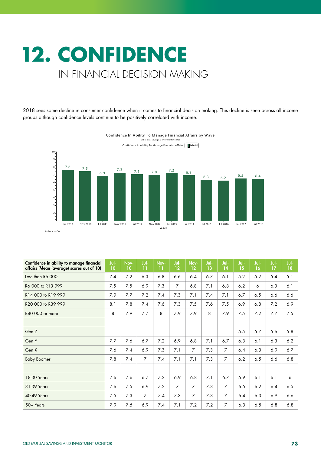## **12. CONFIDENCE**  IN FINANCIAL DECISION MAKING

2018 sees some decline in consumer confidence when it comes to financial decision making. This decline is seen across all income groups although confidence levels continue to be positively correlated with income.



Confidence In Ability To Manage Financial Affairs by Wave Old Mutual Savings & In

| Confidence in ability to manage financial<br>affairs (Mean (average) scores out of 10) | Jul-<br>10 | Nov-<br>10 | Jul-<br>11           | Nov-<br>11     | Jul-<br>12     | Nov-<br>12     | Jul-<br>13               | Jul-<br>14     | Jul-<br>15 | Jul-<br>16 | Jul-<br>17 | Jul-<br>18 |
|----------------------------------------------------------------------------------------|------------|------------|----------------------|----------------|----------------|----------------|--------------------------|----------------|------------|------------|------------|------------|
| Less than R6 000                                                                       | 7.4        | 7.2        | 6.3                  | 6.8            | 6.6            | 6.4            | 6.7                      | 6.1            | 5.2        | 5.2        | 5.4        | 5.1        |
| R6 000 to R13 999                                                                      | 7.5        | 7.5        | 6.9                  | 7.3            | $\overline{7}$ | 6.8            | 7.1                      | 6.8            | 6.2        | 6          | 6.3        | 6.1        |
| R14 000 to R19 999                                                                     | 7.9        | 7.7        | 7.2                  | 7.4            | 7.3            | 7.1            | 7.4                      | 7.1            | 6.7        | 6.5        | 6.6        | 6.6        |
| R20 000 to R39 999                                                                     | 8.1        | 7.8        | 7.4                  | 7.6            | 7.3            | 7.5            | 7.6                      | 7.5            | 6.9        | 6.8        | 7.2        | 6.9        |
| R40 000 or more                                                                        | 8          | 7.9        | 7.7                  | 8              | 7.9            | 7.9            | 8                        | 7.9            | 7.5        | 7.2        | 7.7        | 7.5        |
|                                                                                        |            |            |                      |                |                |                |                          |                |            |            |            |            |
| Gen Z                                                                                  | ٠          | ٠          | $\ddot{\phantom{1}}$ | $\blacksquare$ | ٠              | ٠              | $\overline{\phantom{a}}$ | ÷              | 5.5        | 5.7        | 5.6        | 5.8        |
| Gen Y                                                                                  | 7.7        | 7.6        | 6.7                  | 7.2            | 6.9            | 6.8            | 7.1                      | 6.7            | 6.3        | 6.1        | 6.3        | 6.2        |
| Gen X                                                                                  | 7.6        | 7.4        | 6.9                  | 7.3            | 7.1            | $\overline{7}$ | 7.3                      | $\overline{7}$ | 6.4        | 6.3        | 6.9        | 6.7        |
| <b>Baby Boomer</b>                                                                     | 7.8        | 7.4        | $\overline{7}$       | 7.4            | 7.1            | 7.1            | 7.3                      | $\overline{7}$ | 6.2        | 6.5        | 6.6        | 6.8        |
|                                                                                        |            |            |                      |                |                |                |                          |                |            |            |            |            |
| 18-30 Years                                                                            | 7.6        | 7.6        | 6.7                  | 7.2            | 6.9            | 6.8            | 7.1                      | 6.7            | 5.9        | 6.1        | 6.1        | 6          |
| 31-39 Years                                                                            | 7.6        | 7.5        | 6.9                  | 7.2            | $\overline{7}$ | $\overline{7}$ | 7.3                      | $\overline{7}$ | 6.5        | 6.2        | 6.4        | 6.5        |
| <b>40-49 Years</b>                                                                     | 7.5        | 7.3        | 7                    | 7.4            | 7.3            | $\overline{7}$ | 7.3                      | $\overline{7}$ | 6.4        | 6.3        | 6.9        | 6.6        |
| 50+ Years                                                                              | 7.9        | 7.5        | 6.9                  | 7.4            | 7.1            | 7.2            | 7.2                      | $\overline{7}$ | 6.3        | 6.5        | 6.8        | 6.8        |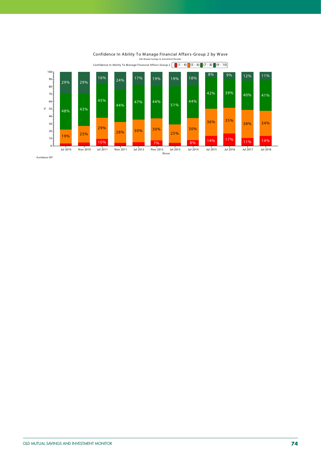



Autobase Off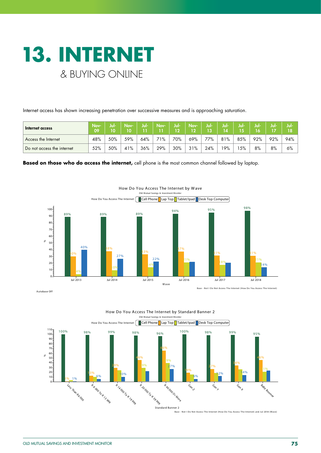

Internet access has shown increasing penetration over successive measures and is approaching saturation.

| Internet access            | Nov-<br>09 | Jul-<br>10 | Nov- | Jul- | Nov- | Jul-<br>$\Omega$ | Nov-<br>12 | Jul-<br>Пŵ | Jul- | Jul- | NOF | Jul- | Juli |
|----------------------------|------------|------------|------|------|------|------------------|------------|------------|------|------|-----|------|------|
| Access the Internet        | 48%        | 50%        | 59%  | 64%  | 71%  | 70%              | 69%        | 77%        | 81%  | 85%  | 92% | 92%  | 94%  |
| Do not access the internet | 52%        | 50%        | 41%  | 36%  | 29%  | 30%              | 31%        | 24%        | '9%  | 5%   | 8%  | 8%   | 6%   |

**Based on those who do access the internet,** cell phone is the most common channel followed by laptop.



Autobase Off

Base - Not I Do Not Access The Internet (How Do You Access The Internet)



Base - Not I Do Not Access The Internet (How Do You Access The Internet) and Jul 2018 (W ave)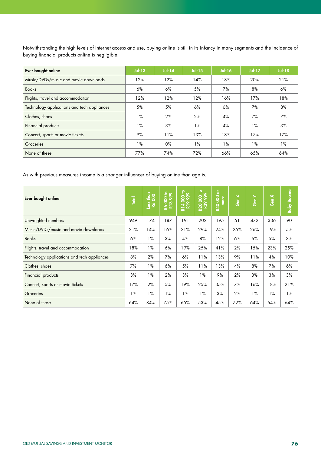Notwithstanding the high levels of internet access and use, buying online is still in its infancy in many segments and the incidence of buying financial products online is negligible.

| Ever bought online                          | $Jul-13$ | $Jul-14$ | $Jul-15$ | <b>Jul-16</b> | $Jul-17$ | <b>Jul-18</b> |
|---------------------------------------------|----------|----------|----------|---------------|----------|---------------|
| Music/DVDs/music and movie downloads        | 12%      | 12%      | 14%      | 18%           | 20%      | 21%           |
| <b>Books</b>                                | 6%       | 6%       | 5%       | 7%            | 8%       | 6%            |
| Flights, travel and accommodation           | 12%      | 12%      | 12%      | 16%           | 17%      | 18%           |
| Technology applications and tech appliances | 5%       | 5%       | 6%       | 6%            | 7%       | 8%            |
| Clothes, shoes                              | $1\%$    | 2%       | 2%       | 4%            | 7%       | 7%            |
| Financial products                          | $1\%$    | 3%       | $1\%$    | 4%            | $1\%$    | 3%            |
| Concert, sports or movie tickets            | 9%       | 11%      | 13%      | 18%           | 17%      | 17%           |
| Groceries                                   | $1\%$    | $0\%$    | $1\%$    | $1\%$         | $1\%$    | $1\%$         |
| None of these                               | 77%      | 74%      | 72%      | 66%           | 65%      | 64%           |

As with previous measures income is a stronger influencer of buying online than age is.

| Ever bought online                          | <b>Total</b> | Less than<br>R6 000 | 000 to<br>്റ<br>22 | R14 000 to<br>R19 999 | R20 000 to<br>R39 999 | $\overleftarrow{\sigma}$<br>8<br>more<br><b>R40</b> | Gen Z | $\succ$<br>Gen | Gen X | <b>Baby Boomer</b> |
|---------------------------------------------|--------------|---------------------|--------------------|-----------------------|-----------------------|-----------------------------------------------------|-------|----------------|-------|--------------------|
| Unweighted numbers                          | 949          | 174                 | 187                | 191                   | 202                   | 195                                                 | 51    | 472            | 336   | 90                 |
| Music/DVDs/music and movie downloads        | 21%          | 14%                 | 16%                | 21%                   | 29%                   | 24%                                                 | 25%   | 26%            | 19%   | 5%                 |
| <b>Books</b>                                | 6%           | $1\%$               | 3%                 | 4%                    | 8%                    | 12%                                                 | 6%    | 6%             | 5%    | 3%                 |
| Flights, travel and accommodation           | 18%          | $1\%$               | 6%                 | 19%                   | 25%                   | 41%                                                 | 2%    | 15%            | 23%   | 25%                |
| Technology applications and tech appliances | 8%           | 2%                  | 7%                 | 6%                    | 11%                   | 13%                                                 | 9%    | 11%            | 4%    | 10%                |
| Clothes, shoes                              | 7%           | $1\%$               | 6%                 | 5%                    | 11%                   | 13%                                                 | 4%    | 8%             | 7%    | 6%                 |
| Financial products                          | 3%           | $1\%$               | 2%                 | 3%                    | $1\%$                 | 9%                                                  | 2%    | 3%             | 3%    | 3%                 |
| Concert, sports or movie tickets            | 17%          | 2%                  | 5%                 | 19%                   | 25%                   | 35%                                                 | 7%    | 16%            | 18%   | 21%                |
| Groceries                                   | $1\%$        | $1\%$               | $1\%$              | 1%                    | $1\%$                 | 3%                                                  | 2%    | $1\%$          | 1%    | $1\%$              |
| None of these                               | 64%          | 84%                 | 75%                | 65%                   | 53%                   | 45%                                                 | 72%   | 64%            | 64%   | 64%                |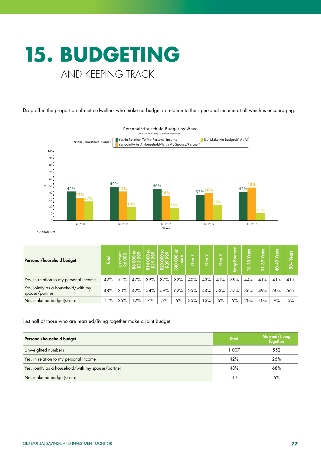

Drop off in the proportion of metro dwellers who make no budget in relation to their personal income at all which is encouraging.



| Personal/household budget                             | <b>Total</b> | ess | o   |     | $\mathbf{E}_{\infty}$<br><u>ည</u> | ট<br>$\omega$<br>$\overline{5}$<br>0<br>⋧ | Gen Z | ≻<br>၆။<br>ပိ | $\ltimes$<br>န္ပြ | ۰Ă<br><u>là</u><br>൶ | ears<br>န္က<br>ထဲ | <b>S.ID</b><br>နှ<br>÷<br>ო | ๛<br>្ន | 6<br>তে |
|-------------------------------------------------------|--------------|-----|-----|-----|-----------------------------------|-------------------------------------------|-------|---------------|-------------------|----------------------|-------------------|-----------------------------|---------|---------|
| Yes, in relation to my personal income                | 42%          | 51% | 47% | 39% | 37%                               | 32%                                       | 40%   | 43%           | 41%               | 39%                  | 44%               | 41%                         | 41%     | 41%     |
| Yes, jointly as a household/with my<br>spouse/partner | 48%          | 23% | 42% | 54% | 59%                               | 62%                                       | 25%   | 44%           | 53%               | 57%                  | 36%               | 49%                         | 50%     | 56%     |
| No, make no budget(s) at all                          | $1\%$        | 26% | 12% | 7%  | 5%                                | 6%                                        | 35%   | 13%           | 6%                | 5%                   | 20%               | $0\%$                       | 9%      | 5%      |

Just half of those who are married/living together make a joint budget.

| Personal/household budget                          | <b>Total</b> | Married/Living<br><b>Together</b> |
|----------------------------------------------------|--------------|-----------------------------------|
| Unweighted numbers                                 | 1 007        | 552                               |
| Yes, in relation to my personal income             | 42%          | 26%                               |
| Yes, jointly as a household/with my spouse/partner | 48%          | 68%                               |
| No, make no budget(s) at all                       | 11%          | 6%                                |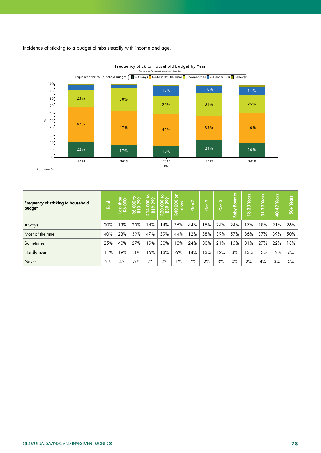Incidence of sticking to a budget climbs steadily with income and age.



Frequency Stick to Household Budget by Year

| Frequency of sticking to household<br>budget | <b>Lotal</b> | $\frac{1}{2}$<br><b>Jess</b> | 000 to<br>3999<br>22 | $2^{\circ}$<br>०००<br>००<br>R14 | 000 to<br><b>R200</b> | ূ চ<br>$\overline{8}$<br>more<br><b>R40</b> | N<br><u>၆။</u> | ≻<br>န္ပြ | $\times$<br>Gen | <b>Boomer</b><br><b>Raby</b> | Years<br>$18 - 30$ | <b>S</b><br>ဇွ<br>ಸ | ears<br>\$<br>ġ | ؿ<br><u>g</u><br>$\dot{5}$ |
|----------------------------------------------|--------------|------------------------------|----------------------|---------------------------------|-----------------------|---------------------------------------------|----------------|-----------|-----------------|------------------------------|--------------------|---------------------|-----------------|----------------------------|
| Always                                       | 20%          | 13%                          | 20%                  | 14%                             | 14%                   | 36%                                         | 44%            | 15%       | 24%             | 24%                          | 17%                | 8%                  | 21%             | 26%                        |
| Most of the time                             | 40%          | 23%                          | 39%                  | 47%                             | 39%                   | 44%                                         | 12%            | 38%       | 39%             | 57%                          | 36%                | 37%                 | 39%             | 50%                        |
| Sometimes                                    | 25%          | 40%                          | 27%                  | 19%                             | 30%                   | 3%                                          | 24%            | 30%       | 21%             | 15%                          | 31%                | 27%                 | 22%             | 18%                        |
| Hardly ever                                  | 1%           | 19%                          | 8%                   | 15%                             | 13%                   | 6%                                          | 4%             | 13%       | 12%             | 3%                           | 3%                 | 13%                 | 12%             | 6%                         |
| Never                                        | 2%           | 4%                           | 5%                   | 2%                              | 2%                    | $1\%$                                       | 7%             | 2%        | 3%              | $0\%$                        | 2%                 | 4%                  | 3%              | $0\%$                      |